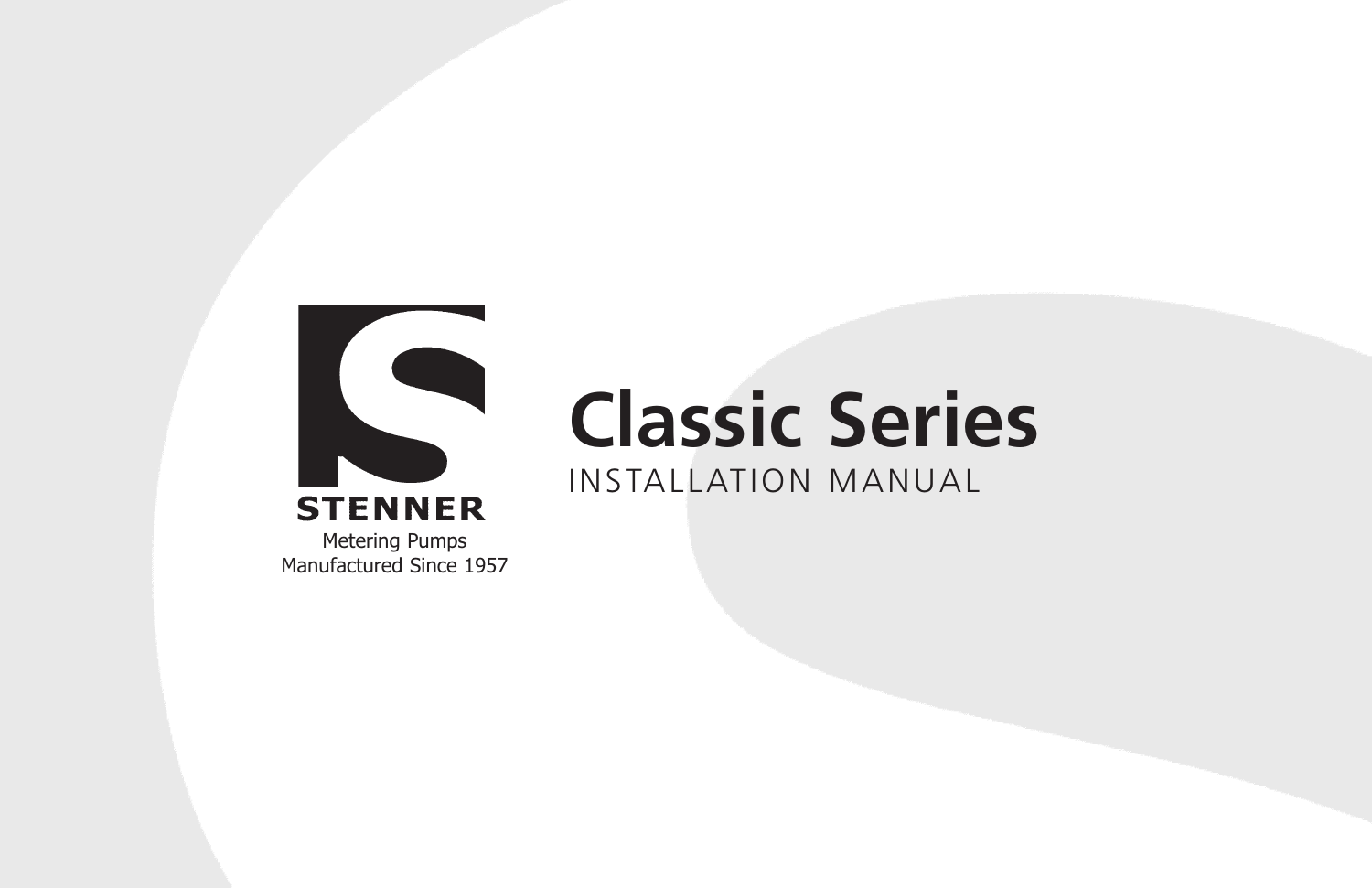

#### Metering Pumps Manufactured Since 1957

# **Classic Series**

INSTALLATION MANUAL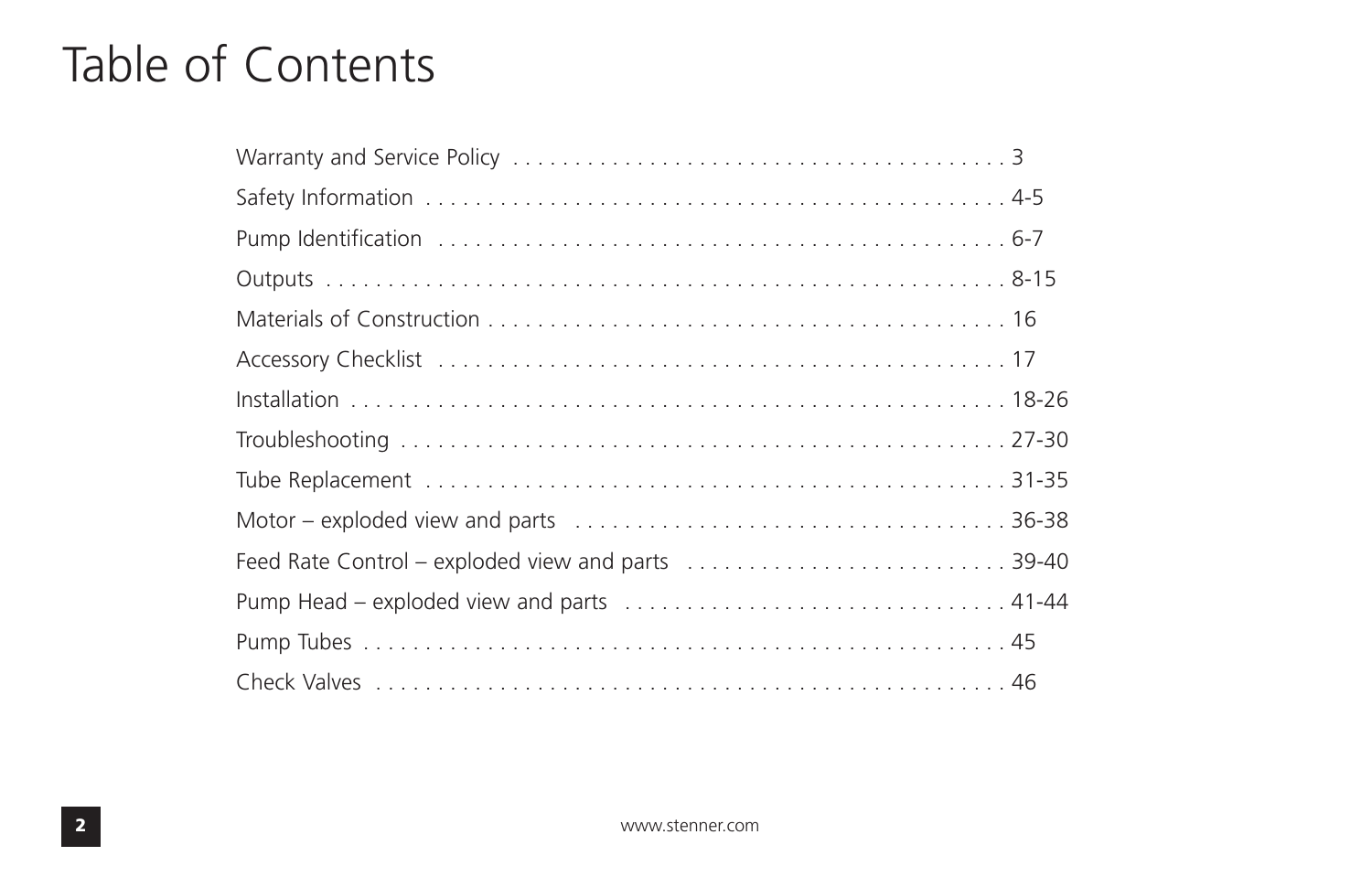# Table of Contents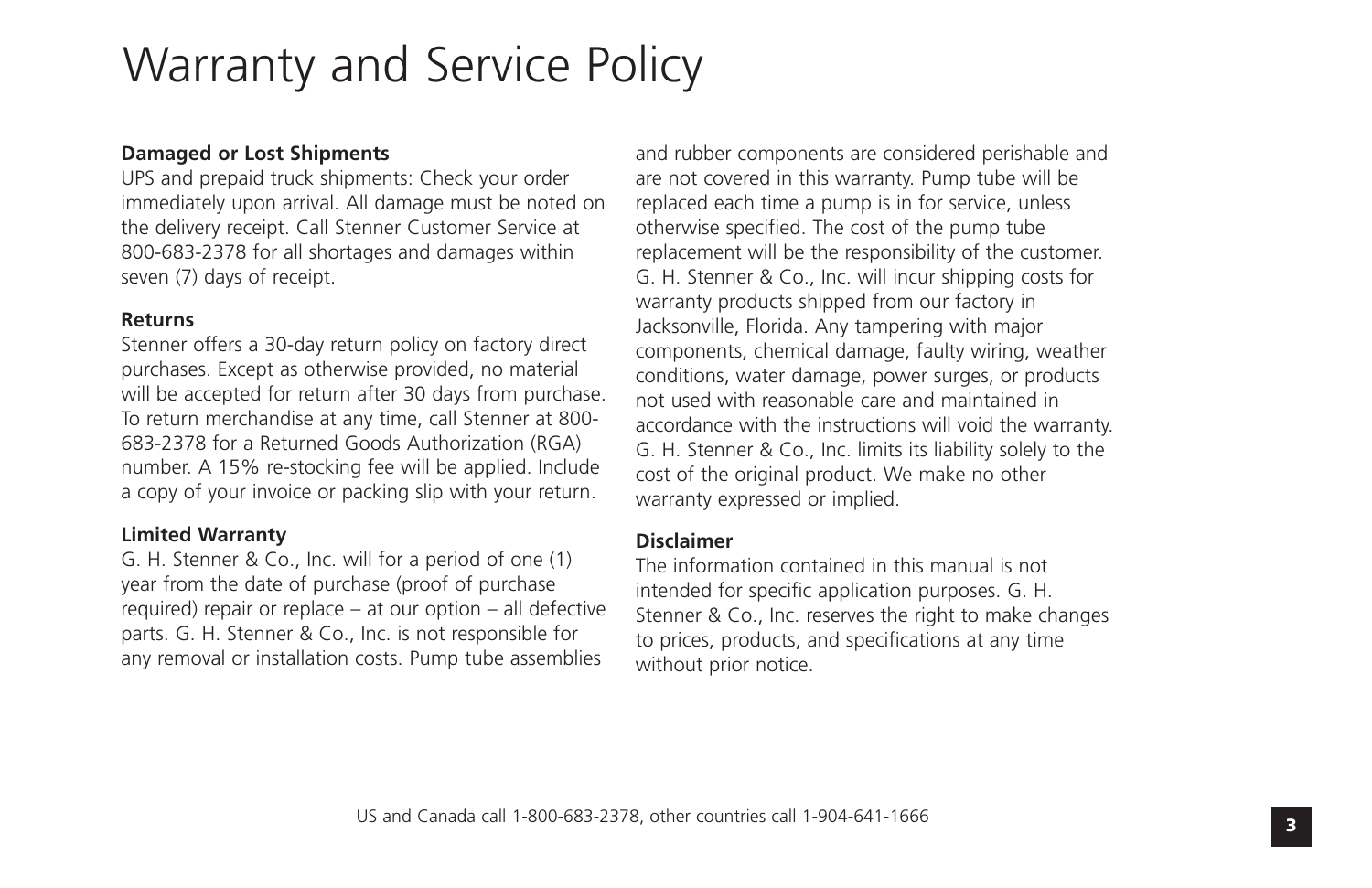# Warranty and Service Policy

#### **Damaged or Lost Shipments**

UPS and prepaid truck shipments: Check your order immediately upon arrival. All damage must be noted on the delivery receipt. Call Stenner Customer Service at 800-683-2378 for all shortages and damages within seven (7) days of receipt.

#### **Returns**

Stenner offers a 30-day return policy on factory direct purchases. Except as otherwise provided, no material will be accepted for return after 30 days from purchase. To return merchandise at any time, call Stenner at 800- 683-2378 for a Returned Goods Authorization (RGA) number. A 15% re-stocking fee will be applied. Include a copy of your invoice or packing slip with your return.

#### **Limited Warranty**

G. H. Stenner & Co., Inc. will for a period of one (1) year from the date of purchase (proof of purchase required) repair or replace – at our option – all defective parts. G. H. Stenner & Co., Inc. is not responsible for any removal or installation costs. Pump tube assemblies

and rubber components are considered perishable and are not covered in this warranty. Pump tube will be replaced each time a pump is in for service, unless otherwise specified. The cost of the pump tube replacement will be the responsibility of the customer. G. H. Stenner & Co., Inc. will incur shipping costs for warranty products shipped from our factory in Jacksonville, Florida. Any tampering with major components, chemical damage, faulty wiring, weather conditions, water damage, power surges, or products not used with reasonable care and maintained in accordance with the instructions will void the warranty. G. H. Stenner & Co., Inc. limits its liability solely to the cost of the original product. We make no other warranty expressed or implied.

#### **Disclaimer**

The information contained in this manual is not intended for specific application purposes. G. H. Stenner & Co., Inc. reserves the right to make changes to prices, products, and specifications at any time without prior notice.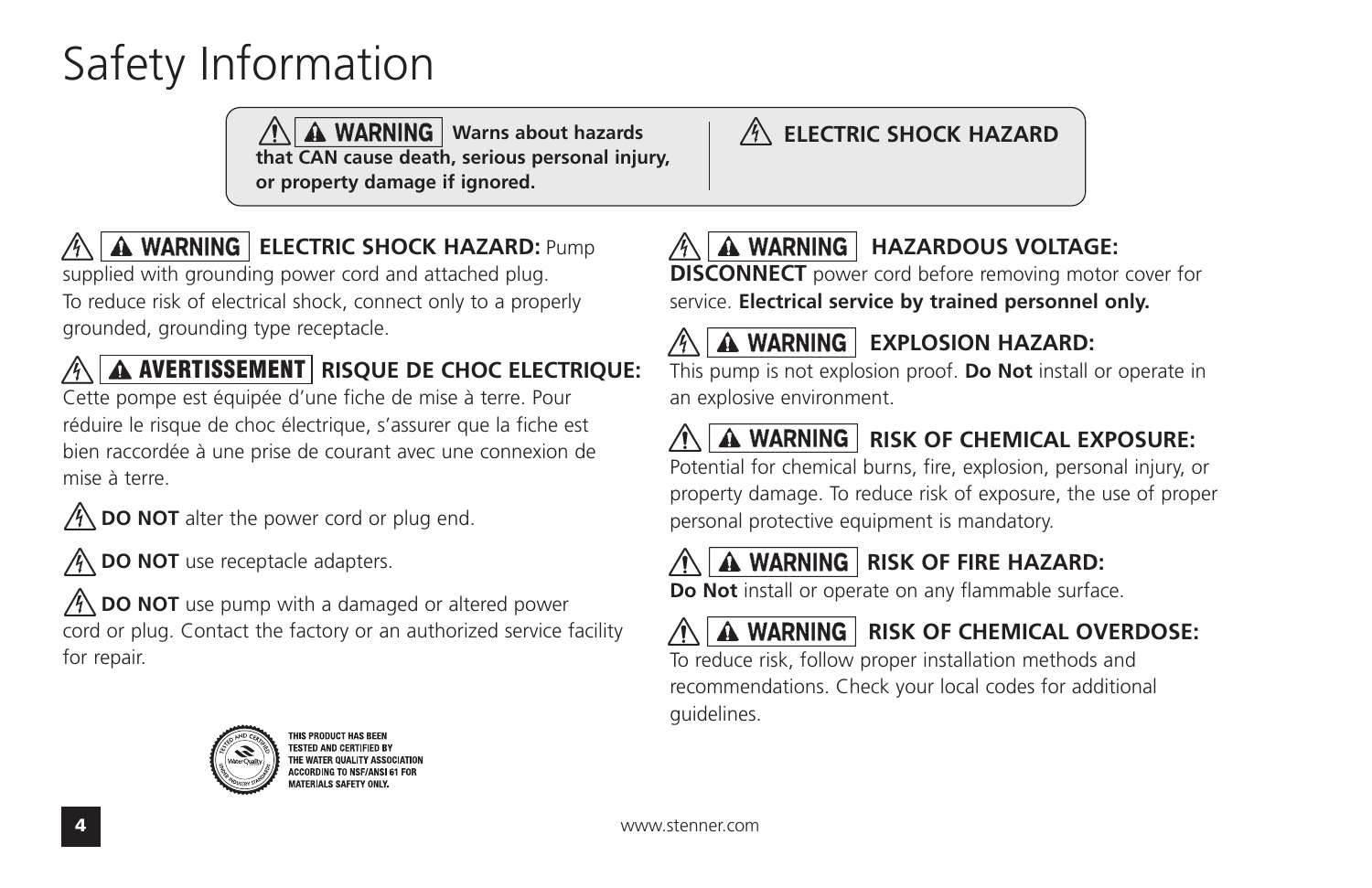# Safety Information

**A** WARNING | Warns about hazards **that CAN cause death, serious personal injury, or property damage if ignored.**

## **A WARNING | ELECTRIC SHOCK HAZARD:** Pump

supplied with grounding power cord and attached plug. To reduce risk of electrical shock, connect only to a properly grounded, grounding type receptacle.

## **RISQUE DE CHOC ELECTRIQUE: AVERTISSEMENT**

Cette pompe est équipée d'une fiche de mise à terre. Pour réduire le risque de choc électrique, s'assurer que la fiche est bien raccordée à une prise de courant avec une connexion de mise à terre.

 $\mathcal{P}\left(\mathbf{D}\right)$  **DO NOT** alter the power cord or plug end.

**DO NOT** use receptacle adapters.

 $\sqrt{\left(\frac{1}{2}\right)}$  **DO NOT** use pump with a damaged or altered power cord or plug. Contact the factory or an authorized service facility for repair.



**HIS PRODUCT HAS BEEN ESTED AND CERTIFIED B** CORDING TO NSE/ANSLE1 FOR **FERIALS SAFETY ONLY** 

## **ELECTRIC SHOCK HAZARD**

## **A WARNING | HAZARDOUS VOLTAGE:**

**DISCONNECT** power cord before removing motor cover for service. **Electrical service by trained personnel only.**

## **A WARNING** | EXPLOSION HAZARD:

This pump is not explosion proof. **Do Not** install or operate in an explosive environment.

## **A WARNING RISK OF CHEMICAL EXPOSURE:**

Potential for chemical burns, fire, explosion, personal injury, or property damage. To reduce risk of exposure, the use of proper personal protective equipment is mandatory.

## **A WARNING | RISK OF FIRE HAZARD:**

**Do Not** install or operate on any flammable surface.

## **A WARNING | RISK OF CHEMICAL OVERDOSE:**

To reduce risk, follow proper installation methods and recommendations. Check your local codes for additional guidelines.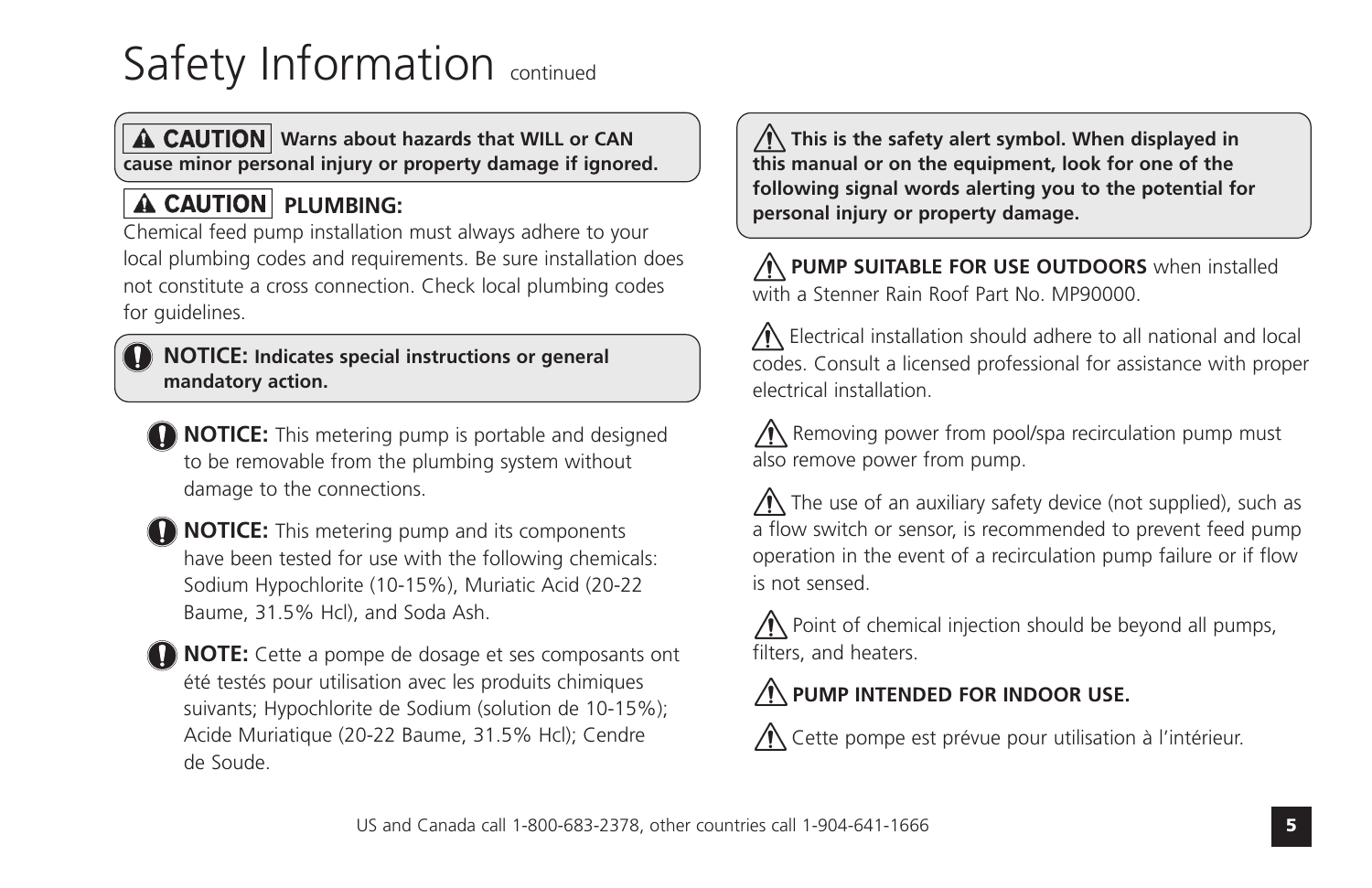# Safety Information continued

#### **A CAUTION** Warns about hazards that WILL or CAN **cause minor personal injury or property damage if ignored.**

## **A CAUTION** PLUMBING:

Chemical feed pump installation must always adhere to your local plumbing codes and requirements. Be sure installation does not constitute a cross connection. Check local plumbing codes for quidelines.

#### **NOTICE: Indicates special instructions or general mandatory action.**

**NOTICE:** This metering pump is portable and designed to be removable from the plumbing system without damage to the connections.

**NOTICE:** This metering pump and its components have been tested for use with the following chemicals: Sodium Hypochlorite (10-15%), Muriatic Acid (20-22 Baume, 31.5% Hcl), and Soda Ash.

**NOTE:** Cette a pompe de dosage et ses composants ont été testés pour utilisation avec les produits chimiques suivants; Hypochlorite de Sodium (solution de 10-15%); Acide Muriatique (20-22 Baume, 31.5% Hcl); Cendre de Soude.

**This is the safety alert symbol. When displayed in this manual or on the equipment, look for one of the following signal words alerting you to the potential for personal injury or property damage.**

**PUMP SUITABLE FOR USE OUTDOORS** when installed with a Stenner Rain Roof Part No. MP90000.

Electrical installation should adhere to all national and local codes. Consult a licensed professional for assistance with proper electrical installation.

 $\sqrt{N}$  Removing power from pool/spa recirculation pump must also remove power from pump.

The use of an auxiliary safety device (not supplied), such as a flow switch or sensor, is recommended to prevent feed pump operation in the event of a recirculation pump failure or if flow is not sensed.

 $\bigwedge$  Point of chemical injection should be beyond all pumps, filters, and heaters.

## **PUMP INTENDED FOR INDOOR USE.**

Cette pompe est prévue pour utilisation à l'intérieur.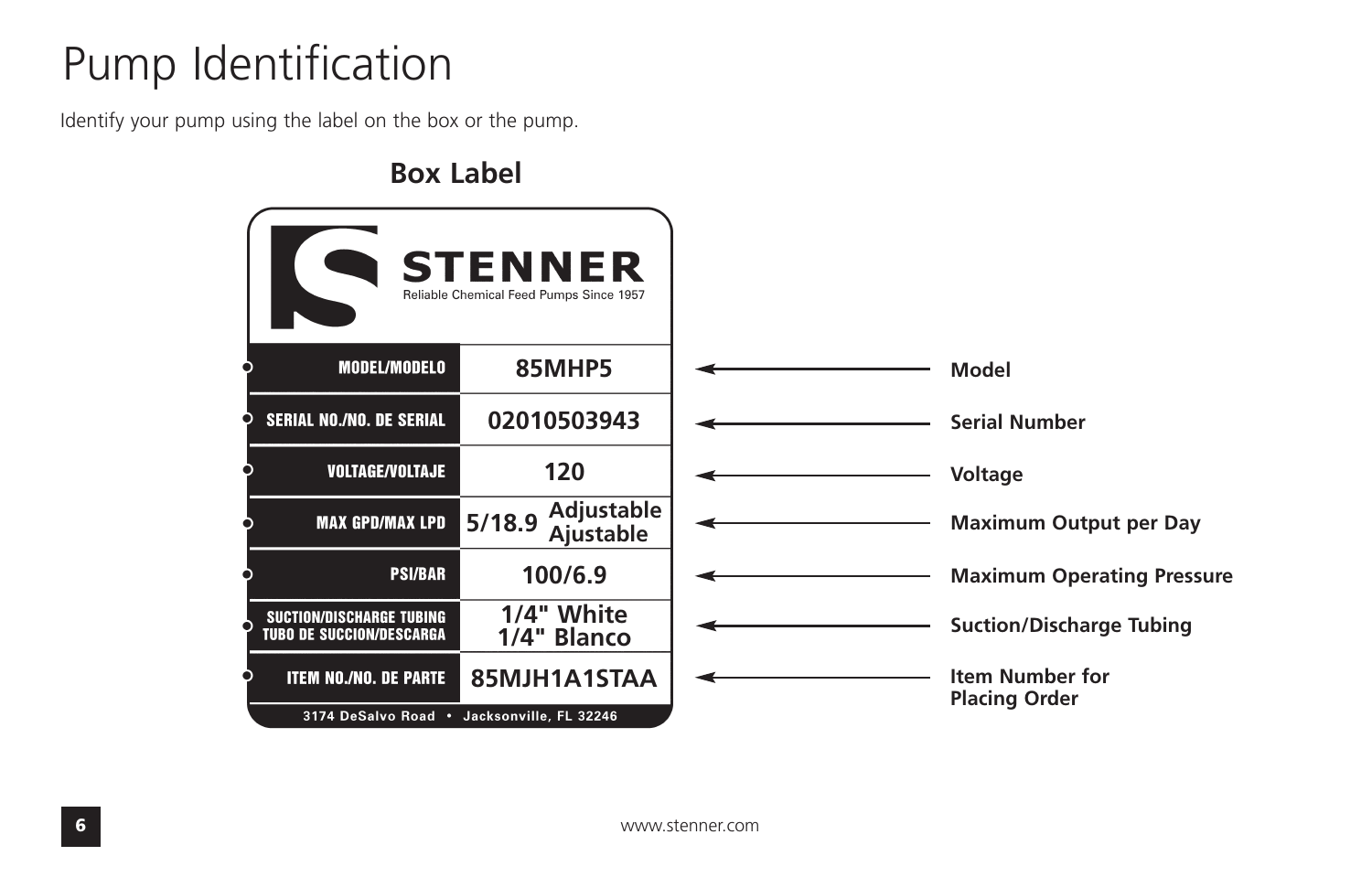# Pump Identification

Identify your pump using the label on the box or the pump.

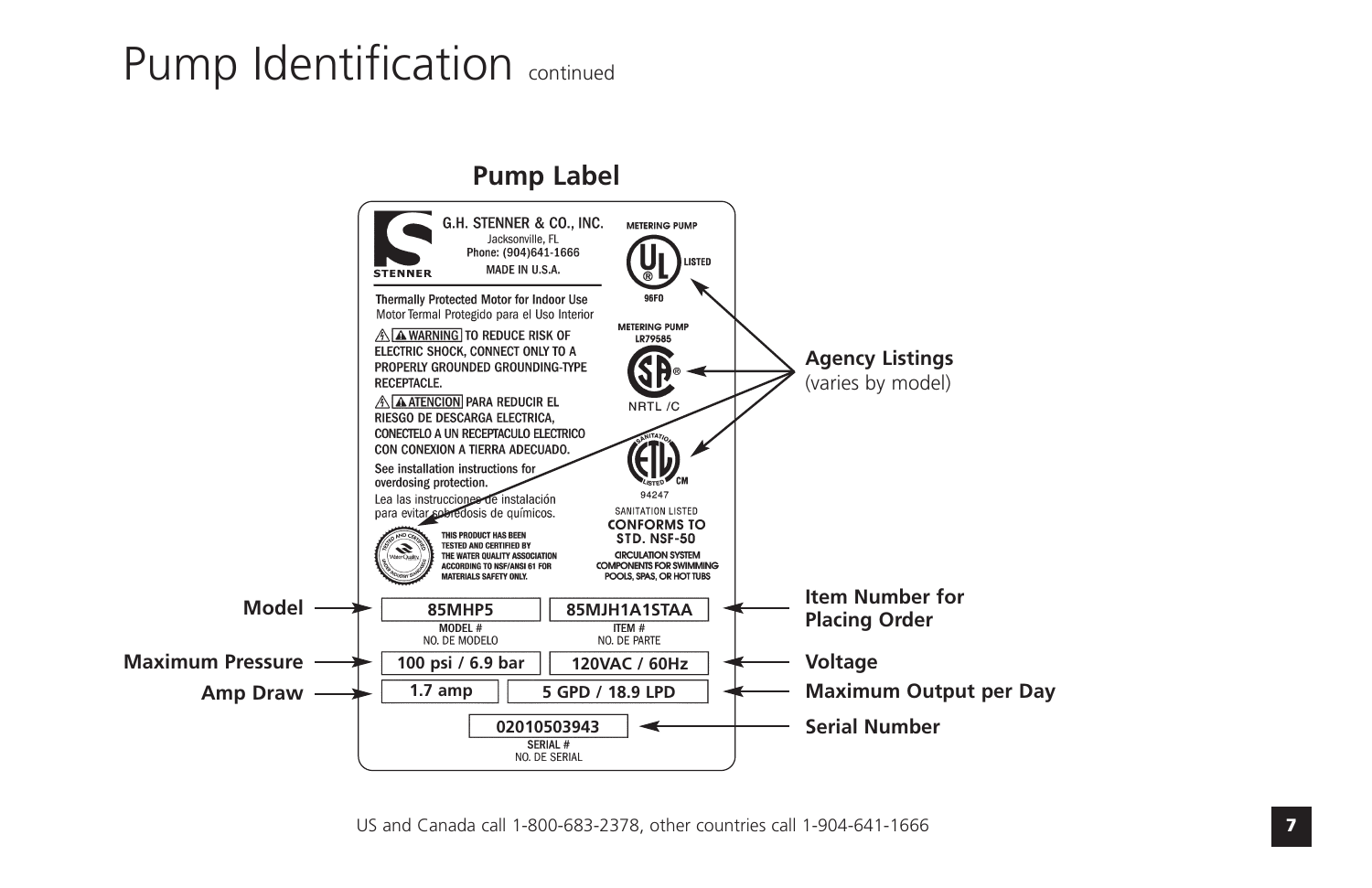# Pump Identification continued

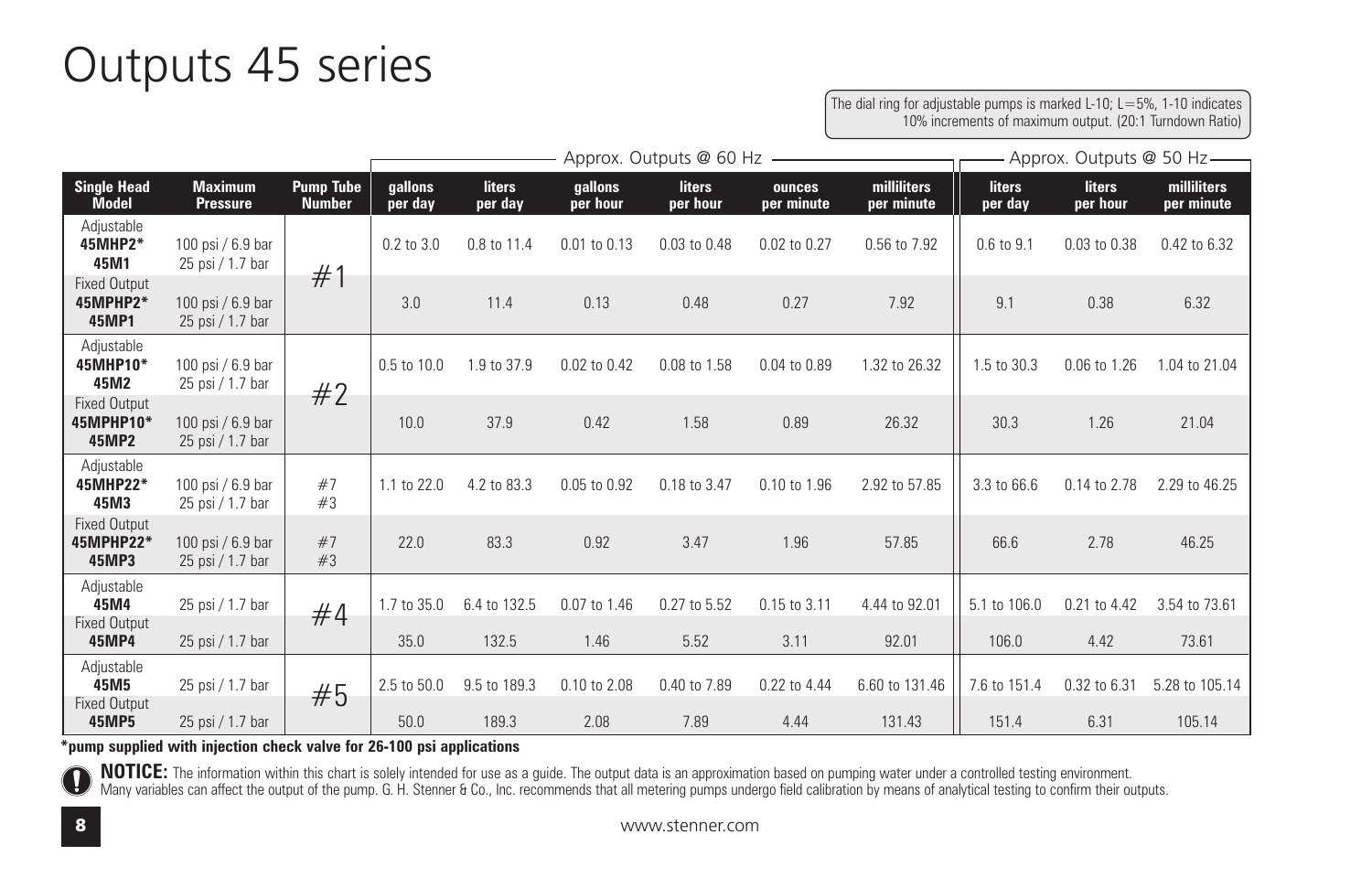# Outputs 45 series

#### The dial ring for adjustable pumps is marked L-10; L=5%, 1-10 indicates 10% increments of maximum output. (20:1 Turndown Ratio)

|                                                  |                                       |                                   |                           | Approx. Outputs @ 60 Hz - |                     |                    |                      |                           |                          | Approx. Outputs @ 50 Hz-  |                           |  |
|--------------------------------------------------|---------------------------------------|-----------------------------------|---------------------------|---------------------------|---------------------|--------------------|----------------------|---------------------------|--------------------------|---------------------------|---------------------------|--|
| <b>Single Head</b><br><b>Model</b>               | <b>Maximum</b><br><b>Pressure</b>     | <b>Pump Tube</b><br><b>Number</b> | <b>gallons</b><br>per day | <b>liters</b><br>per day  | qallons<br>per hour | liters<br>per hour | ounces<br>per minute | milliliters<br>per minute | <b>liters</b><br>per day | <b>liters</b><br>per hour | milliliters<br>per minute |  |
| Adjustable<br>45MHP2*<br>45M1                    | 100 psi / 6.9 bar<br>25 psi / 1.7 bar | #1                                | $0.2$ to $3.0$            | 0.8 to 11.4               | 0.01 to 0.13        | 0.03 to 0.48       | 0.02 to 0.27         | 0.56 to 7.92              | 0.6 to 9.1               | 0.03 to 0.38              | 0.42 to 6.32              |  |
| <b>Fixed Output</b><br>45MPHP2*<br>45MP1         | 100 psi / 6.9 bar<br>25 psi / 1.7 bar |                                   | 3.0                       | 11.4                      | 0.13                | 0.48               | 0.27                 | 7.92                      | 9.1                      | 0.38                      | 6.32                      |  |
| Adjustable<br>45MHP10*<br>45M2                   | 100 psi / 6.9 bar<br>25 psi / 1.7 bar | #2                                | 0.5 to 10.0               | 1.9 to 37.9               | 0.02 to 0.42        | 0.08 to 1.58       | 0.04 to 0.89         | 1.32 to 26.32             | 1.5 to 30.3              | 0.06 to 1.26              | 1.04 to 21.04             |  |
| <b>Fixed Output</b><br>45MPHP10*<br><b>45MP2</b> | 100 psi / 6.9 bar<br>25 psi / 1.7 bar |                                   | 10.0                      | 37.9                      | 0.42                | 1.58               | 0.89                 | 26.32                     | 30.3                     | 1.26                      | 21.04                     |  |
| Adjustable<br>45MHP22*<br>45M3                   | 100 psi / 6.9 bar<br>25 psi / 1.7 bar | #7<br>#3                          | 1.1 to 22.0               | 4.2 to 83.3               | 0.05 to 0.92        | 0.18 to 3.47       | 0.10 to 1.96         | 2.92 to 57.85             | 3.3 to 66.6              | 0.14 to 2.78              | 2.29 to 46.25             |  |
| <b>Fixed Output</b><br>45MPHP22*<br>45MP3        | 100 psi / 6.9 bar<br>25 psi / 1.7 bar | #7<br>#3                          | 22.0                      | 83.3                      | 0.92                | 3.47               | 1.96                 | 57.85                     | 66.6                     | 2.78                      | 46.25                     |  |
| Adjustable<br>45M4                               | 25 psi / 1.7 bar                      | #4                                | 1.7 to 35.0               | 6.4 to 132.5              | 0.07 to 1.46        | 0.27 to 5.52       | 0.15 to 3.11         | 4.44 to 92.01             | 5.1 to 106.0             | 0.21 to 4.42              | 3.54 to 73.61             |  |
| <b>Fixed Output</b><br><b>45MP4</b>              | 25 psi / 1.7 bar                      |                                   | 35.0                      | 132.5                     | 1.46                | 5.52               | 3.11                 | 92.01                     | 106.0                    | 4.42                      | 73.61                     |  |
| Adjustable<br>45M5                               | 25 psi / 1.7 bar                      | #5                                | 2.5 to 50.0               | 9.5 to 189.3              | 0.10 to 2.08        | 0.40 to 7.89       | 0.22 to 4.44         | 6.60 to 131.46            | 7.6 to 151.4             | 0.32 to 6.31              | 5.28 to 105.14            |  |
| <b>Fixed Output</b><br><b>45MP5</b>              | 25 psi / 1.7 bar                      |                                   | 50.0                      | 189.3                     | 2.08                | 7.89               | 4.44                 | 131.43                    | 151.4                    | 6.31                      | 105.14                    |  |

**\*pump supplied with injection check valve for 26-100 psi applications**

NOTICE: The information within this chart is solely intended for use as a guide. The output data is an approximation based on pumping water under a controlled testing environment.<br>Many variables can affect the output of th  $\mathbf 0$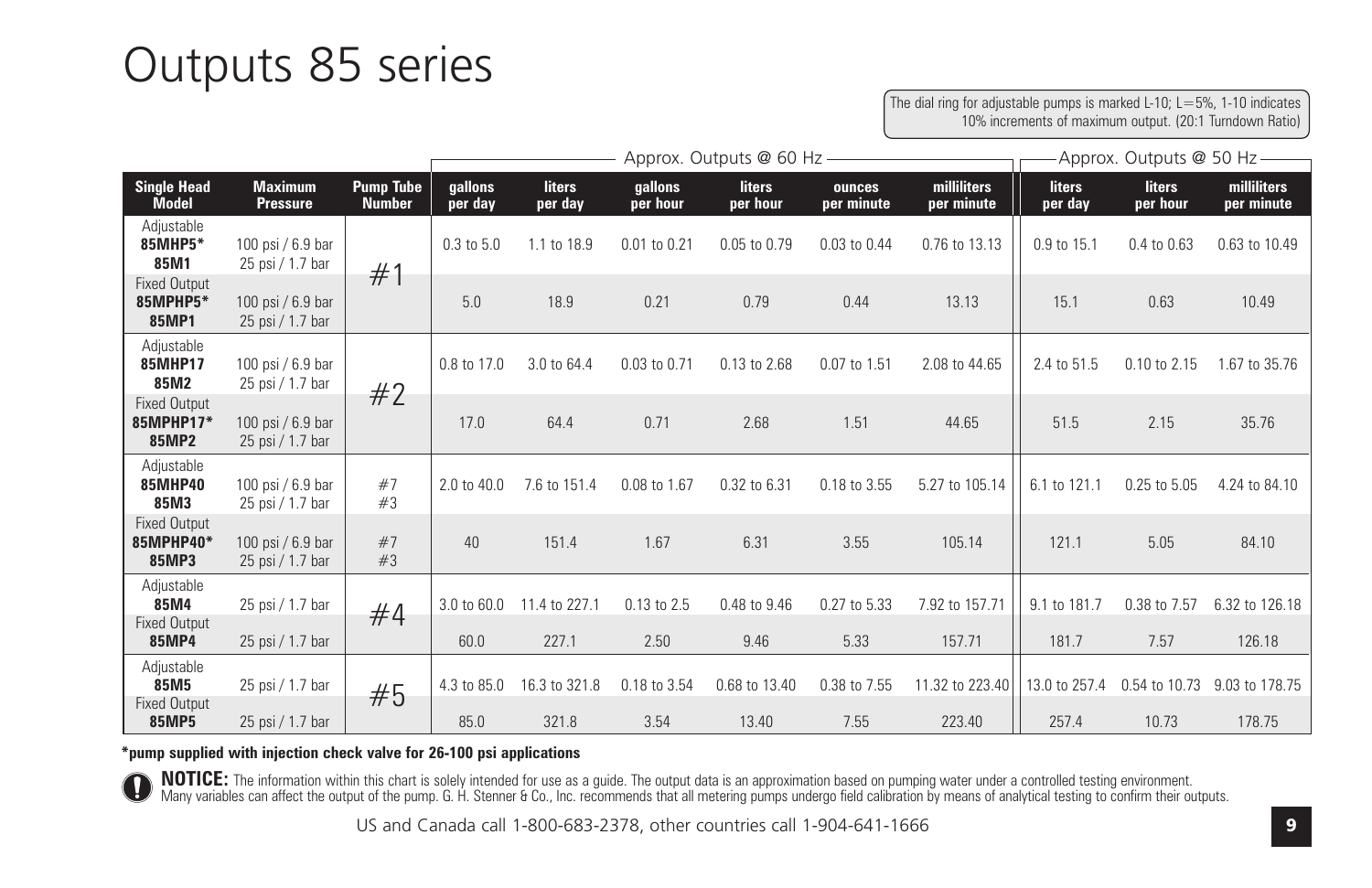# Outputs 85 series

The dial ring for adjustable pumps is marked L-10; L=5%, 1-10 indicates 10% increments of maximum output. (20:1 Turndown Ratio)

|                                                  |                                       |                                   | Approx. Outputs @ 60 Hz - |                   |                     |                           |                      |                           | Approx. Outputs @ 50 Hz - |                           |                           |
|--------------------------------------------------|---------------------------------------|-----------------------------------|---------------------------|-------------------|---------------------|---------------------------|----------------------|---------------------------|---------------------------|---------------------------|---------------------------|
| <b>Single Head</b><br><b>Model</b>               | <b>Maximum</b><br><b>Pressure</b>     | <b>Pump Tube</b><br><b>Number</b> | qallons<br>per day        | liters<br>per day | qallons<br>per hour | <b>liters</b><br>per hour | ounces<br>per minute | milliliters<br>per minute | <b>liters</b><br>per day  | <b>liters</b><br>per hour | milliliters<br>per minute |
| Adjustable<br>85MHP5*<br>85M1                    | 100 psi / 6.9 bar<br>25 psi / 1.7 bar | #1                                | 0.3 to 5.0                | 1.1 to 18.9       | 0.01 to 0.21        | 0.05 to 0.79              | 0.03 to 0.44         | 0.76 to 13.13             | 0.9 to 15.1               | 0.4 to 0.63               | 0.63 to 10.49             |
| <b>Fixed Output</b><br>85MPHP5*<br>85MP1         | 100 psi / 6.9 bar<br>25 psi / 1.7 bar |                                   | 5.0                       | 18.9              | 0.21                | 0.79                      | 0.44                 | 13.13                     | 15.1                      | 0.63                      | 10.49                     |
| Adjustable<br>85MHP17<br>85M2                    | 100 psi / 6.9 bar<br>25 psi / 1.7 bar | #2                                | 0.8 to 17.0               | 3.0 to 64.4       | 0.03 to 0.71        | 0.13 to 2.68              | 0.07 to 1.51         | 2.08 to 44.65             | 2.4 to 51.5               | 0.10 to 2.15              | 1.67 to 35.76             |
| <b>Fixed Output</b><br>85MPHP17*<br><b>85MP2</b> | 100 psi / 6.9 bar<br>25 psi / 1.7 bar |                                   | 17.0                      | 64.4              | 0.71                | 2.68                      | 1.51                 | 44.65                     | 51.5                      | 2.15                      | 35.76                     |
| Adjustable<br><b>85MHP40</b><br>85M3             | 100 psi / 6.9 bar<br>25 psi / 1.7 bar | #7<br>#3                          | 2.0 to 40.0               | 7.6 to 151.4      | 0.08 to 1.67        | 0.32 to 6.31              | 0.18 to 3.55         | 5.27 to 105.14            | 6.1 to 121.1              | 0.25 to 5.05              | 4.24 to 84.10             |
| <b>Fixed Output</b><br>85MPHP40*<br>85MP3        | 100 psi / 6.9 bar<br>25 psi / 1.7 bar | #7<br>#3                          | 40                        | 151.4             | 1.67                | 6.31                      | 3.55                 | 105.14                    | 121.1                     | 5.05                      | 84.10                     |
| Adjustable<br>85M4                               | 25 psi / 1.7 bar                      | #4                                | 3.0 to 60.0               | 11.4 to 227.1     | 0.13 to 2.5         | 0.48 to 9.46              | 0.27 to 5.33         | 7.92 to 157.71            | 9.1 to 181.7              | 0.38 to 7.57              | 6.32 to 126.18            |
| <b>Fixed Output</b><br><b>85MP4</b>              | 25 psi / 1.7 bar                      |                                   | 60.0                      | 227.1             | 2.50                | 9.46                      | 5.33                 | 157.71                    | 181.7                     | 7.57                      | 126.18                    |
| Adjustable<br>85M5                               | 25 psi / 1.7 bar                      | #5                                | 4.3 to 85.0               | 16.3 to 321.8     | 0.18 to 3.54        | 0.68 to 13.40             | 0.38 to 7.55         | 11.32 to 223.40           | 13.0 to 257.4             | 0.54 to 10.73             | 9.03 to 178.75            |
| <b>Fixed Output</b><br><b>85MP5</b>              | 25 psi / 1.7 bar                      |                                   | 85.0                      | 321.8             | 3.54                | 13.40                     | 7.55                 | 223.40                    | 257.4                     | 10.73                     | 178.75                    |

**\*pump supplied with injection check valve for 26-100 psi applications**

NOTICE: The information within this chart is solely intended for use as a guide. The output data is an approximation based on pumping water under a controlled testing environment.<br>Many variables can affect the output of th

US and Canada call 1-800-683-2378, other countries call 1-904-641-1666 **9**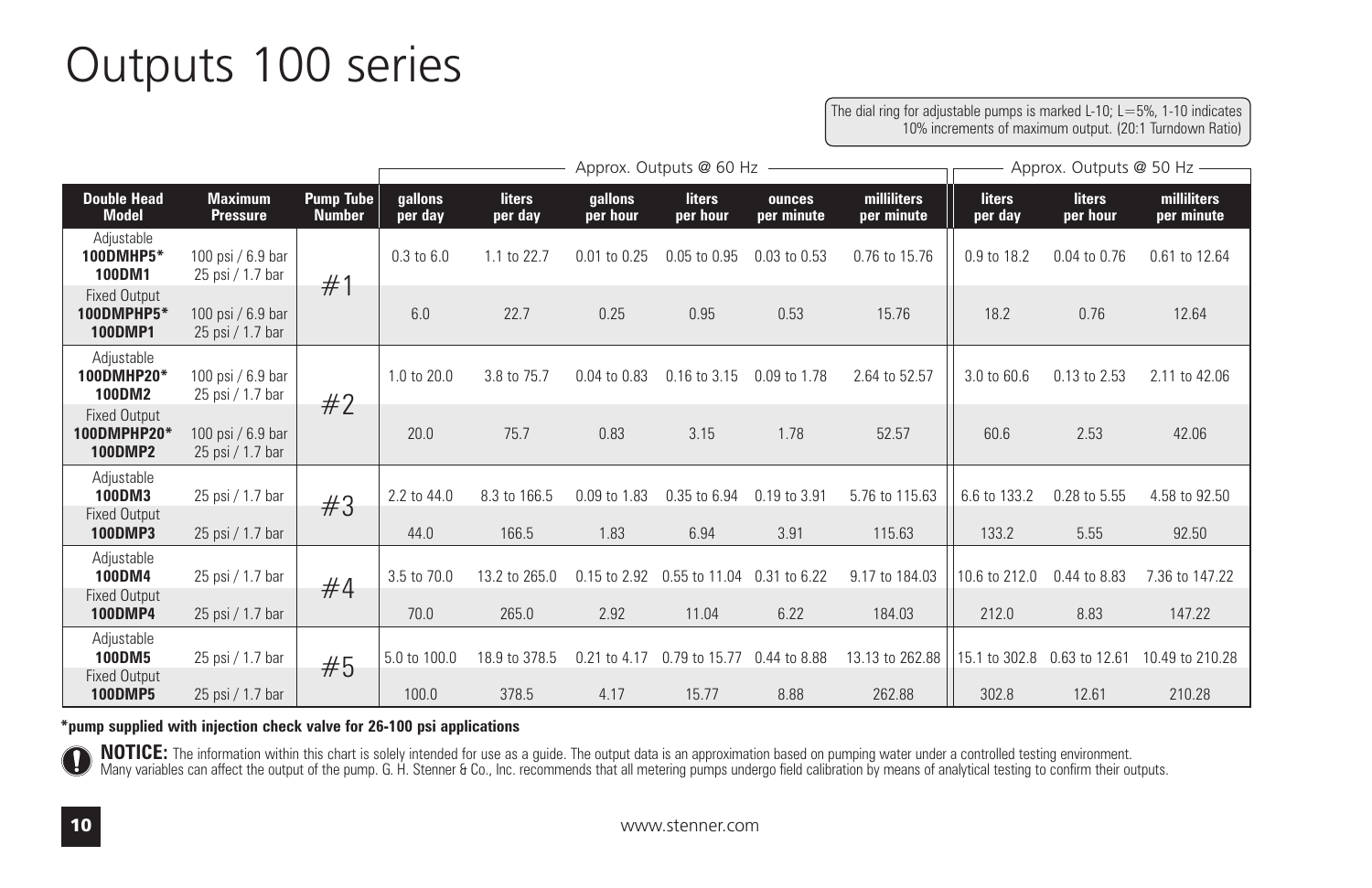# Outputs 100 series

#### The dial ring for adjustable pumps is marked L-10;  $L=5%$ , 1-10 indicates 10% increments of maximum output. (20:1 Turndown Ratio)

|                                                               |                                       |                                   |                           |                       | Approx. Outputs @ 60 Hz - |                           | Approx. Outputs @ 50 Hz — |                           |                          |                             |                           |
|---------------------------------------------------------------|---------------------------------------|-----------------------------------|---------------------------|-----------------------|---------------------------|---------------------------|---------------------------|---------------------------|--------------------------|-----------------------------|---------------------------|
|                                                               |                                       |                                   |                           |                       |                           |                           |                           |                           |                          |                             |                           |
| <b>Double Head</b><br><b>Model</b>                            | <b>Maximum</b><br><b>Pressure</b>     | <b>Pump Tube</b><br><b>Number</b> | <b>gallons</b><br>per day | liters<br>per day     | gallons<br>per hour       | <b>liters</b><br>per hour | ounces<br>per minute      | milliliters<br>per minute | <b>liters</b><br>per day | liters<br>per hour          | milliliters<br>per minute |
| Adjustable<br>100DMHP5*<br>100DM1                             | 100 psi / 6.9 bar<br>25 psi / 1.7 bar | #1                                | $0.3$ to $6.0$            | 1.1 to 22.7           | 0.01 to 0.25              | 0.05 to 0.95              | 0.03 to 0.53              | 0.76 to 15.76             | 0.9 to 18.2              | 0.04 to 0.76                | 0.61 to 12.64             |
| <b>Fixed Output</b><br>100DMPHP5*<br><b>100DMP1</b>           | 100 psi / 6.9 bar<br>25 psi / 1.7 bar |                                   | 6.0                       | 22.7                  | 0.25                      | 0.95                      | 0.53                      | 15.76                     | 18.2                     | 0.76                        | 12.64                     |
| Adjustable<br>100DMHP20*<br>100DM2                            | 100 psi / 6.9 bar<br>25 psi / 1.7 bar | #2                                | 1.0 to 20.0               | 3.8 to 75.7           | 0.04 to 0.83              | 0.16 to 3.15              | 0.09 to 1.78              | 2.64 to 52.57             | 3.0 to 60.6              | 0.13 to 2.53                | 2.11 to 42.06             |
| <b>Fixed Output</b><br>100DMPHP20*<br><b>100DMP2</b>          | 100 psi / 6.9 bar<br>25 psi / 1.7 bar |                                   | 20.0                      | 75.7                  | 0.83                      | 3.15                      | 1.78                      | 52.57                     | 60.6                     | 2.53                        | 42.06                     |
| Adjustable<br>100DM3<br><b>Fixed Output</b><br><b>100DMP3</b> | 25 psi / 1.7 bar<br>25 psi / 1.7 bar  | #3                                | 2.2 to 44.0<br>44.0       | 8.3 to 166.5<br>166.5 | 0.09 to 1.83<br>1.83      | 0.35 to 6.94<br>6.94      | 0.19 to 3.91<br>3.91      | 5.76 to 115.63<br>115.63  | 6.6 to 133.2<br>133.2    | 0.28 to 5.55<br>5.55        | 4.58 to 92.50<br>92.50    |
| Adjustable<br>100DM4                                          | 25 psi / 1.7 bar                      |                                   | 3.5 to 70.0               | 13.2 to 265.0         | 0.15 to 2.92              | 0.55 to 11.04             | 0.31 to 6.22              | 9.17 to 184.03            | 10.6 to 212.0            | 0.44 to 8.83                | 7.36 to 147.22            |
| <b>Fixed Output</b><br><b>100DMP4</b>                         | 25 psi / 1.7 bar                      | #4                                | 70.0                      | 265.0                 | 2.92                      | 11.04                     | 6.22                      | 184.03                    | 212.0                    | 8.83                        | 147.22                    |
| Adjustable<br>100DM5                                          | 25 psi / 1.7 bar                      | #5                                | 5.0 to 100.0              | 18.9 to 378.5         | 0.21 to 4.17              | 0.79 to 15.77             | 0.44 to 8.88              | 13.13 to 262.88           |                          | 15.1 to 302.8 0.63 to 12.61 | 10.49 to 210.28           |
| <b>Fixed Output</b><br><b>100DMP5</b>                         | 25 psi / 1.7 bar                      |                                   | 100.0                     | 378.5                 | 4.17                      | 15.77                     | 8.88                      | 262.88                    | 302.8                    | 12.61                       | 210.28                    |

#### **\*pump supplied with injection check valve for 26-100 psi applications**

NOTICE: The information within this chart is solely intended for use as a guide. The output data is an approximation based on pumping water under a controlled testing environment.<br>Many variables can affect the output of th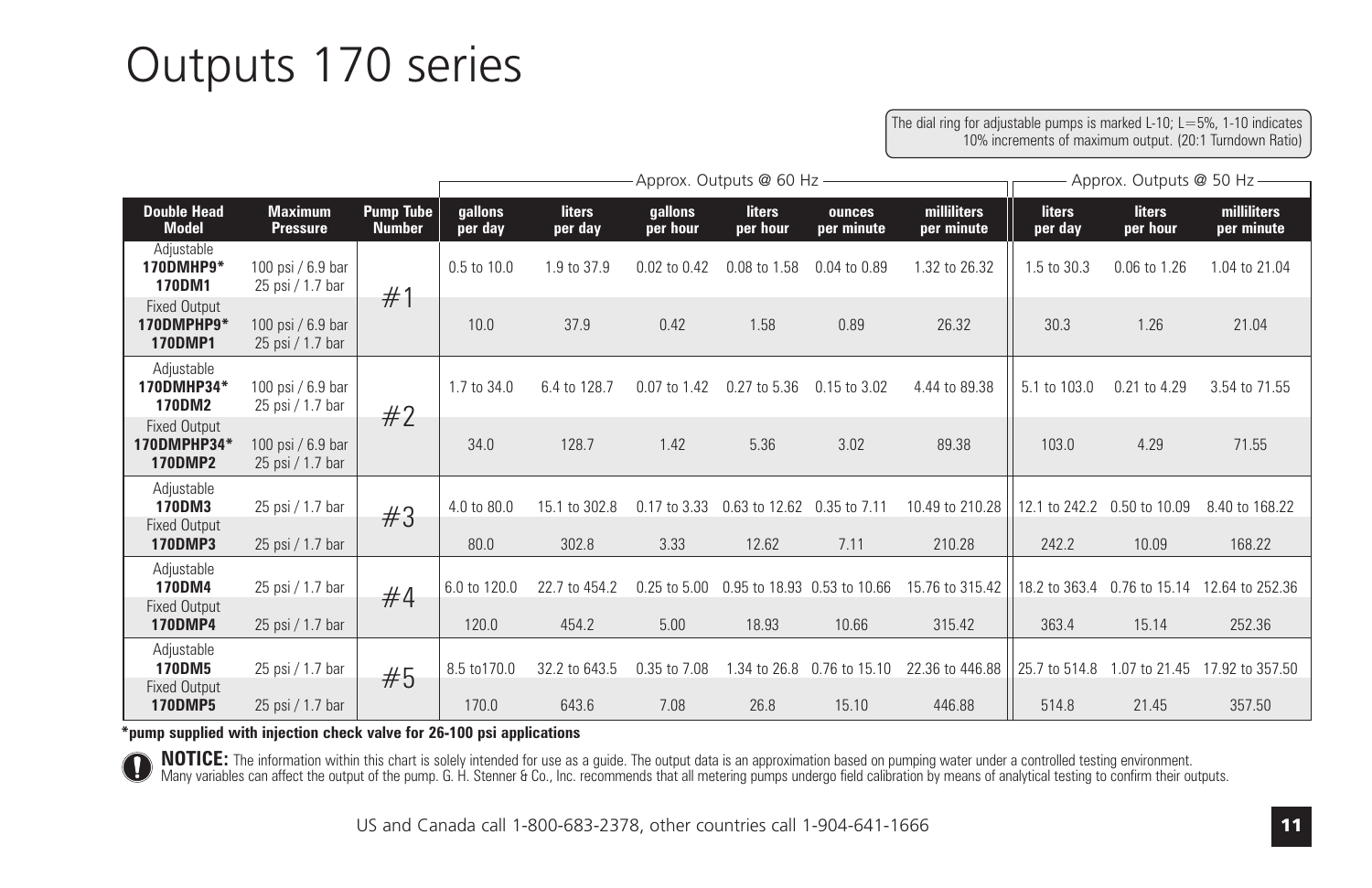# Outputs 170 series

The dial ring for adjustable pumps is marked L-10;  $L = 5\%$ , 1-10 indicates 10% increments of maximum output. (20:1 Turndown Ratio)

|                                                      |                                       |                                   |                    |                          | Approx. Outputs @ 60 Hz - |                             |                      | Approx. Outputs @ 50 Hz - |                          |                           |                           |
|------------------------------------------------------|---------------------------------------|-----------------------------------|--------------------|--------------------------|---------------------------|-----------------------------|----------------------|---------------------------|--------------------------|---------------------------|---------------------------|
|                                                      |                                       |                                   |                    |                          |                           |                             |                      |                           |                          |                           |                           |
| <b>Double Head</b><br><b>Model</b>                   | <b>Maximum</b><br><b>Pressure</b>     | <b>Pump Tube</b><br><b>Number</b> | qallons<br>per day | <b>liters</b><br>per day | qallons<br>per hour       | liters<br>per hour          | ounces<br>per minute | milliliters<br>per minute | <b>liters</b><br>per day | <b>liters</b><br>per hour | milliliters<br>per minute |
| Adjustable<br>170DMHP9*<br>170DM1                    | 100 psi / 6.9 bar<br>25 psi / 1.7 bar | #1                                | 0.5 to 10.0        | 1.9 to 37.9              | 0.02 to 0.42              | 0.08 to 1.58                | 0.04 to 0.89         | 1.32 to 26.32             | 1.5 to 30.3              | 0.06 to 1.26              | 1.04 to 21.04             |
| <b>Fixed Output</b><br>170DMPHP9*<br><b>170DMP1</b>  | 100 psi / 6.9 bar<br>25 psi / 1.7 bar |                                   | 10.0               | 37.9                     | 0.42                      | 1.58                        | 0.89                 | 26.32                     | 30.3                     | 1.26                      | 21.04                     |
| Adjustable<br>170DMHP34*<br>170DM2                   | 100 psi / 6.9 bar<br>25 psi / 1.7 bar | #2                                | 1.7 to 34.0        | 6.4 to 128.7             | 0.07 to 1.42              | 0.27 to 5.36                | 0.15 to 3.02         | 4.44 to 89.38             | 5.1 to 103.0             | 0.21 to 4.29              | 3.54 to 71.55             |
| <b>Fixed Output</b><br>170DMPHP34*<br><b>170DMP2</b> | 100 psi / 6.9 bar<br>25 psi / 1.7 bar |                                   | 34.0               | 128.7                    | 1.42                      | 5.36                        | 3.02                 | 89.38                     | 103.0                    | 4.29                      | 71.55                     |
| Adjustable<br>170DM3                                 | 25 psi / 1.7 bar                      | #3                                | 4.0 to 80.0        | 15.1 to 302.8            | 0.17 to 3.33              | 0.63 to 12.62 0.35 to 7.11  |                      | 10.49 to 210.28           | 12.1 to 242.2            | 0.50 to 10.09             | 8.40 to 168.22            |
| <b>Fixed Output</b><br><b>170DMP3</b>                | 25 psi / 1.7 bar                      |                                   | 80.0               | 302.8                    | 3.33                      | 12.62                       | 7.11                 | 210.28                    | 242.2                    | 10.09                     | 168.22                    |
| Adjustable<br>170DM4                                 | 25 psi / 1.7 bar                      | #4                                | 6.0 to 120.0       | 22.7 to 454.2            | 0.25 to 5.00              | 0.95 to 18.93 0.53 to 10.66 |                      | 15.76 to 315.42           | 18.2 to 363.4            | 0.76 to 15.14             | 12.64 to 252.36           |
| <b>Fixed Output</b><br><b>170DMP4</b>                | 25 psi / 1.7 bar                      |                                   | 120.0              | 454.2                    | 5.00                      | 18.93                       | 10.66                | 315.42                    | 363.4                    | 15.14                     | 252.36                    |
| Adjustable<br>170DM5                                 | 25 psi / 1.7 bar                      | #5                                | 8.5 to 170.0       | 32.2 to 643.5            | 0.35 to 7.08              | .34 to 26.8                 | 0.76 to 15.10        | 22.36 to 446.88           | 25.7 to 514.8            | 1.07 to 21.45             | 17.92 to 357.50           |
| <b>Fixed Output</b><br><b>170DMP5</b>                | 25 psi / 1.7 bar                      |                                   | 170.0              | 643.6                    | 7.08                      | 26.8                        | 15.10                | 446.88                    | 514.8                    | 21.45                     | 357.50                    |

**\*pump supplied with injection check valve for 26-100 psi applications**

NOTICE: The information within this chart is solely intended for use as a guide. The output data is an approximation based on pumping water under a controlled testing environment.<br>Many variables can affect the output of th

US and Canada call 1-800-683-2378, other countries call 1-904-641-1666 **11**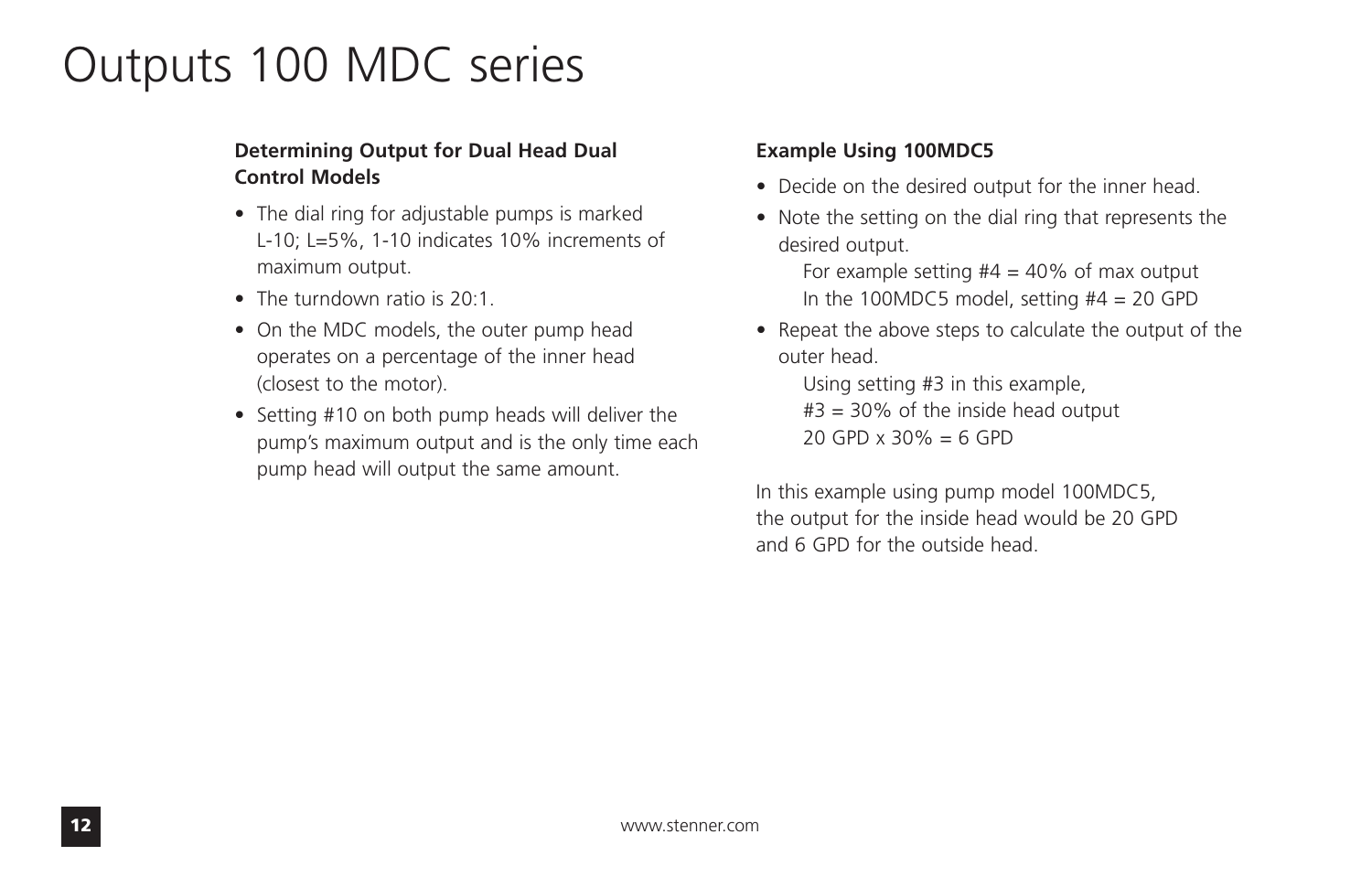# Outputs 100 MDC series

#### **Determining Output for Dual Head Dual Control Models**

- The dial ring for adjustable pumps is marked L-10; L=5%, 1-10 indicates 10% increments of maximum output.
- The turndown ratio is 20:1.
- On the MDC models, the outer pump head operates on a percentage of the inner head (closest to the motor).
- Setting #10 on both pump heads will deliver the pump's maximum output and is the only time each pump head will output the same amount.

#### **Example Using 100MDC5**

- Decide on the desired output for the inner head.
- Note the setting on the dial ring that represents the desired output.

For example setting  $#4 = 40\%$  of max output In the 100MDC5 model, setting  $#4 = 20$  GPD

• Repeat the above steps to calculate the output of the outer head.

Using setting #3 in this example, #3 = 30% of the inside head output 20 GPD x 30% = 6 GPD

In this example using pump model 100MDC5, the output for the inside head would be 20 GPD and 6 GPD for the outside head.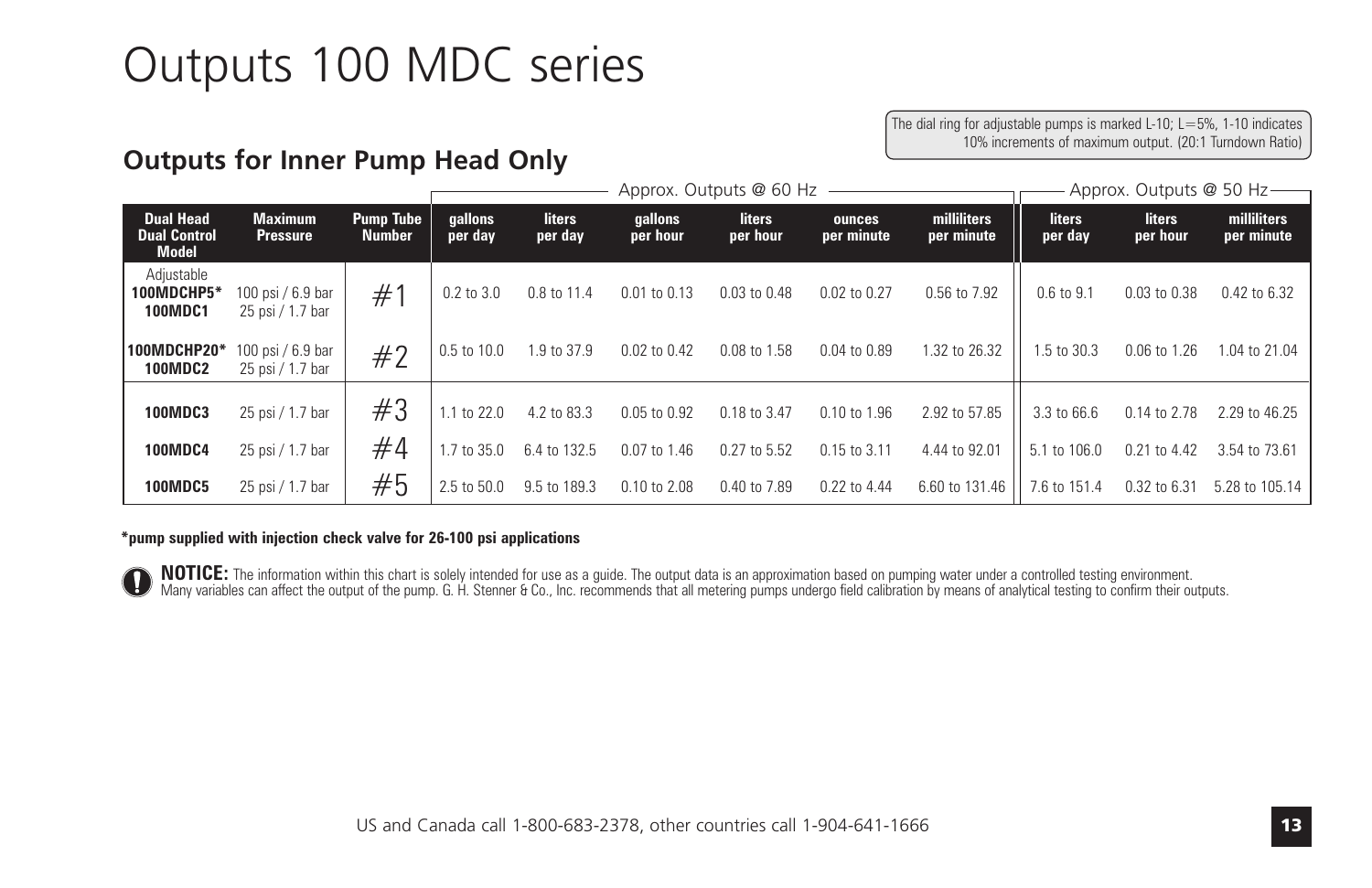# Outputs 100 MDC series

#### **Outputs for Inner Pump Head Only**

The dial ring for adjustable pumps is marked L-10;  $L = 5\%$ , 1-10 indicates 10% increments of maximum output. (20:1 Turndown Ratio)

|                                                         |                                        |                                   |                    | Approx. Outputs @ 60 Hz  |                     |                           |                      |                           | Approx. Outputs @ 50 Hz- |                           |                           |
|---------------------------------------------------------|----------------------------------------|-----------------------------------|--------------------|--------------------------|---------------------|---------------------------|----------------------|---------------------------|--------------------------|---------------------------|---------------------------|
| <b>Dual Head</b><br><b>Dual Control</b><br><b>Model</b> | <b>Maximum</b><br><b>Pressure</b>      | <b>Pump Tube</b><br><b>Number</b> | qallons<br>per day | <b>liters</b><br>per day | gallons<br>per hour | <b>liters</b><br>per hour | ounces<br>per minute | milliliters<br>per minute | <b>liters</b><br>per day | <b>liters</b><br>per hour | milliliters<br>per minute |
| Adjustable<br>100MDCHP5*<br><b>100MDC1</b>              | 100 psi $/6.9$ bar<br>25 psi / 1.7 bar | #1                                | $0.2$ to $3.0$     | 0.8 to 11.4              | $0.01$ to $0.13$    | 0.03 to 0.48              | $0.02$ to $0.27$     | 0.56 to 7.92              | $0.6$ to $9.1$           | $0.03$ to $0.38$          | 0.42 to 6.32              |
| 100MDCHP20*<br><b>100MDC2</b>                           | 100 psi / 6.9 bar<br>25 psi / 1.7 bar  | #2                                | $0.5$ to $10.0$    | 1.9 to 37.9              | $0.02$ to $0.42$    | 0.08 to 1.58              | 0.04 to 0.89         | 1.32 to 26.32             | 1.5 to 30.3              | 0.06 to 1.26              | 1.04 to 21.04             |
| <b>100MDC3</b>                                          | 25 psi / 1.7 bar                       | #3                                | 1.1 to 22.0        | 4.2 to 83.3              | 0.05 to 0.92        | 0.18 to 3.47              | 0.10 to 1.96         | 2.92 to 57.85             | 3.3 to 66.6              | 0.14 to 2.78              | 2.29 to 46.25             |
| <b>100MDC4</b>                                          | 25 psi / 1.7 bar                       | #4                                | 1.7 to 35.0        | 6.4 to 132.5             | 0.07 to 1.46        | 0.27 to 5.52              | 0.15 to 3.11         | 4.44 to 92.01             | 5.1 to 106.0             | 0.21 to 4.42              | 3.54 to 73.61             |
| <b>100MDC5</b>                                          | 25 psi / 1.7 bar                       | #5                                | 2.5 to 50.0        | 9.5 to 189.3             | 0.10 to 2.08        | 0.40 to 7.89              | 0.22 to 4.44         | 6.60 to 131.46            | 7.6 to 151.4             | 0.32 to 6.31              | 5.28 to 105.14            |

#### **\*pump supplied with injection check valve for 26-100 psi applications**

NOTICE: The information within this chart is solely intended for use as a guide. The output data is an approximation based on pumping water under a controlled testing environment.<br>Many variables can affect the output of th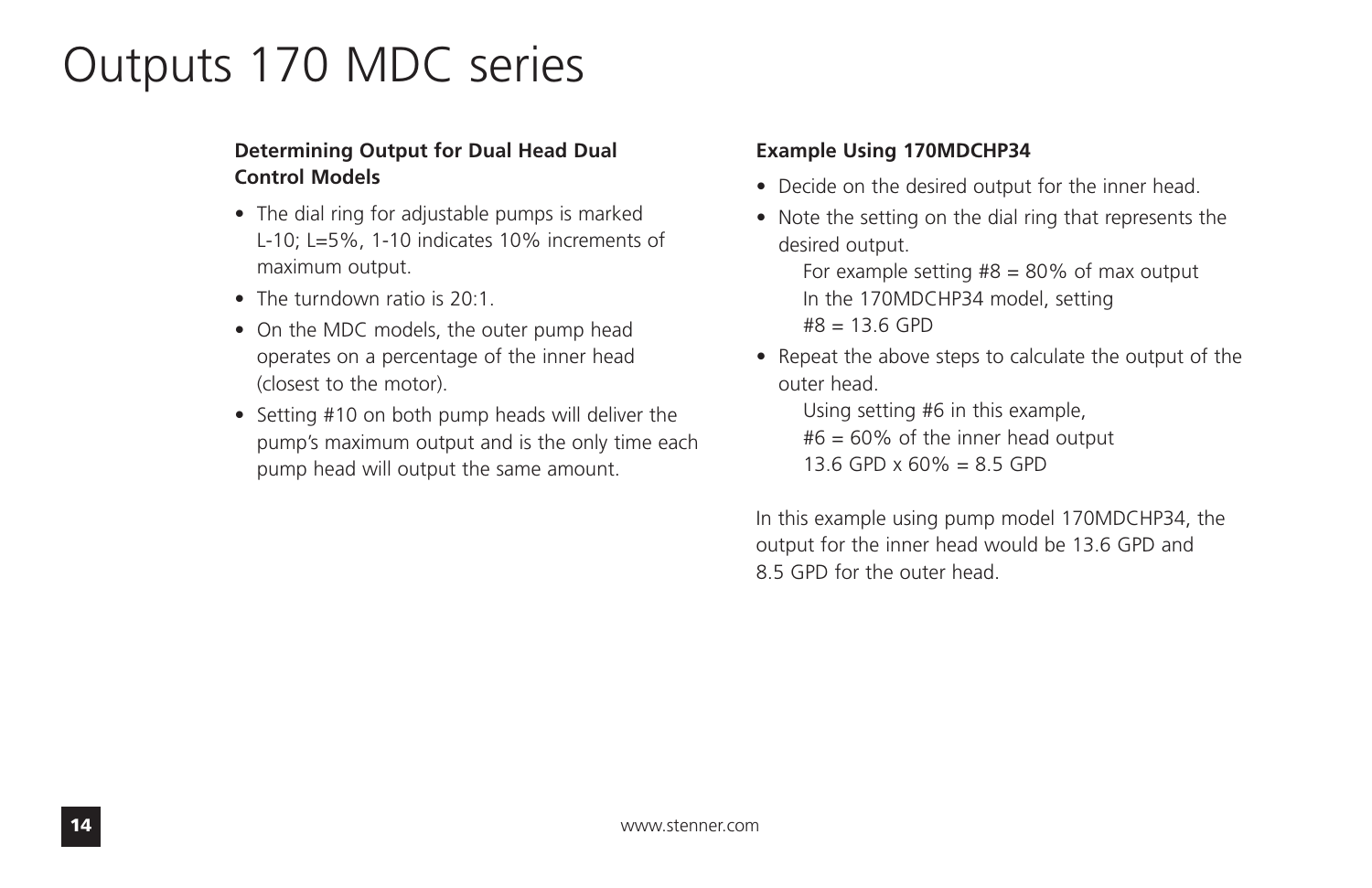# Outputs 170 MDC series

#### **Determining Output for Dual Head Dual Control Models**

- The dial ring for adjustable pumps is marked L-10; L=5%, 1-10 indicates 10% increments of maximum output.
- The turndown ratio is 20:1.
- On the MDC models, the outer pump head operates on a percentage of the inner head (closest to the motor).
- Setting #10 on both pump heads will deliver the pump's maximum output and is the only time each pump head will output the same amount.

#### **Example Using 170MDCHP34**

- Decide on the desired output for the inner head.
- Note the setting on the dial ring that represents the desired output.

For example setting  $#8 = 80\%$  of max output In the 170MDCHP34 model, setting  $#8 = 13.6$  GPD

• Repeat the above steps to calculate the output of the outer head.

Using setting #6 in this example,  $#6 = 60\%$  of the inner head output

13.6 GPD x 60% = 8.5 GPD

In this example using pump model 170MDCHP34, the output for the inner head would be 13.6 GPD and 8.5 GPD for the outer head.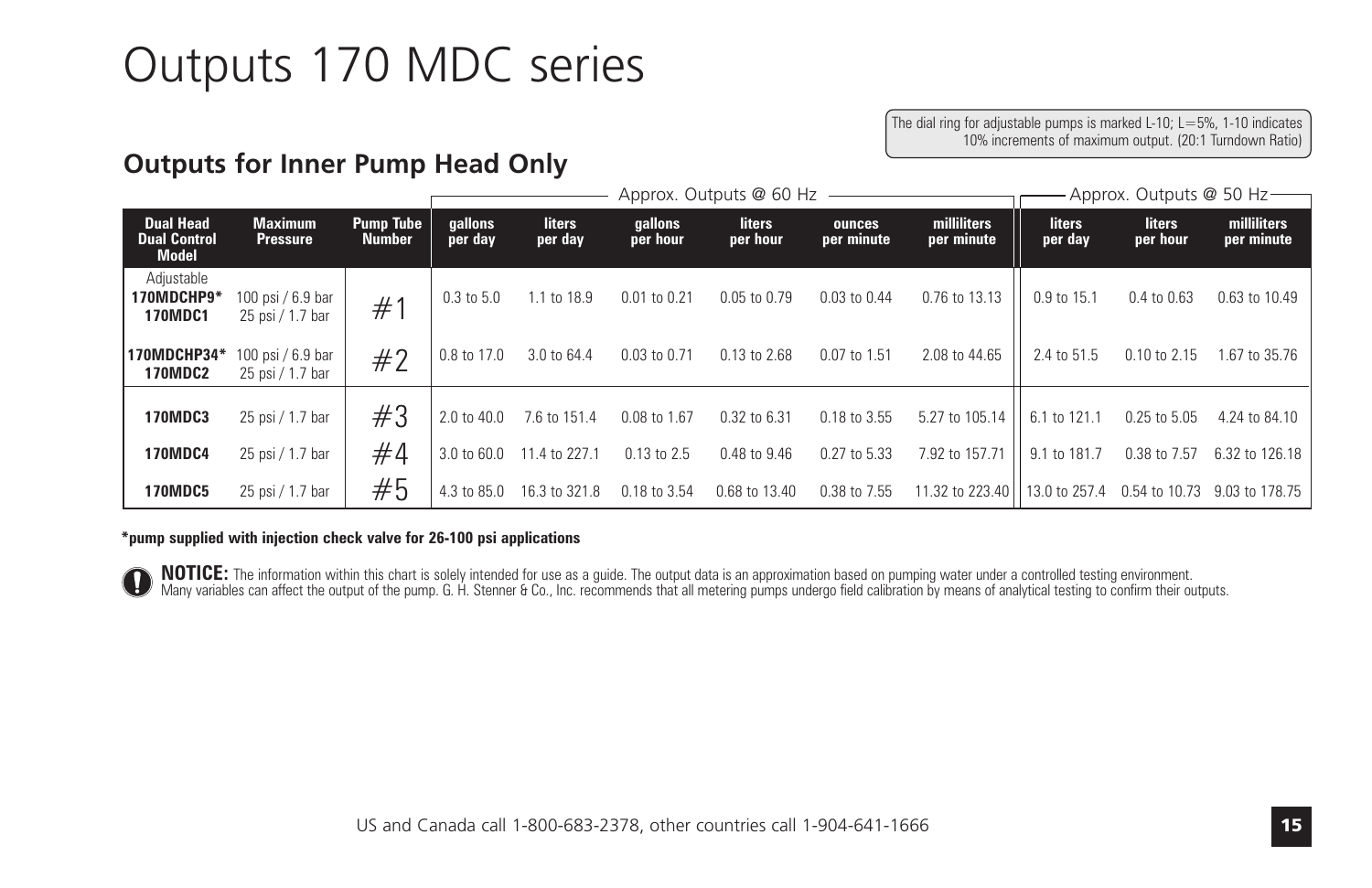# Outputs 170 MDC series

The dial ring for adjustable pumps is marked L-10;  $L = 5\%$ , 1-10 indicates 10% increments of maximum output. (20:1 Turndown Ratio)

#### **Outputs for Inner Pump Head Only**

|                                                  |                                       |                                   |                        | Approx. Outputs @ 60 Hz  |                     |                    |                             |                           | Approx. Outputs @ 50 Hz — |                           |                           |
|--------------------------------------------------|---------------------------------------|-----------------------------------|------------------------|--------------------------|---------------------|--------------------|-----------------------------|---------------------------|---------------------------|---------------------------|---------------------------|
| <b>Dual Head</b><br><b>Dual Control</b><br>Model | <b>Maximum</b><br><b>Pressure</b>     | <b>Pump Tube</b><br><b>Number</b> | qallons<br>per day     | <b>liters</b><br>per day | gallons<br>per hour | liters<br>per hour | <b>ounces</b><br>per minute | milliliters<br>per minute | <b>liters</b><br>per day  | <b>liters</b><br>per hour | milliliters<br>per minute |
| Adjustable<br>170MDCHP9*<br><b>170MDC1</b>       | 100 psi / 6.9 bar<br>25 psi / 1.7 bar | # <sup>1</sup>                    | $0.3 \text{ to } 5.0$  | 1.1 to 18.9              | $0.01$ to $0.21$    | $0.05$ to $0.79$   | $0.03$ to $0.44$            | 0.76 to 13.13             | 0.9 to 15.1               | $0.4 \text{ to } 0.63$    | 0.63 to 10.49             |
| 170MDCHP34*<br><b>170MDC2</b>                    | 100 psi / 6.9 bar<br>25 psi / 1.7 bar | #2                                | 0.8 to 17.0            | 3.0 to 64.4              | $0.03$ to $0.71$    | 0.13 to 2.68       | 0.07 to 1.51                | 2.08 to 44.65             | 2.4 to 51.5               | $0.10$ to $2.15$          | 1.67 to 35.76             |
| <b>170MDC3</b>                                   | 25 psi / 1.7 bar                      | #3                                | 2.0 to 40.0            | 7.6 to 151.4             | 0.08 to 1.67        | 0.32 to 6.31       | 0.18 to 3.55                | 5.27 to 105.14            | 6.1 to 121.1              | 0.25 to 5.05              | 4.24 to 84.10             |
| <b>170MDC4</b>                                   | 25 psi / 1.7 bar                      | #4                                | $3.0 \text{ to } 60.0$ | 11.4 to 227.1            | 0.13 to 2.5         | 0.48 to 9.46       | 0.27 to 5.33                | 7.92 to 157.71            | 9.1 to 181.7              | 0.38 to 7.57              | 6.32 to 126.18            |
| <b>170MDC5</b>                                   | 25 psi / 1.7 bar                      | #5                                | 4.3 to 85.0            | 16.3 to 321.8            | 0.18 to 3.54        | 0.68 to 13.40      | 0.38 to 7.55                | 11.32 to 223.40           | 13.0 to 257.4             | 0.54 to 10.73             | 9.03 to 178.75            |

#### **\*pump supplied with injection check valve for 26-100 psi applications**

NOTICE: The information within this chart is solely intended for use as a guide. The output data is an approximation based on pumping water under a controlled testing environment.<br>Many variables can affect the output of th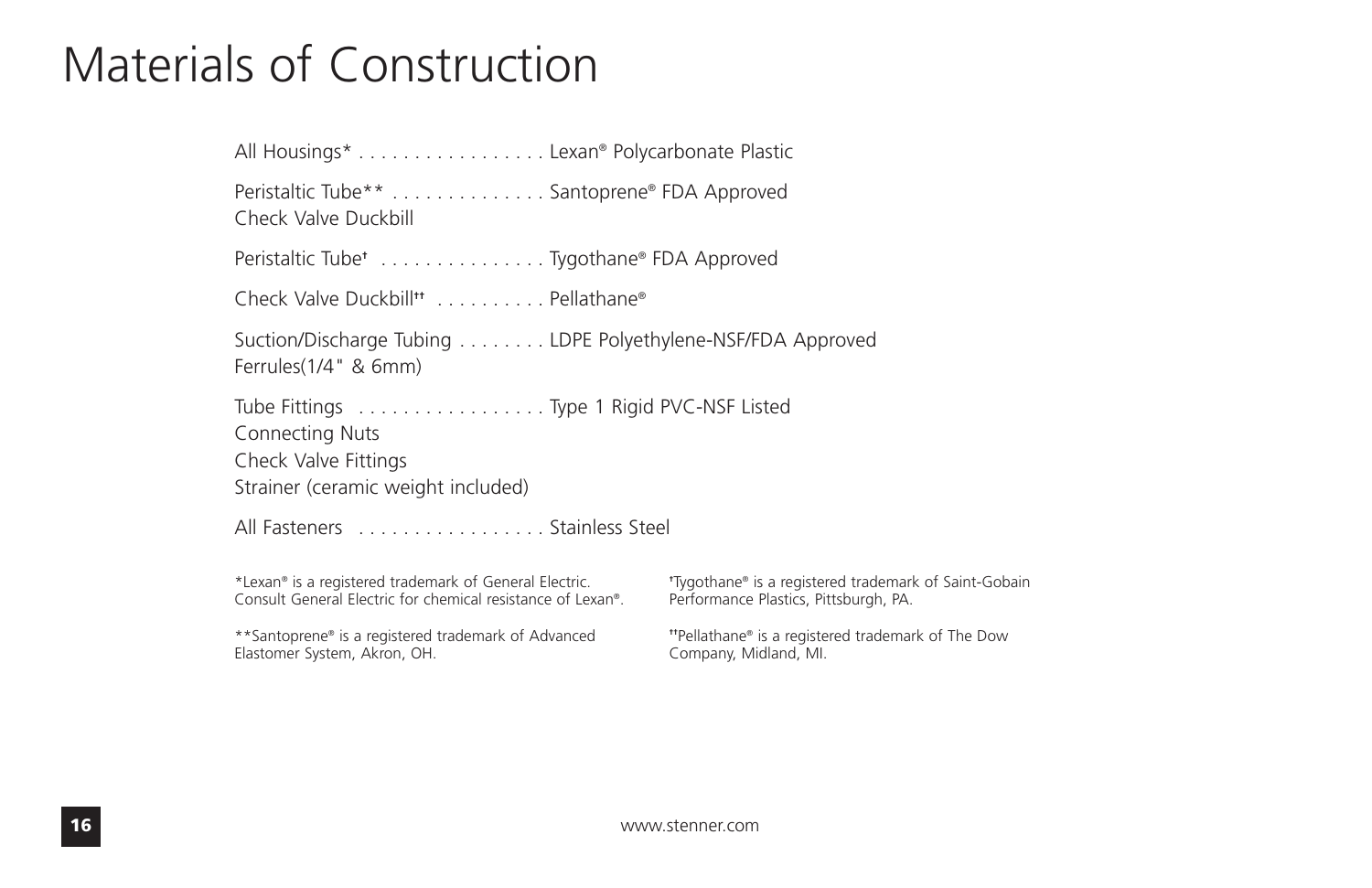# Materials of Construction

| All Housings* Lexan® Polycarbonate Plastic                                                                                        |                                                                                                |  |  |  |  |  |  |
|-----------------------------------------------------------------------------------------------------------------------------------|------------------------------------------------------------------------------------------------|--|--|--|--|--|--|
| Peristaltic Tube** Santoprene® FDA Approved<br>Check Valve Duckbill                                                               |                                                                                                |  |  |  |  |  |  |
| Peristaltic Tube <sup>t</sup> Tygothane® FDA Approved                                                                             |                                                                                                |  |  |  |  |  |  |
| Check Valve Duckbill <sup>**</sup> Pellathane <sup>®</sup>                                                                        |                                                                                                |  |  |  |  |  |  |
| Suction/Discharge Tubing LDPE Polyethylene-NSF/FDA Approved<br>Ferrules $(1/4"$ & 6mm)                                            |                                                                                                |  |  |  |  |  |  |
| Tube Fittings Type 1 Rigid PVC-NSF Listed<br><b>Connecting Nuts</b><br>Check Valve Fittings<br>Strainer (ceramic weight included) |                                                                                                |  |  |  |  |  |  |
| All Fasteners Stainless Steel                                                                                                     |                                                                                                |  |  |  |  |  |  |
| *Lexan® is a registered trademark of General Electric.<br>Consult General Electric for chemical resistance of Lexan®.             | *Tygothane® is a registered trademark of Saint-Gobain<br>Performance Plastics, Pittsburgh, PA. |  |  |  |  |  |  |
| **Santoprene® is a registered trademark of Advanced<br>Elastomer System, Akron, OH.                                               | "Pellathane® is a registered trademark of The Dow<br>Company, Midland, MI.                     |  |  |  |  |  |  |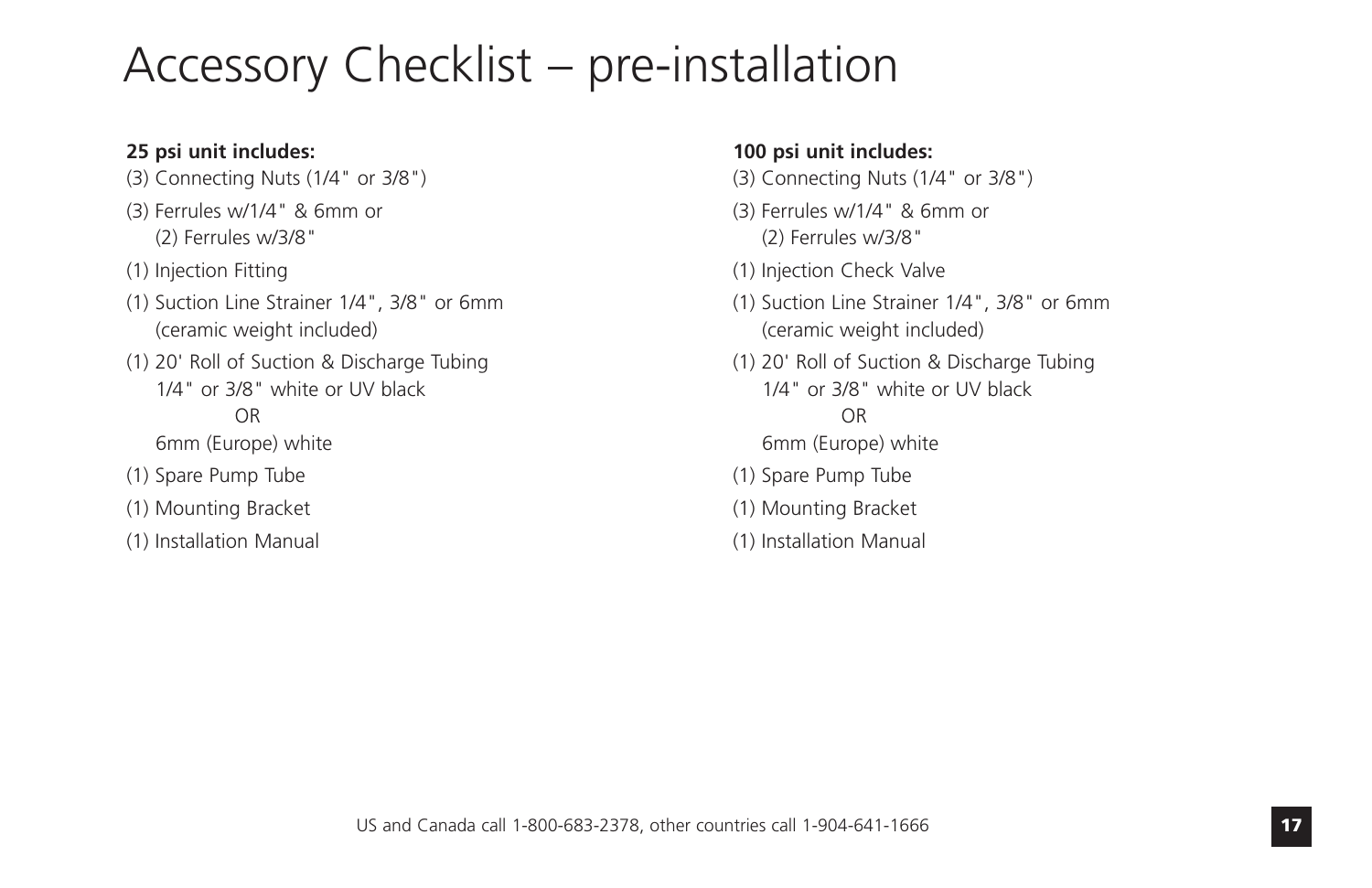# Accessory Checklist – pre-installation

#### **25 psi unit includes:**

- (3) Connecting Nuts (1/4" or 3/8")
- (3) Ferrules w/1/4" & 6mm or (2) Ferrules w/3/8"
- (1) Injection Fitting
- (1) Suction Line Strainer 1/4", 3/8" or 6mm (ceramic weight included)
- (1) 20' Roll of Suction & Discharge Tubing 1/4" or 3/8" white or UV black
	- OR
	- 6mm (Europe) white
- (1) Spare Pump Tube
- (1) Mounting Bracket
- (1) Installation Manual

#### **100 psi unit includes:**

- (3) Connecting Nuts (1/4" or 3/8")
- (3) Ferrules w/1/4" & 6mm or (2) Ferrules w/3/8"
- (1) Injection Check Valve
- (1) Suction Line Strainer 1/4", 3/8" or 6mm (ceramic weight included)
- (1) 20' Roll of Suction & Discharge Tubing 1/4" or 3/8" white or UV black OR 6mm (Europe) white
- (1) Spare Pump Tube
- (1) Mounting Bracket
- (1) Installation Manual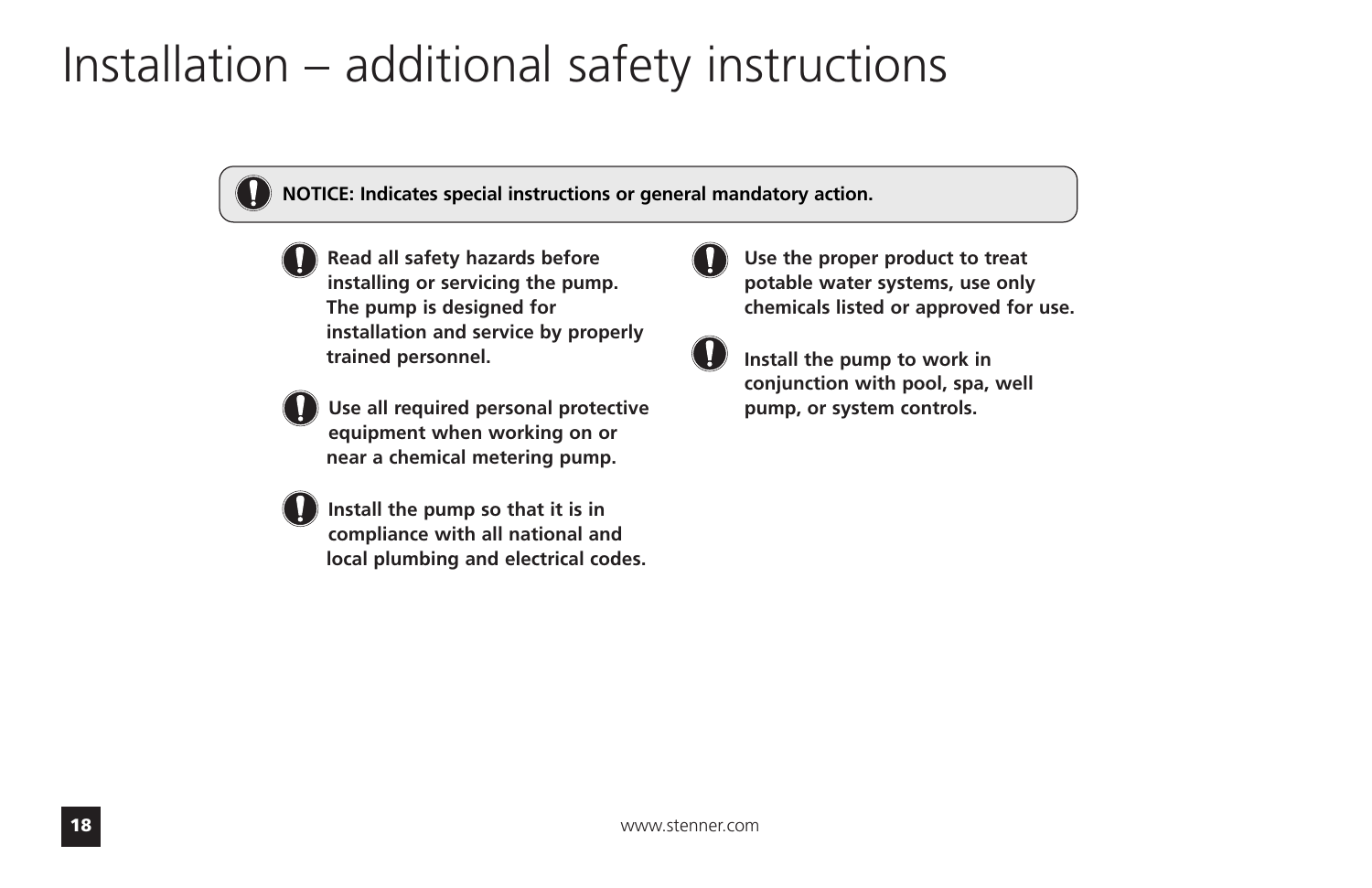# Installation – additional safety instructions

**NOTICE: Indicates special instructions or general mandatory action.**

**Read all safety hazards before installing or servicing the pump. The pump is designed for installation and service by properly trained personnel.**

**Use all required personal protective equipment when working on or near a chemical metering pump.**



**Install the pump so that it is in compliance with all national and local plumbing and electrical codes.** **Use the proper product to treat potable water systems, use only chemicals listed or approved for use.**



**Install the pump to work in conjunction with pool, spa, well pump, or system controls.**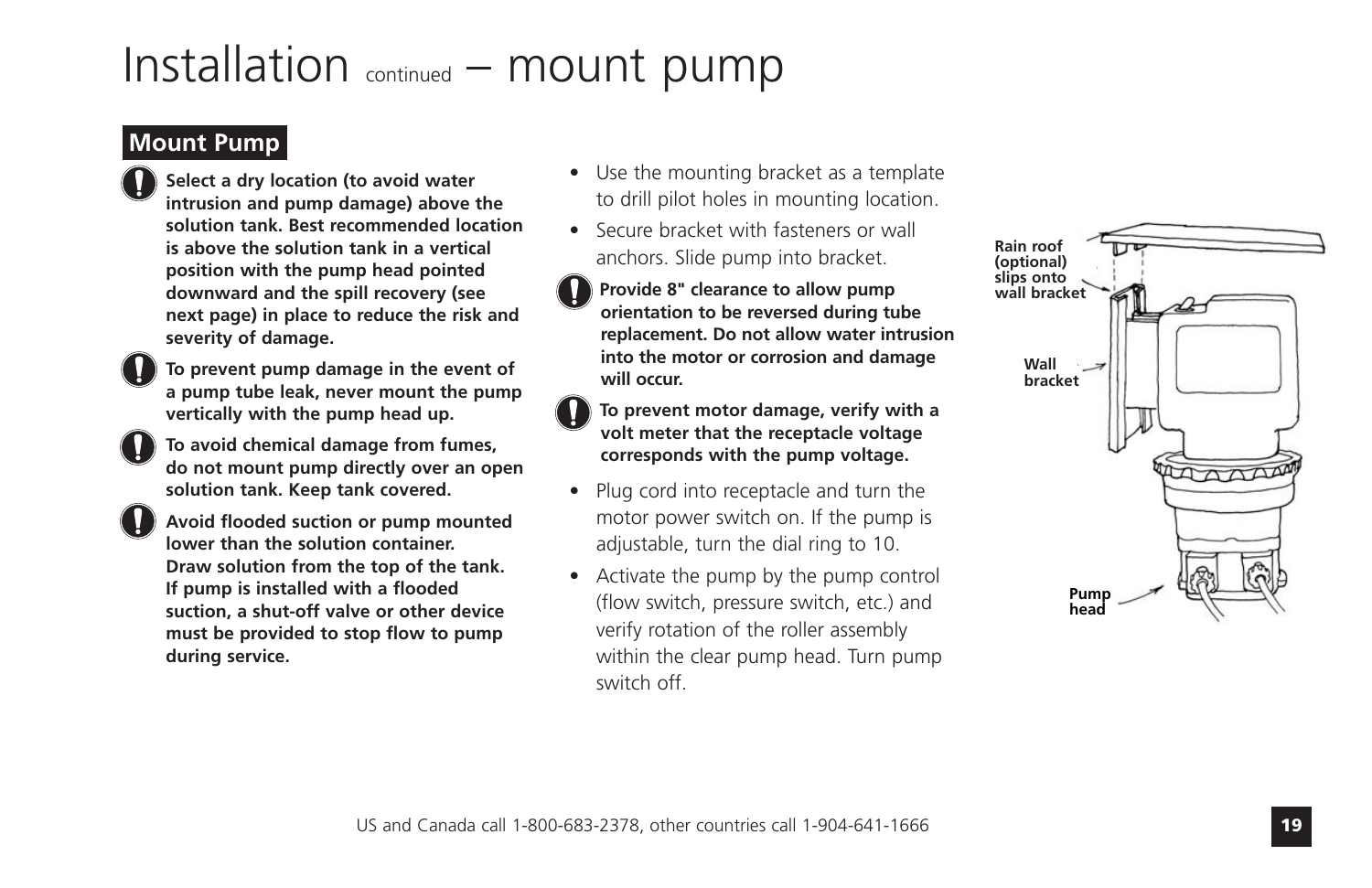# Installation continued – mount pump

#### **Mount Pump**

- - **Select a dry location (to avoid water intrusion and pump damage) above the solution tank. Best recommended location is above the solution tank in a vertical position with the pump head pointed downward and the spill recovery (see next page) in place to reduce the risk and severity of damage.**
	- **To prevent pump damage in the event of a pump tube leak, never mount the pump vertically with the pump head up.**
	- **To avoid chemical damage from fumes, do not mount pump directly over an open solution tank. Keep tank covered.**
	- **Avoid flooded suction or pump mounted lower than the solution container. Draw solution from the top of the tank. If pump is installed with a flooded suction, a shut-off valve or other device must be provided to stop flow to pump during service.**
- Use the mounting bracket as a template to drill pilot holes in mounting location.
- Secure bracket with fasteners or wall anchors. Slide pump into bracket.
- **Provide 8" clearance to allow pump orientation to be reversed during tube replacement. Do not allow water intrusion into the motor or corrosion and damage will occur.**
- **To prevent motor damage, verify with a volt meter that the receptacle voltage corresponds with the pump voltage.**
- Plug cord into receptacle and turn the motor power switch on. If the pump is adjustable, turn the dial ring to 10.
- Activate the pump by the pump control (flow switch, pressure switch, etc.) and verify rotation of the roller assembly within the clear pump head. Turn pump switch off.

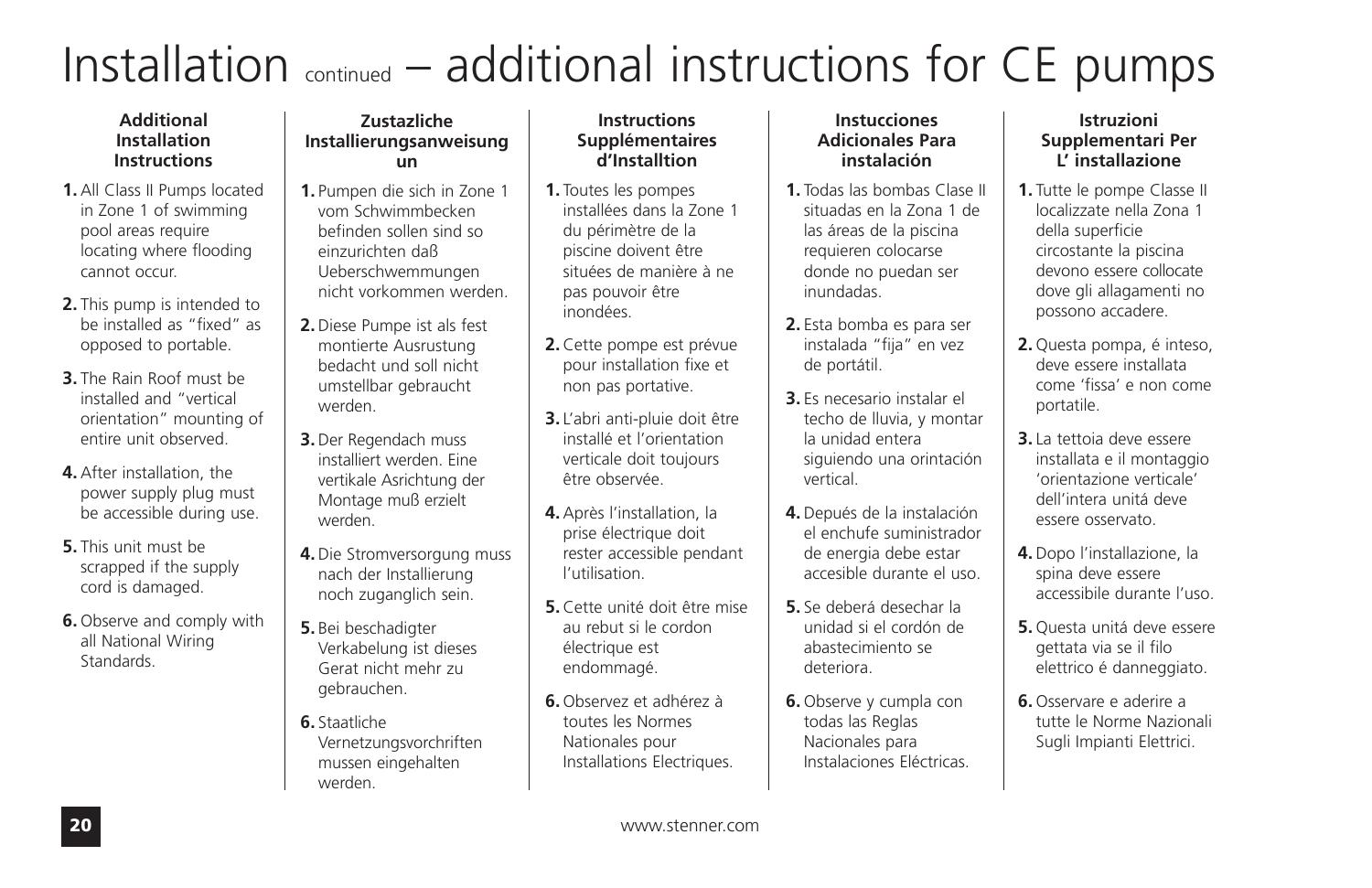# Installation continued – additional instructions for CE pumps

#### **Additional Installation Instructions**

- **1.** All Class II Pumps located in Zone 1 of swimming pool areas require locating where flooding cannot occur.
- **2.** This pump is intended to be installed as "fixed" as opposed to portable.
- **3.** The Rain Roof must be installed and "vertical orientation" mounting of entire unit observed.
- **4.** After installation, the power supply plug must be accessible during use.
- **5.** This unit must be scrapped if the supply cord is damaged.
- **6.** Observe and comply with all National Wiring **Standards**

#### **Zustazliche Installierungsanweisung un**

- **1.** Pumpen die sich in Zone 1 vom Schwimmbecken befinden sollen sind so einzurichten daß Ueberschwemmungen nicht vorkommen werden.
- **2.** Diese Pumpe ist als fest montierte Ausrustung bedacht und soll nicht umstellbar gebraucht werden.
- **3.** Der Regendach muss installiert werden. Eine vertikale Asrichtung der Montage muß erzielt werden.
- **4.** Die Stromversorgung muss nach der Installierung noch zuganglich sein.
- **5.** Bei beschadigter Verkabelung ist dieses Gerat nicht mehr zu gebrauchen.
- **6.** Staatliche Vernetzungsvorchriften mussen eingehalten werden.

#### **Instructions Supplémentaires d'Installtion**

- **1.** Toutes les pompes installées dans la Zone 1 du périmètre de la piscine doivent être situées de manière à ne pas pouvoir être inondées.
- **2.** Cette pompe est prévue pour installation fixe et non pas portative.
- **3.** L'abri anti-pluie doit être installé et l'orientation verticale doit toujours être observée.
- **4.** Après l'installation, la prise électrique doit rester accessible pendant l'utilisation.
- **5.** Cette unité doit être mise au rebut si le cordon électrique est endommagé.
- **6.** Observez et adhérez à toutes les Normes Nationales pour Installations Electriques.

#### **Instucciones Adicionales Para instalación**

- **1.** Todas las bombas Clase II situadas en la Zona 1 de las áreas de la piscina requieren colocarse donde no puedan ser inundadas.
- **2.** Esta bomba es para ser instalada "fija" en vez de portátil.
- **3.** Es necesario instalar el techo de lluvia, y montar la unidad entera siguiendo una orintación vertical.
- **4.** Depués de la instalación el enchufe suministrador de energia debe estar accesible durante el uso.
- **5.** Se deberá desechar la unidad si el cordón de abastecimiento se deteriora.
- **6.** Observe y cumpla con todas las Reglas Nacionales para Instalaciones Eléctricas.

#### **Istruzioni Supplementari Per L' installazione**

- **1.** Tutte le pompe Classe II localizzate nella Zona 1 della superficie circostante la piscina devono essere collocate dove gli allagamenti no possono accadere.
- **2.** Questa pompa, é inteso, deve essere installata come 'fissa' e non come portatile.
- **3.** La tettoia deve essere installata e il montaggio 'orientazione verticale' dell'intera unitá deve essere osservato.
- **4.** Dopo l'installazione, la spina deve essere accessibile durante l'uso.
- **5.** Questa unitá deve essere gettata via se il filo elettrico é danneggiato.
- **6.** Osservare e aderire a tutte le Norme Nazionali Sugli Impianti Elettrici.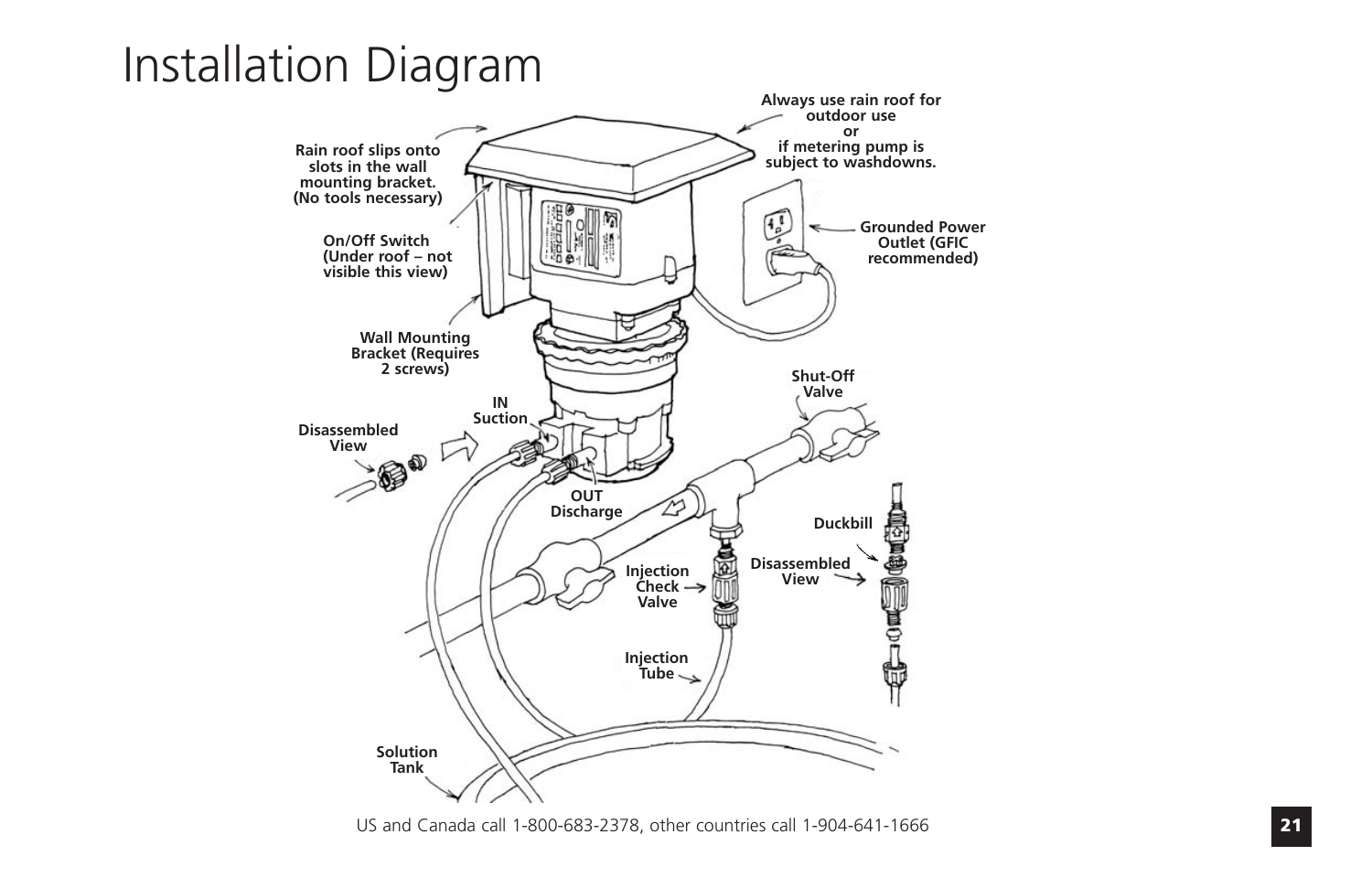# Installation Diagram



US and Canada call 1-800-683-2378, other countries call 1-904-641-1666 **21**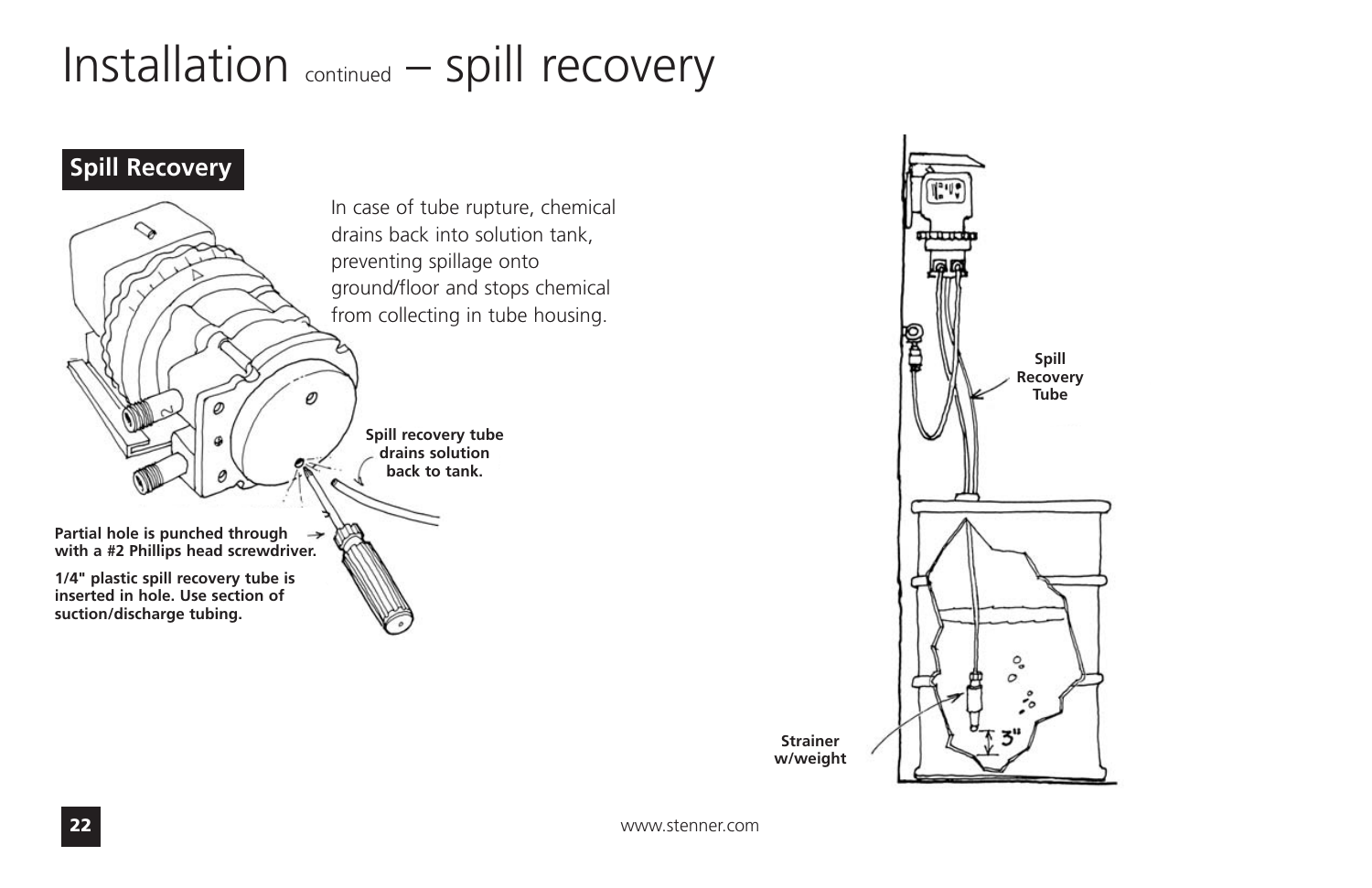# Installation continued – spill recovery

#### **Spill Recovery** In case of tube rupture, chemical  $\begin{picture}(120,15) \put(0,0){\line(1,0){15}} \put(15,0){\line(1,0){15}} \put(15,0){\line(1,0){15}} \put(15,0){\line(1,0){15}} \put(15,0){\line(1,0){15}} \put(15,0){\line(1,0){15}} \put(15,0){\line(1,0){15}} \put(15,0){\line(1,0){15}} \put(15,0){\line(1,0){15}} \put(15,0){\line(1,0){15}} \put(15,0){\line(1,0){15}} \put(15,0){\line($ drains back into solution tank, preventing spillage onto ground/floor and stops chemical from collecting in tube housing. Ø  $\mathcal{D}$ **Spill recovery tube drains solution back to tank. Partial hole is punched through with a #2 Phillips head screwdriver. 1/4" plastic spill recovery tube is inserted in hole. Use section of suction/discharge tubing.**



**Strainer w/weight**

**22** www.stenner.com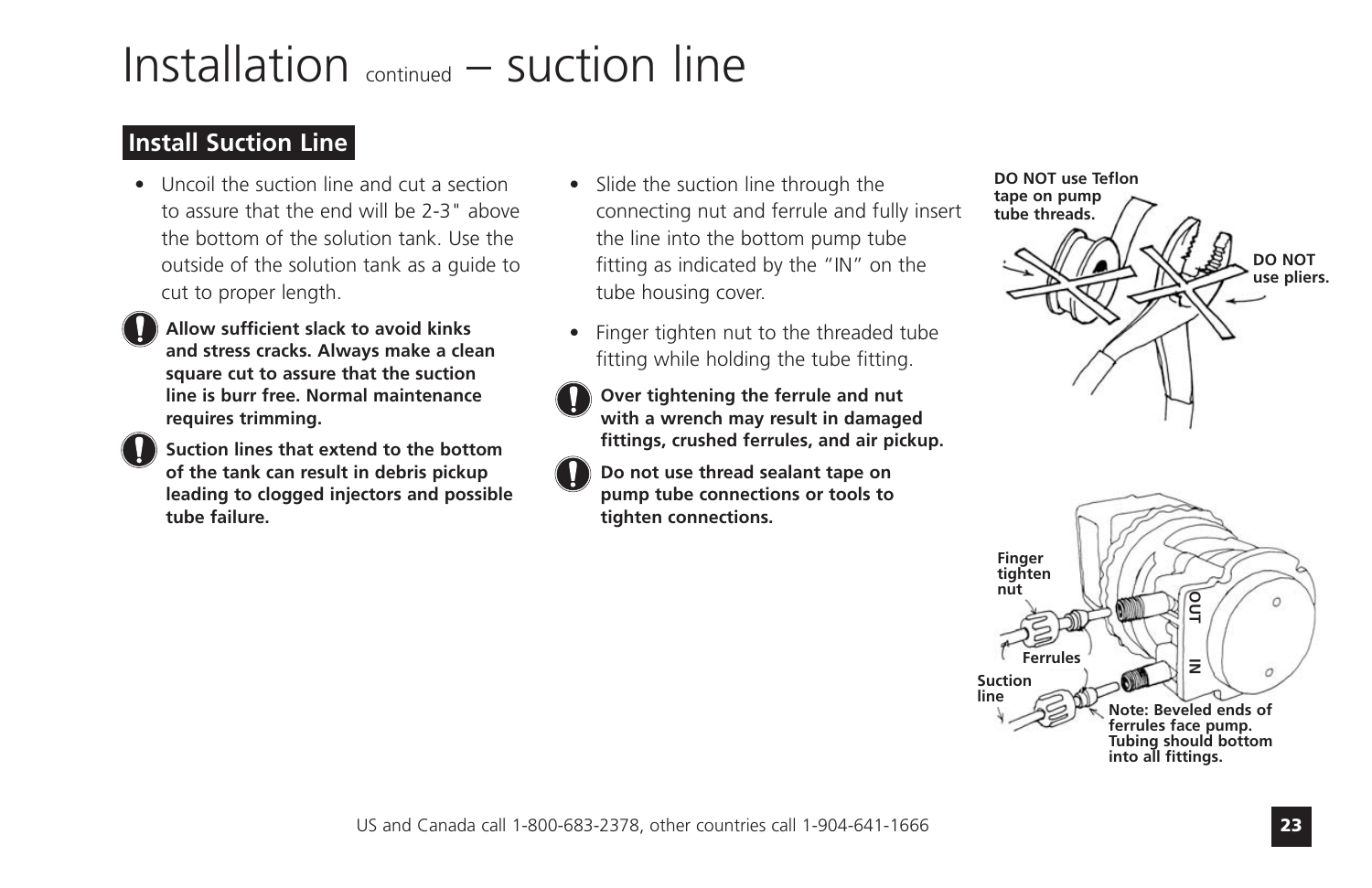# Installation  $_{\text{continued}}$  – suction line

#### **Install Suction Line**

• Uncoil the suction line and cut a section to assure that the end will be 2-3" above the bottom of the solution tank. Use the outside of the solution tank as a guide to cut to proper length.



- **Allow sufficient slack to avoid kinks and stress cracks. Always make a clean square cut to assure that the suction line is burr free. Normal maintenance requires trimming.**
- **Suction lines that extend to the bottom of the tank can result in debris pickup leading to clogged injectors and possible tube failure.**
- Slide the suction line through the connecting nut and ferrule and fully insert the line into the bottom pump tube fitting as indicated by the "IN" on the tube housing cover.
- Finger tighten nut to the threaded tube fitting while holding the tube fitting.
- **Over tightening the ferrule and nut with a wrench may result in damaged fittings, crushed ferrules, and air pickup.**
- **Do not use thread sealant tape on pump tube connections or tools to tighten connections.**



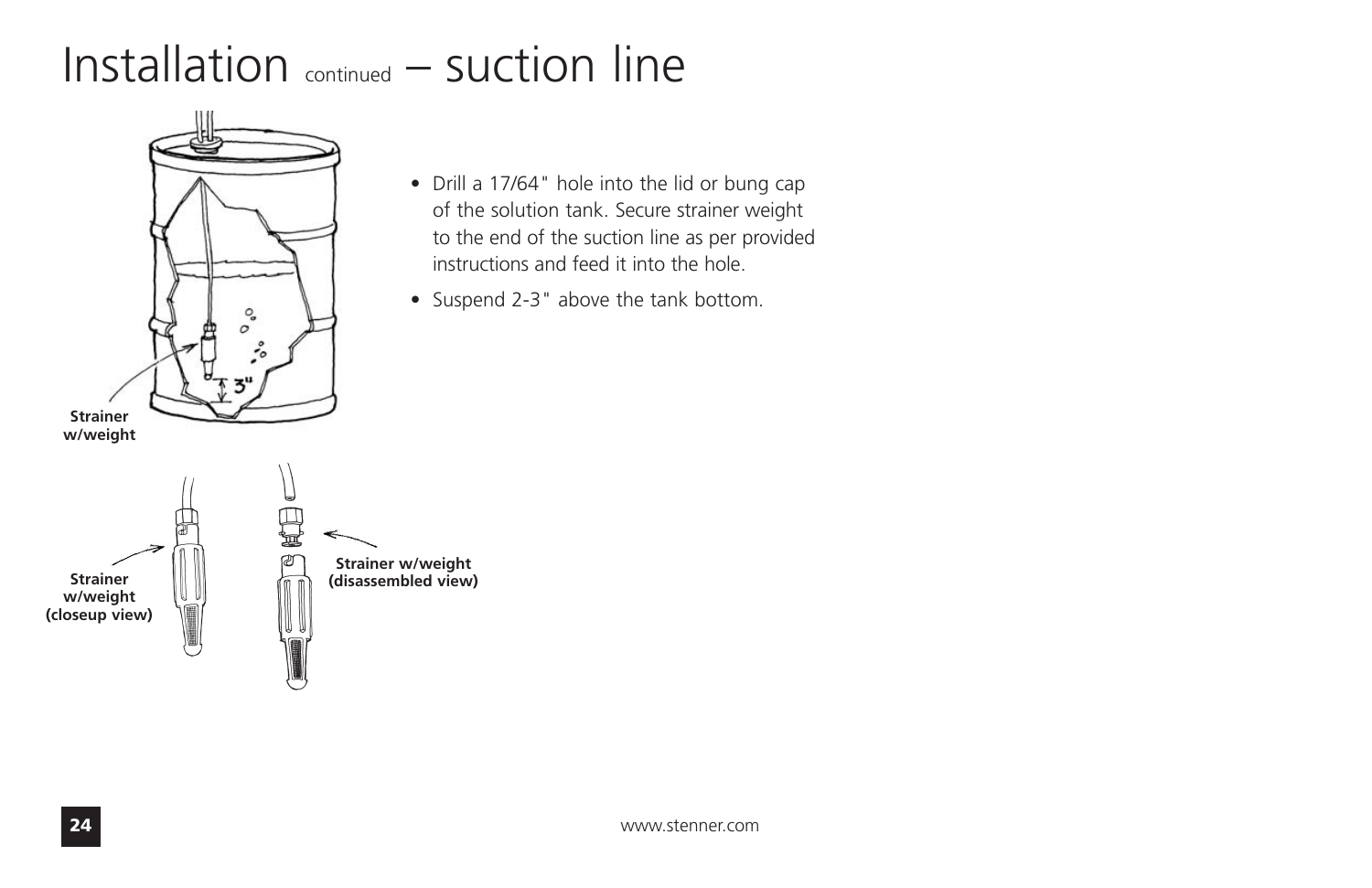# Installation continued – suction line



- Drill a 17/64" hole into the lid or bung cap of the solution tank. Secure strainer weight to the end of the suction line as per provided instructions and feed it into the hole.
- Suspend 2-3" above the tank bottom.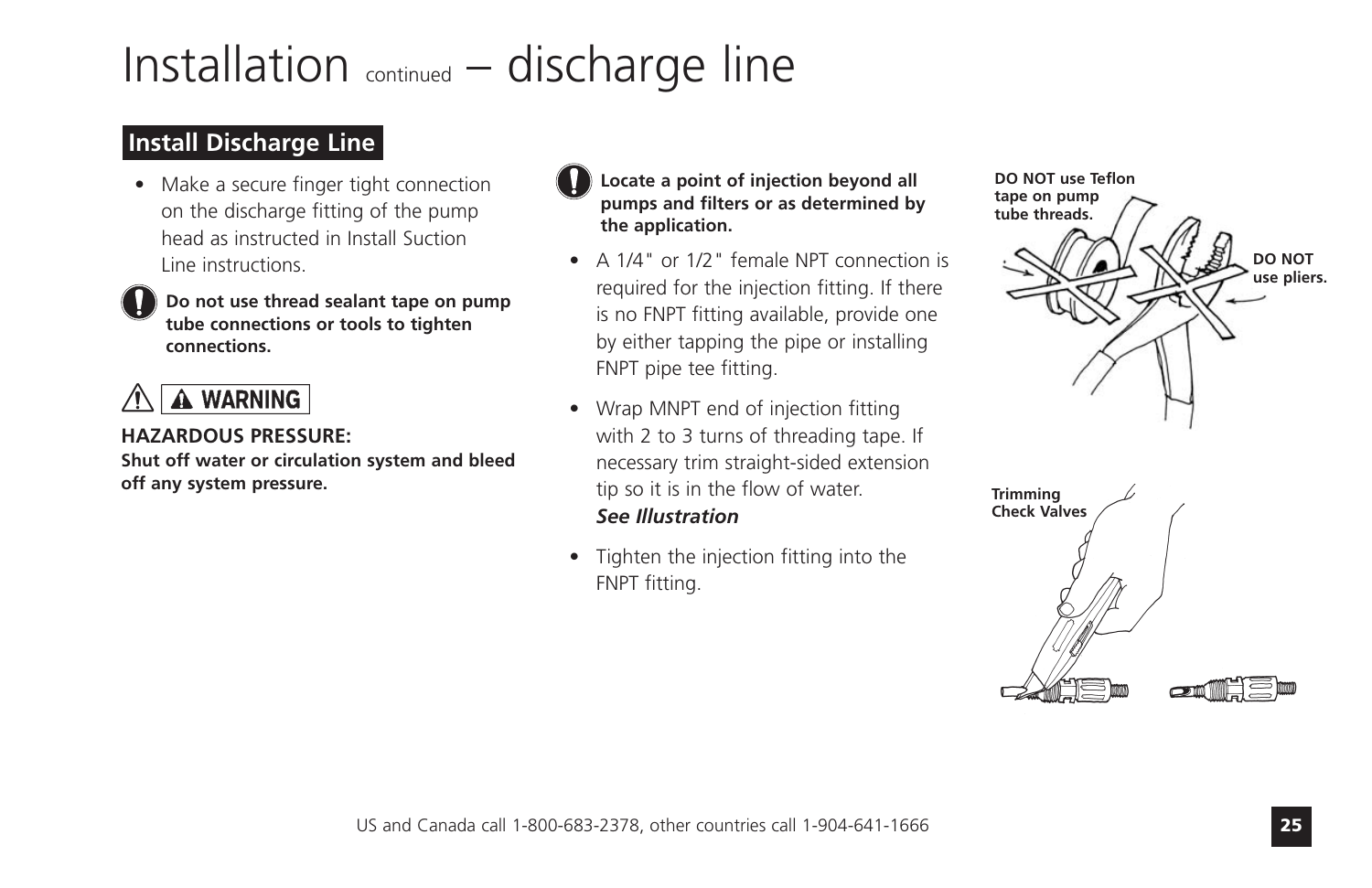# Installation continued – discharge line

#### **Install Discharge Line**

• Make a secure finger tight connection on the discharge fitting of the pump head as instructed in Install Suction Line instructions.

**Do not use thread sealant tape on pump tube connections or tools to tighten connections.**

## A WARNING

#### **HAZARDOUS PRESSURE:**

**Shut off water or circulation system and bleed off any system pressure.**

- **Locate a point of injection beyond all pumps and filters or as determined by the application.**
- A 1/4" or 1/2" female NPT connection is required for the injection fitting. If there is no FNPT fitting available, provide one by either tapping the pipe or installing FNPT pipe tee fitting.
- Wrap MNPT end of injection fitting with 2 to 3 turns of threading tape. If necessary trim straight-sided extension tip so it is in the flow of water. *See Illustration*
- Tighten the injection fitting into the FNPT fitting.



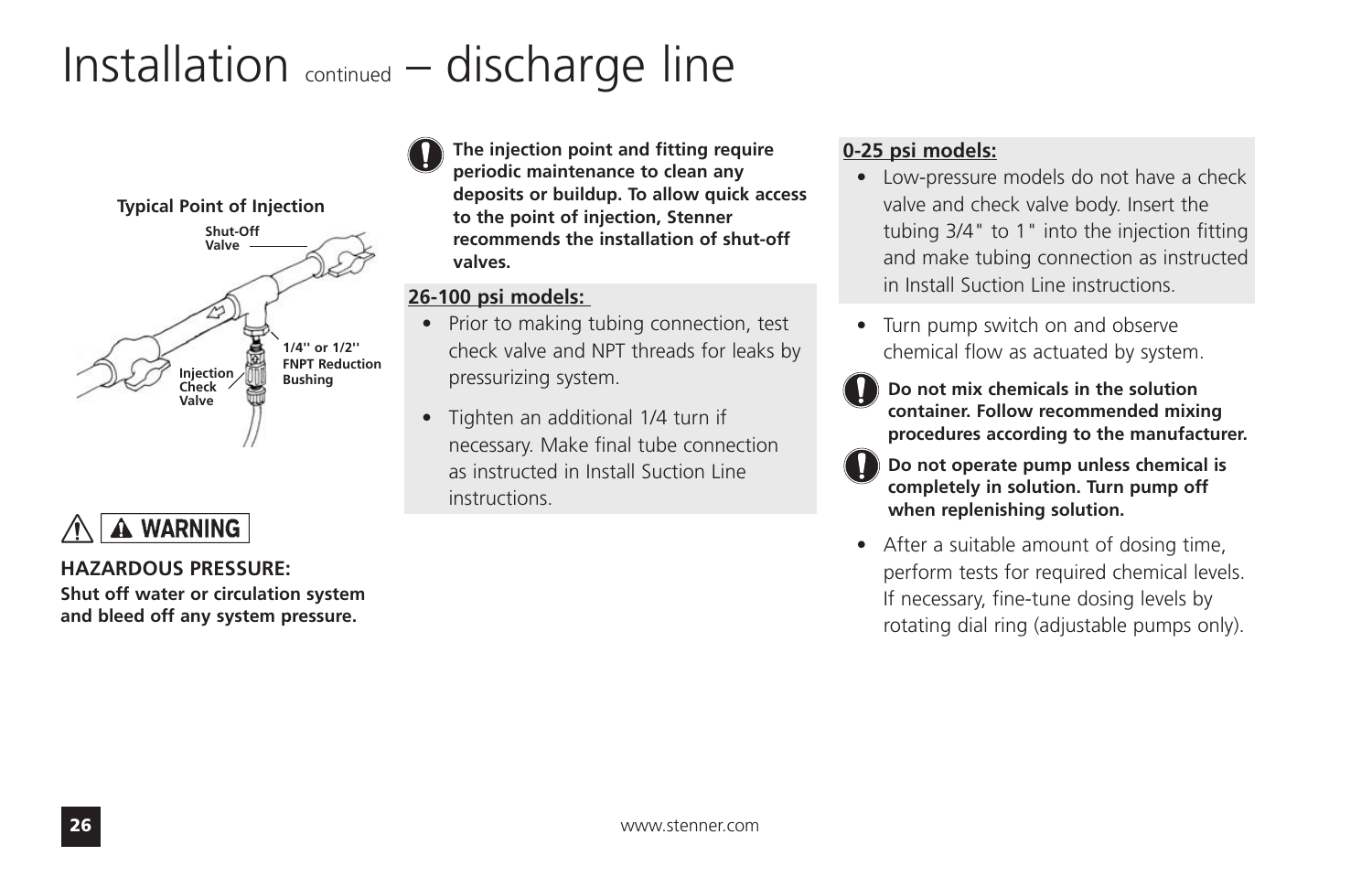# Installation continued – discharge line





**HAZARDOUS PRESSURE:** 

**Shut off water or circulation system and bleed off any system pressure.**

**The injection point and fitting require periodic maintenance to clean any deposits or buildup. To allow quick access to the point of injection, Stenner recommends the installation of shut-off valves.**

#### **26-100 psi models:**

- Prior to making tubing connection, test check valve and NPT threads for leaks by pressurizing system.
- Tighten an additional 1/4 turn if necessary. Make final tube connection as instructed in Install Suction Line instructions.

#### **0-25 psi models:**

- Low-pressure models do not have a check valve and check valve body. Insert the tubing 3/4" to 1" into the injection fitting and make tubing connection as instructed in Install Suction Line instructions.
- Turn pump switch on and observe chemical flow as actuated by system.
- **Do not mix chemicals in the solution container. Follow recommended mixing procedures according to the manufacturer.**
- **Do not operate pump unless chemical is completely in solution. Turn pump off when replenishing solution.**
- After a suitable amount of dosing time, perform tests for required chemical levels. If necessary, fine-tune dosing levels by rotating dial ring (adjustable pumps only).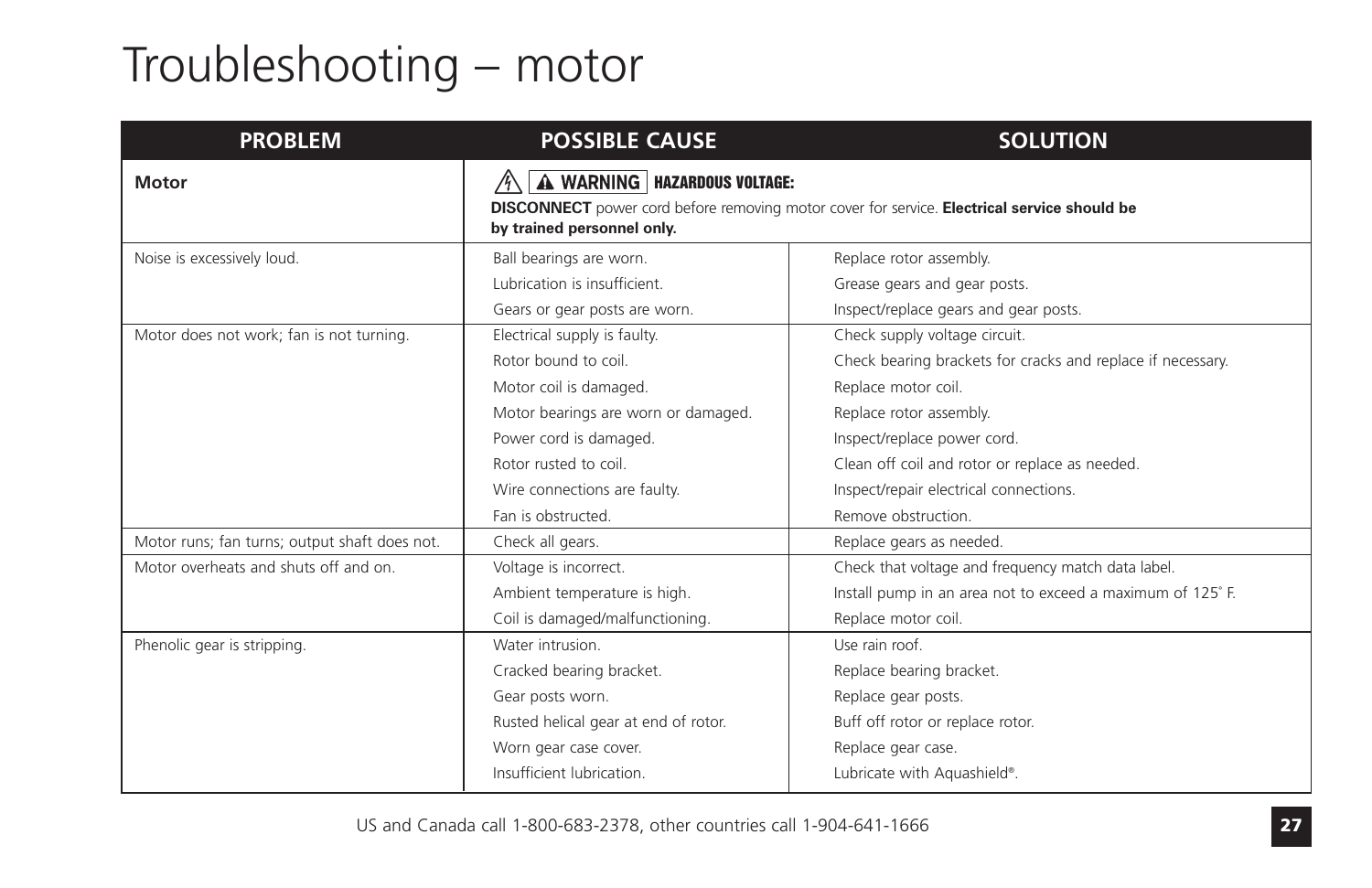# Troubleshooting – motor

| <b>PROBLEM</b>                                | <b>POSSIBLE CAUSE</b>                                        | <b>SOLUTION</b>                                                                                    |
|-----------------------------------------------|--------------------------------------------------------------|----------------------------------------------------------------------------------------------------|
| <b>Motor</b>                                  | A WARNING   HAZARDOUS VOLTAGE:<br>by trained personnel only. | <b>DISCONNECT</b> power cord before removing motor cover for service. Electrical service should be |
| Noise is excessively loud.                    | Ball bearings are worn.                                      | Replace rotor assembly.                                                                            |
|                                               | Lubrication is insufficient.                                 | Grease gears and gear posts.                                                                       |
|                                               | Gears or gear posts are worn.                                | Inspect/replace gears and gear posts.                                                              |
| Motor does not work; fan is not turning.      | Electrical supply is faulty.                                 | Check supply voltage circuit.                                                                      |
|                                               | Rotor bound to coil.                                         | Check bearing brackets for cracks and replace if necessary.                                        |
|                                               | Motor coil is damaged.                                       | Replace motor coil.                                                                                |
|                                               | Motor bearings are worn or damaged.                          | Replace rotor assembly.                                                                            |
|                                               | Power cord is damaged.                                       | Inspect/replace power cord.                                                                        |
|                                               | Rotor rusted to coil.                                        | Clean off coil and rotor or replace as needed.                                                     |
|                                               | Wire connections are faulty.                                 | Inspect/repair electrical connections.                                                             |
|                                               | Fan is obstructed.                                           | Remove obstruction.                                                                                |
| Motor runs; fan turns; output shaft does not. | Check all gears.                                             | Replace gears as needed.                                                                           |
| Motor overheats and shuts off and on.         | Voltage is incorrect.                                        | Check that voltage and frequency match data label.                                                 |
|                                               | Ambient temperature is high.                                 | Install pump in an area not to exceed a maximum of 125°F.                                          |
|                                               | Coil is damaged/malfunctioning.                              | Replace motor coil.                                                                                |
| Phenolic gear is stripping.                   | Water intrusion.                                             | Use rain roof.                                                                                     |
|                                               | Cracked bearing bracket.                                     | Replace bearing bracket.                                                                           |
|                                               | Gear posts worn.                                             | Replace gear posts.                                                                                |
|                                               | Rusted helical gear at end of rotor.                         | Buff off rotor or replace rotor.                                                                   |
|                                               | Worn gear case cover.                                        | Replace gear case.                                                                                 |
|                                               | Insufficient Iubrication.                                    | Lubricate with Aquashield®.                                                                        |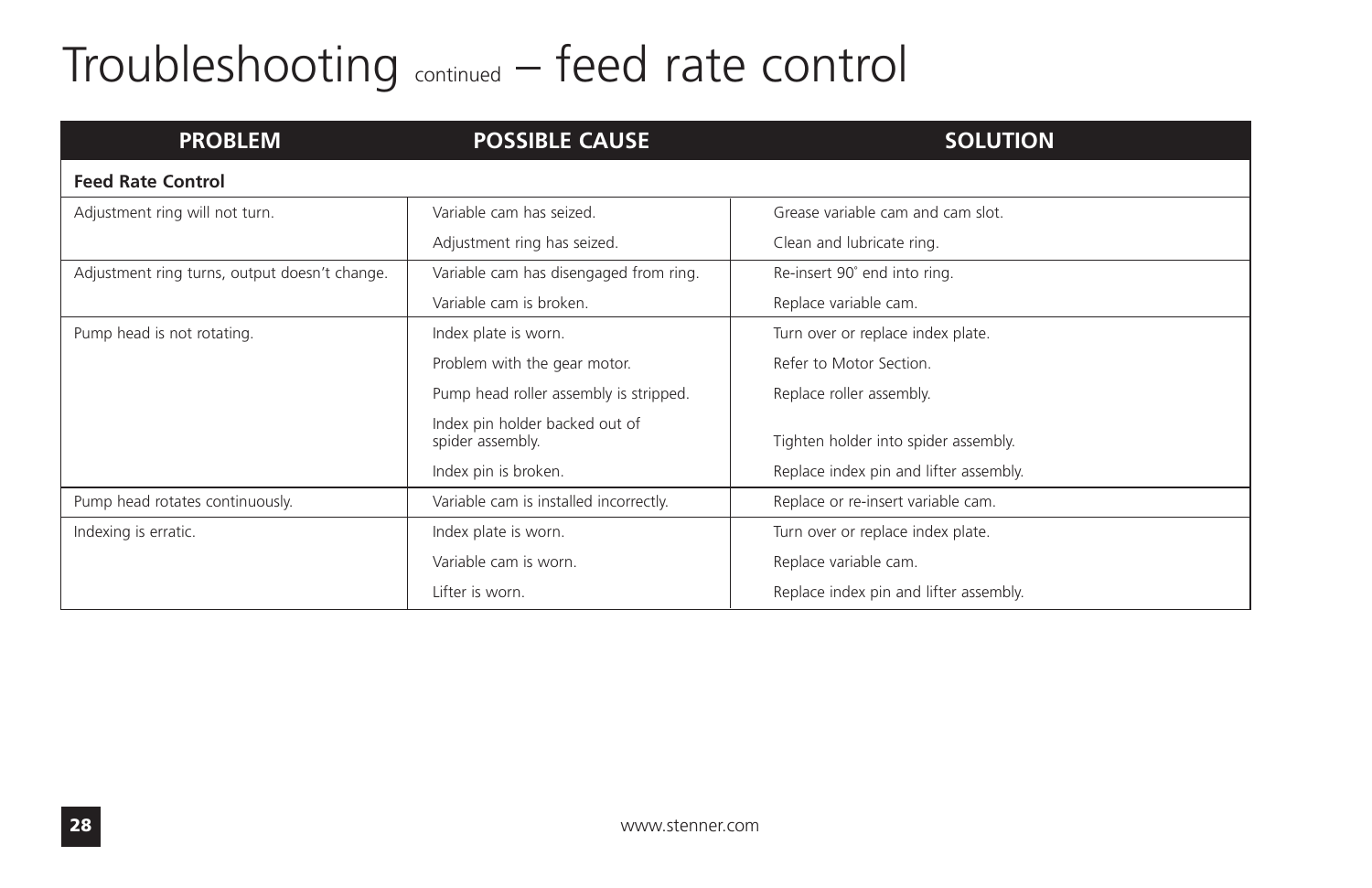# Troubleshooting continued – feed rate control

| <b>PROBLEM</b>                                | <b>POSSIBLE CAUSE</b>                              | <b>SOLUTION</b>                        |
|-----------------------------------------------|----------------------------------------------------|----------------------------------------|
| <b>Feed Rate Control</b>                      |                                                    |                                        |
| Adjustment ring will not turn.                | Variable cam has seized.                           | Grease variable cam and cam slot.      |
|                                               | Adjustment ring has seized.                        | Clean and lubricate ring.              |
| Adjustment ring turns, output doesn't change. | Variable cam has disengaged from ring.             | Re-insert 90° end into ring.           |
|                                               | Variable cam is broken.                            | Replace variable cam.                  |
| Pump head is not rotating.                    | Index plate is worn.                               | Turn over or replace index plate.      |
|                                               | Problem with the gear motor.                       | Refer to Motor Section                 |
|                                               | Pump head roller assembly is stripped.             | Replace roller assembly.               |
|                                               | Index pin holder backed out of<br>spider assembly. | Tighten holder into spider assembly.   |
|                                               | Index pin is broken.                               | Replace index pin and lifter assembly. |
| Pump head rotates continuously.               | Variable cam is installed incorrectly.             | Replace or re-insert variable cam.     |
| Indexing is erratic.                          | Index plate is worn.                               | Turn over or replace index plate.      |
|                                               | Variable cam is worn.                              | Replace variable cam.                  |
|                                               | Lifter is worn.                                    | Replace index pin and lifter assembly. |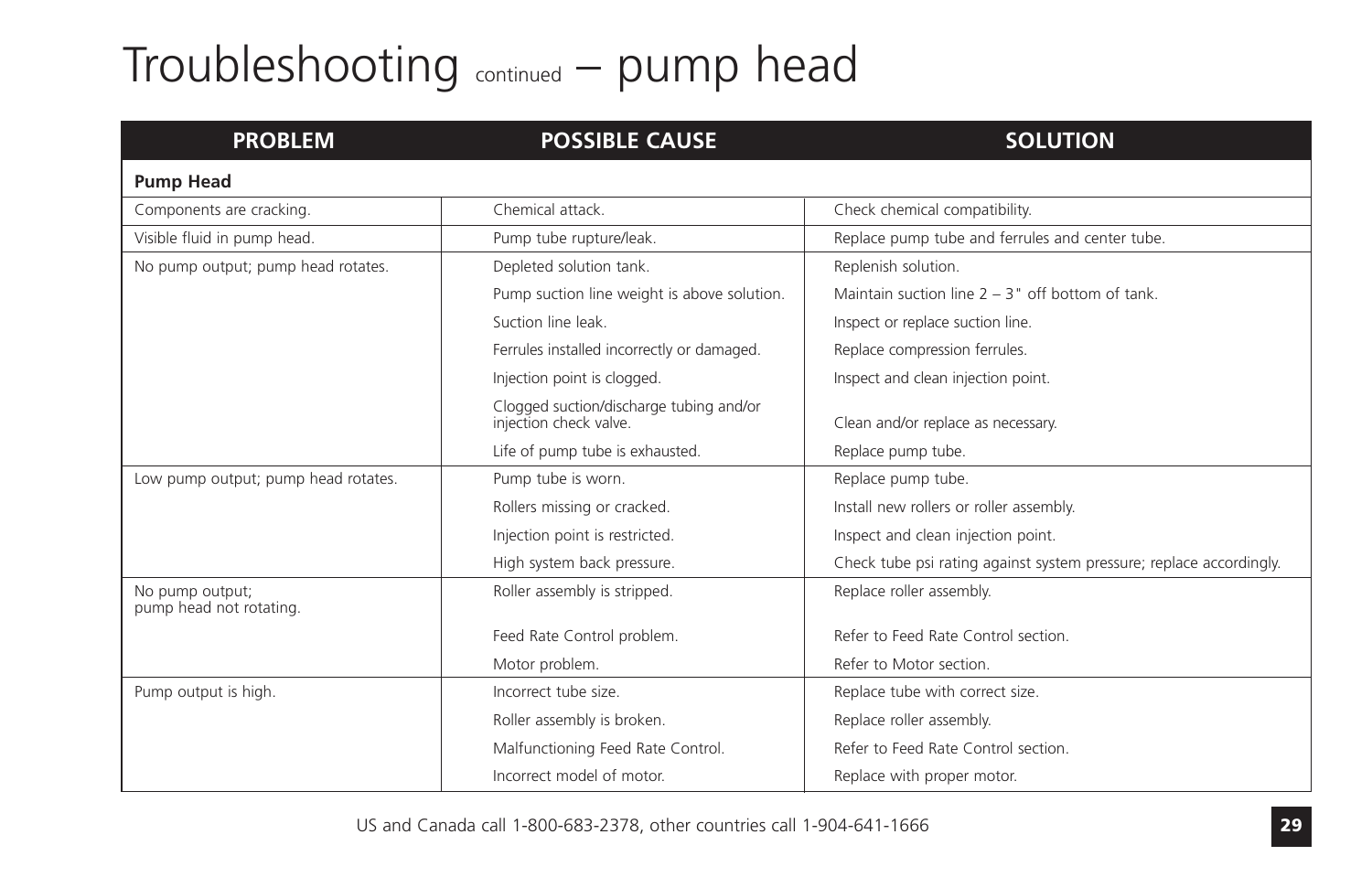# Troubleshooting continued – pump head

#### **Pump Head** Components are cracking. The Chemical attack. Chemical attack. Chemical chemical compatibility. Visible fluid in pump head. The rupture rupture rupture/leak. The replace pump tube and ferrules and center tube. No pump output; pump head rotates.  $\Box$  Depleted solution tank.  $\Box$  Replenish solution. Pump suction line weight is above solution.  $\parallel$  Maintain suction line  $2 - 3$ " off bottom of tank. Suction line leak. The suction line. Inspect or replace suction line. Ferrules installed incorrectly or damaged. Replace compression ferrules. Injection point is clogged. The inspect and clean injection point. Clogged suction/discharge tubing and/or injection check valve. Clean and/or replace as necessary. Life of pump tube is exhausted. The Replace pump tube. Low pump output; pump head rotates. Pump tube is worn. Replace pump tube. Rollers missing or cracked.  $\parallel$  Install new rollers or roller assembly. Injection point is restricted. This is not clean injection point. High system back pressure. Check tube psi rating against system pressure; replace accordingly. No pump output:  $\parallel$  Roller assembly is stripped. The Replace roller assembly. pump head not rotating. Feed Rate Control problem. Refer to Feed Rate Control section. Motor problem. The same section of the Refer to Motor section. Pump output is high. Incorrect tube size. Incorrect tube size. Replace tube with correct size. Roller assembly is broken. The same replace roller assembly. Malfunctioning Feed Rate Control. Refer to Feed Rate Control section. Incorrect model of motor. The settlement of the Replace with proper motor. **PROBLEM POSSIBLE CAUSE SOLUTION**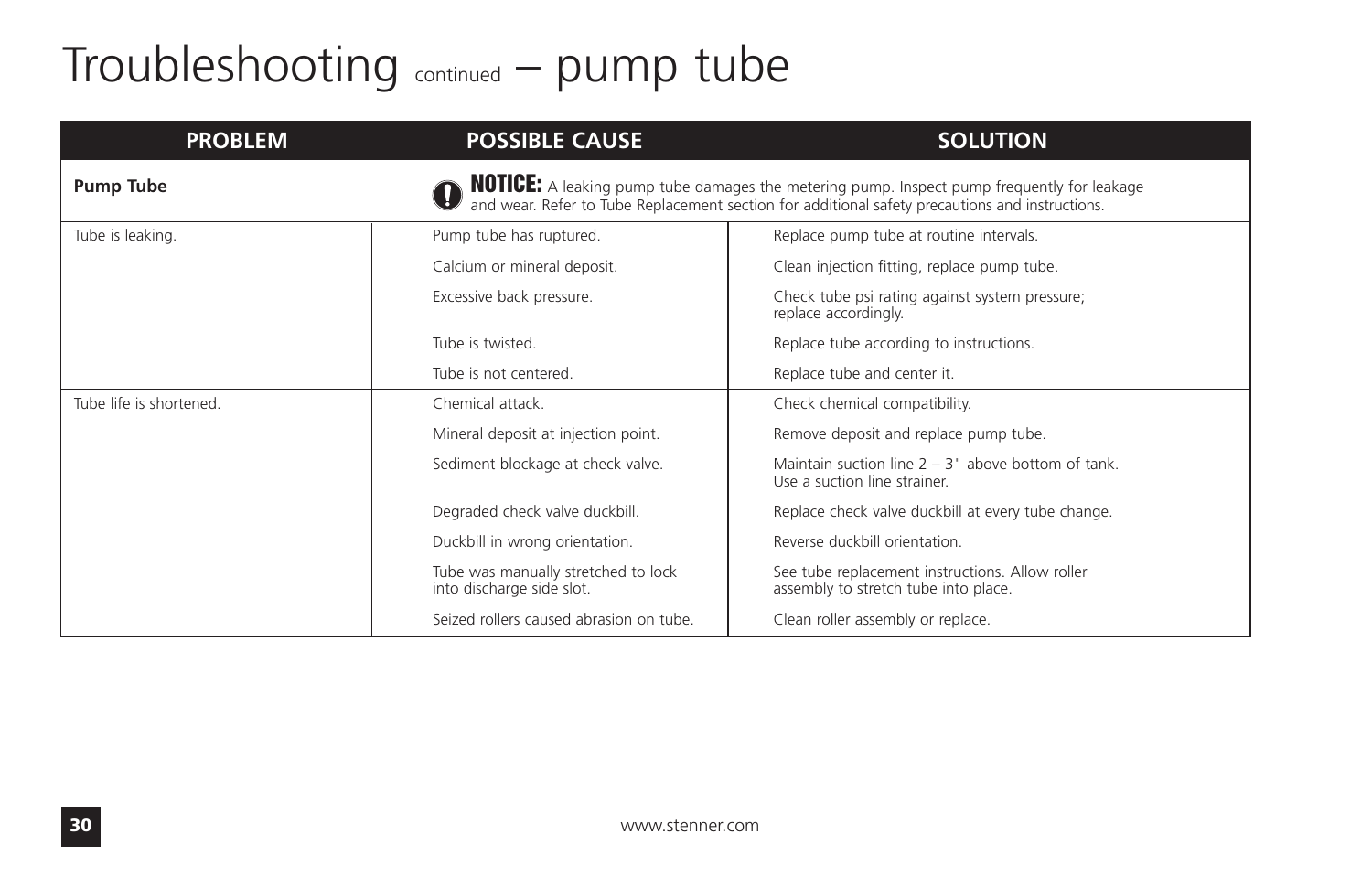# Troubleshooting continued – pump tube

| <b>PROBLEM</b>          | <b>POSSIBLE CAUSE</b>                                            | <b>SOLUTION</b>                                                                                                                                                                                      |
|-------------------------|------------------------------------------------------------------|------------------------------------------------------------------------------------------------------------------------------------------------------------------------------------------------------|
| <b>Pump Tube</b>        |                                                                  | <b>NOTICE:</b> A leaking pump tube damages the metering pump. Inspect pump frequently for leakage<br>and wear. Refer to Tube Replacement section for additional safety precautions and instructions. |
| Tube is leaking.        | Pump tube has ruptured.                                          | Replace pump tube at routine intervals.                                                                                                                                                              |
|                         | Calcium or mineral deposit.                                      | Clean injection fitting, replace pump tube.                                                                                                                                                          |
|                         | Excessive back pressure.                                         | Check tube psi rating against system pressure;<br>replace accordingly.                                                                                                                               |
|                         | Tube is twisted.                                                 | Replace tube according to instructions.                                                                                                                                                              |
|                         | Tube is not centered.                                            | Replace tube and center it.                                                                                                                                                                          |
| Tube life is shortened. | Chemical attack.                                                 | Check chemical compatibility.                                                                                                                                                                        |
|                         | Mineral deposit at injection point.                              | Remove deposit and replace pump tube.                                                                                                                                                                |
|                         | Sediment blockage at check valve.                                | Maintain suction line $2 - 3$ " above bottom of tank.<br>Use a suction line strainer.                                                                                                                |
|                         | Degraded check valve duckbill.                                   | Replace check valve duckbill at every tube change.                                                                                                                                                   |
|                         | Duckbill in wrong orientation.                                   | Reverse duckbill orientation.                                                                                                                                                                        |
|                         | Tube was manually stretched to lock<br>into discharge side slot. | See tube replacement instructions. Allow roller<br>assembly to stretch tube into place.                                                                                                              |
|                         | Seized rollers caused abrasion on tube.                          | Clean roller assembly or replace.                                                                                                                                                                    |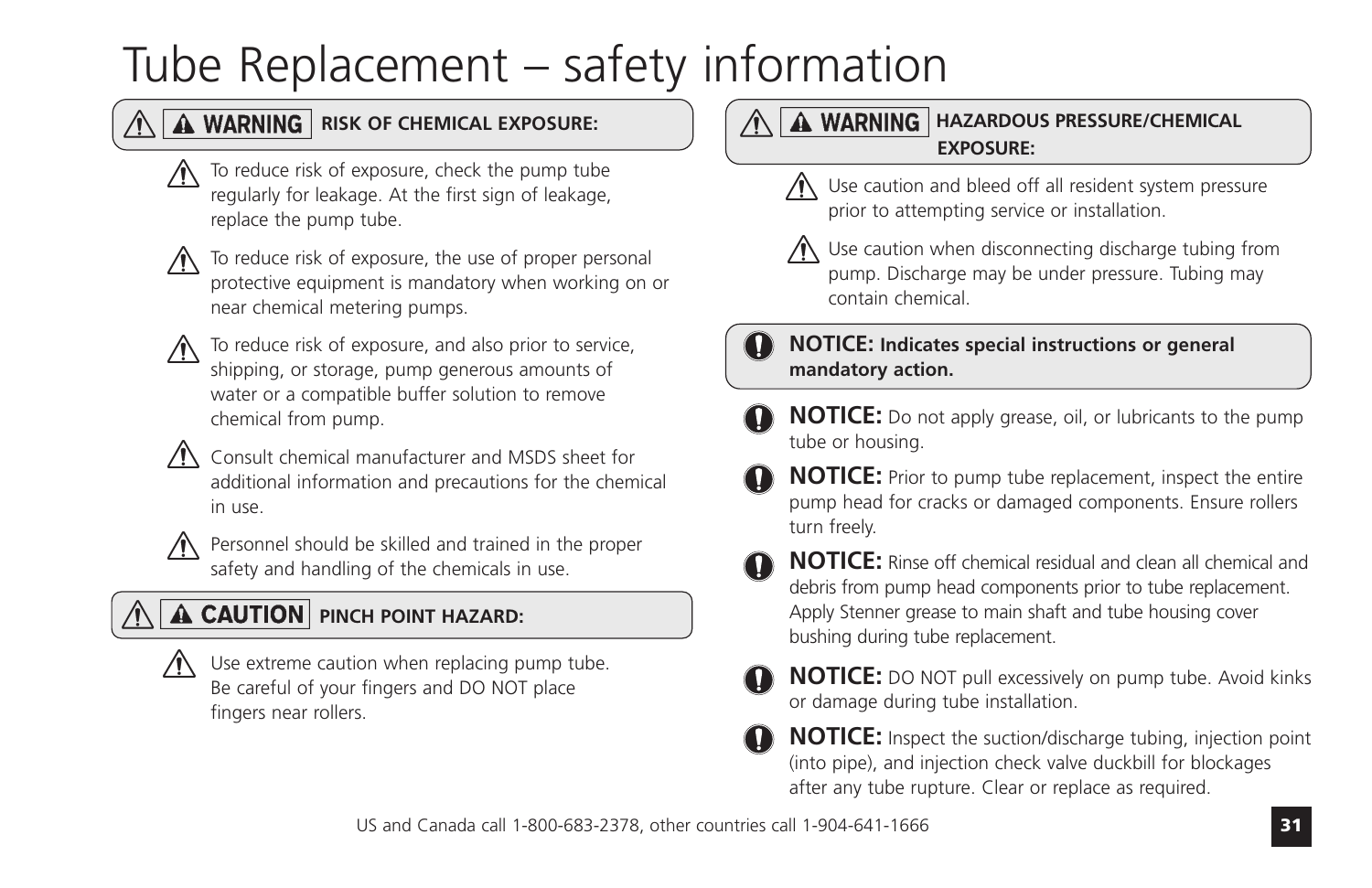# Tube Replacement – safety information

## **A WARNING** RISK OF CHEMICAL EXPOSURE:



To reduce risk of exposure, check the pump tube regularly for leakage. At the first sign of leakage, replace the pump tube.



To reduce risk of exposure, the use of proper personal protective equipment is mandatory when working on or near chemical metering pumps.



To reduce risk of exposure, and also prior to service, shipping, or storage, pump generous amounts of water or a compatible buffer solution to remove chemical from pump.



Consult chemical manufacturer and MSDS sheet for additional information and precautions for the chemical in use.



Personnel should be skilled and trained in the proper safety and handling of the chemicals in use.

## **A CAUTION** PINCH POINT HAZARD:



Use extreme caution when replacing pump tube. Be careful of your fingers and DO NOT place fingers near rollers.

#### **A WARNING HAZARDOUS PRESSURE/CHEMICAL EXPOSURE:**



Use caution and bleed off all resident system pressure prior to attempting service or installation.



Use caution when disconnecting discharge tubing from pump. Discharge may be under pressure. Tubing may contain chemical.

**NOTICE: Indicates special instructions or general mandatory action.**



- 
- **NOTICE:** Prior to pump tube replacement, inspect the entire pump head for cracks or damaged components. Ensure rollers turn freely.
- **NOTICE:** Rinse off chemical residual and clean all chemical and debris from pump head components prior to tube replacement. Apply Stenner grease to main shaft and tube housing cover bushing during tube replacement.
- 

**NOTICE:** DO NOT pull excessively on pump tube. Avoid kinks or damage during tube installation.



**NOTICE:** Inspect the suction/discharge tubing, injection point (into pipe), and injection check valve duckbill for blockages after any tube rupture. Clear or replace as required.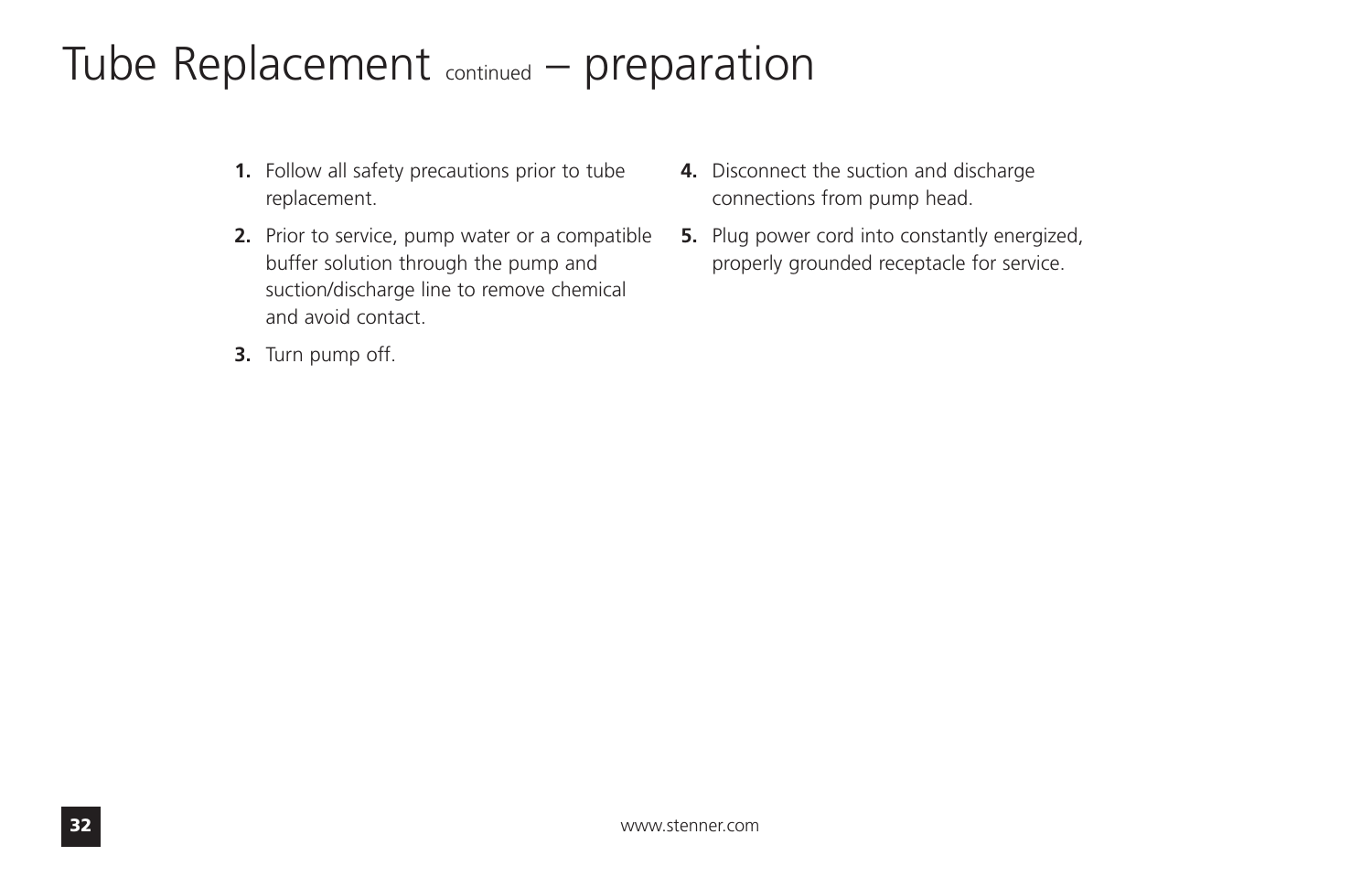# Tube Replacement continued – preparation

- **1.** Follow all safety precautions prior to tube replacement.
- **2.** Prior to service, pump water or a compatible buffer solution through the pump and suction/discharge line to remove chemical and avoid contact.
- **4.** Disconnect the suction and discharge connections from pump head.
- **5.** Plug power cord into constantly energized, properly grounded receptacle for service.

**3.** Turn pump off.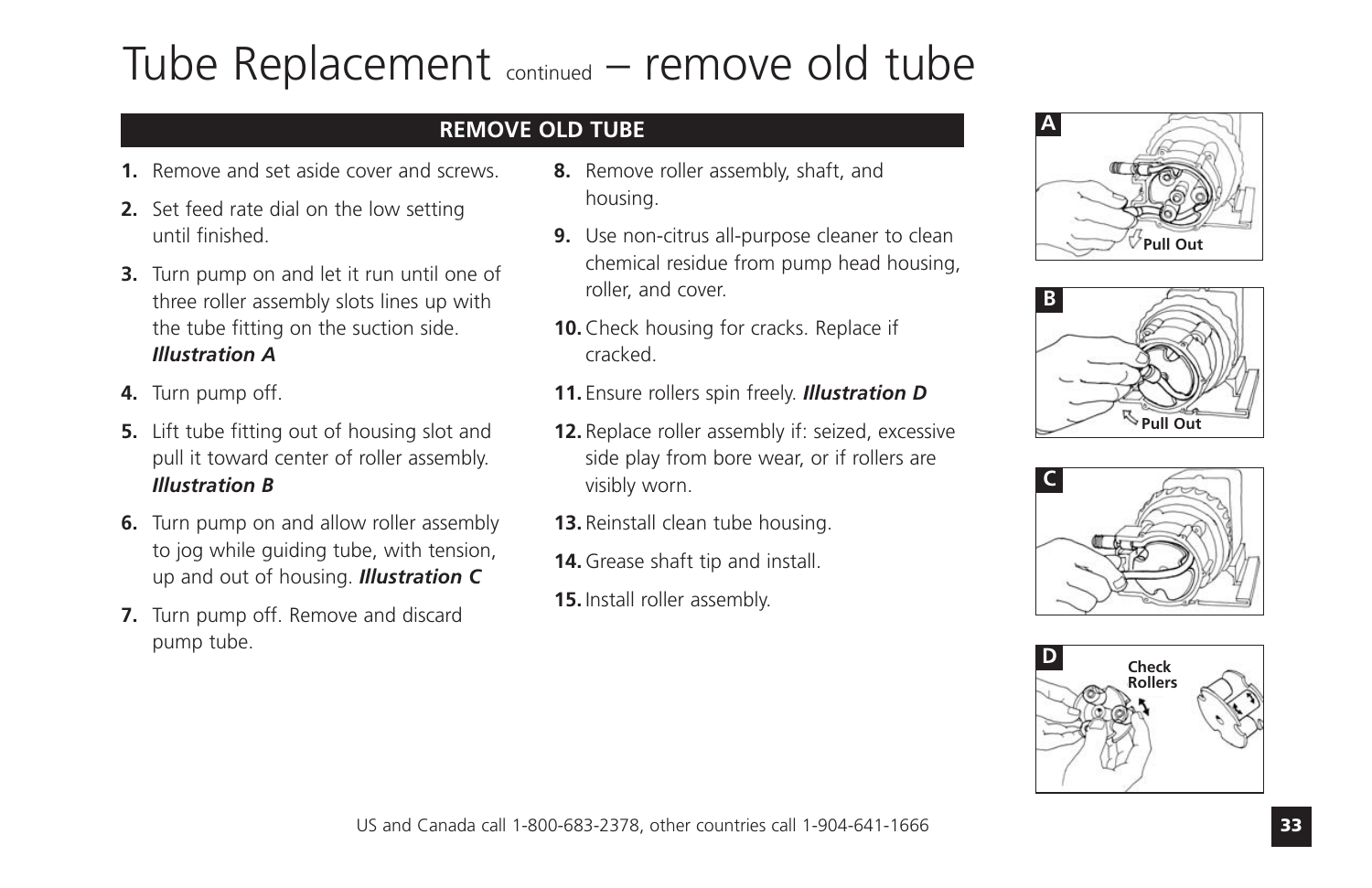# Tube Replacement continued – remove old tube

#### **REMOVE OLD TUBE A**

- **1.** Remove and set aside cover and screws.
- **2.** Set feed rate dial on the low setting until finished.
- **3.** Turn pump on and let it run until one of three roller assembly slots lines up with the tube fitting on the suction side. *Illustration A*
- **4.** Turn pump off.
- **5.** Lift tube fitting out of housing slot and pull it toward center of roller assembly. *Illustration B*
- **6.** Turn pump on and allow roller assembly to jog while guiding tube, with tension, up and out of housing. *Illustration C*
- **7.** Turn pump off. Remove and discard pump tube.
- **8.** Remove roller assembly, shaft, and housing.
- **9.** Use non-citrus all-purpose cleaner to clean chemical residue from pump head housing, roller, and cover.
- **10.**Check housing for cracks. Replace if cracked.
- **11.** Ensure rollers spin freely. *Illustration D*
- **12.** Replace roller assembly if: seized, excessive side play from bore wear, or if rollers are visibly worn.
- **13.** Reinstall clean tube housing.
- **14.** Grease shaft tip and install.
- **15.** Install roller assembly.







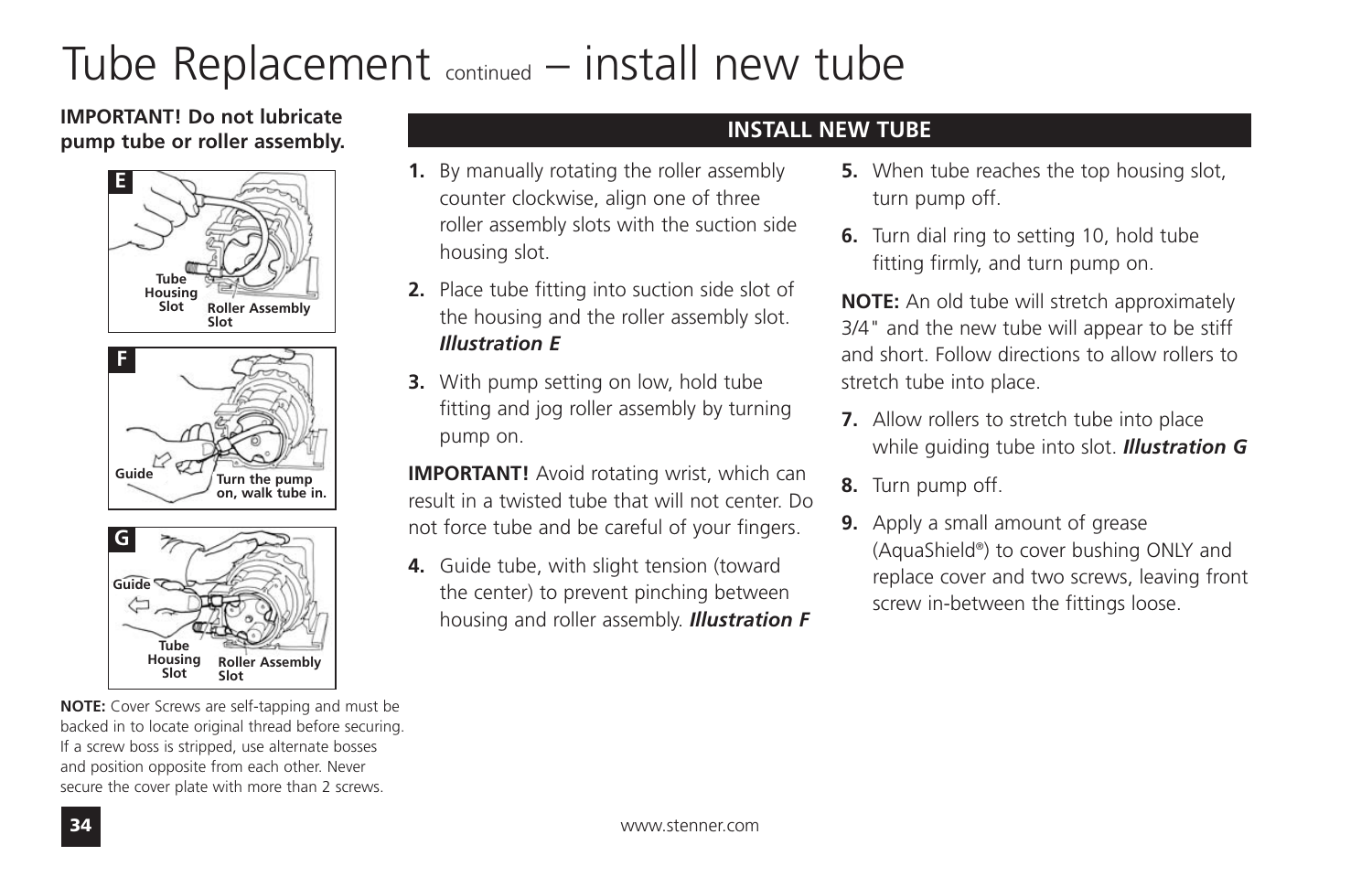# Tube Replacement continued – install new tube

housing slot.

*Illustration E*

pump on.

**1.** By manually rotating the roller assembly counter clockwise, align one of three roller assembly slots with the suction side

**2.** Place tube fitting into suction side slot of the housing and the roller assembly slot.

**3.** With pump setting on low, hold tube fitting and jog roller assembly by turning

**IMPORTANT!** Avoid rotating wrist, which can result in a twisted tube that will not center. Do not force tube and be careful of your fingers. **4.** Guide tube, with slight tension (toward the center) to prevent pinching between housing and roller assembly. *Illustration F*

#### **IMPORTANT! Do not lubricate pump tube or roller assembly.**







**NOTE:** Cover Screws are self-tapping and must be backed in to locate original thread before securing. If a screw boss is stripped, use alternate bosses and position opposite from each other. Never secure the cover plate with more than 2 screws.

#### **INSTALL NEW TUBE**

- **5.** When tube reaches the top housing slot, turn pump off.
- **6.** Turn dial ring to setting 10, hold tube fitting firmly, and turn pump on.

**NOTE:** An old tube will stretch approximately 3/4" and the new tube will appear to be stiff and short. Follow directions to allow rollers to stretch tube into place.

- **7.** Allow rollers to stretch tube into place while guiding tube into slot. *Illustration G*
- **8.** Turn pump off.
- **9.** Apply a small amount of grease (AquaShield®) to cover bushing ONLY and replace cover and two screws, leaving front screw in-between the fittings loose.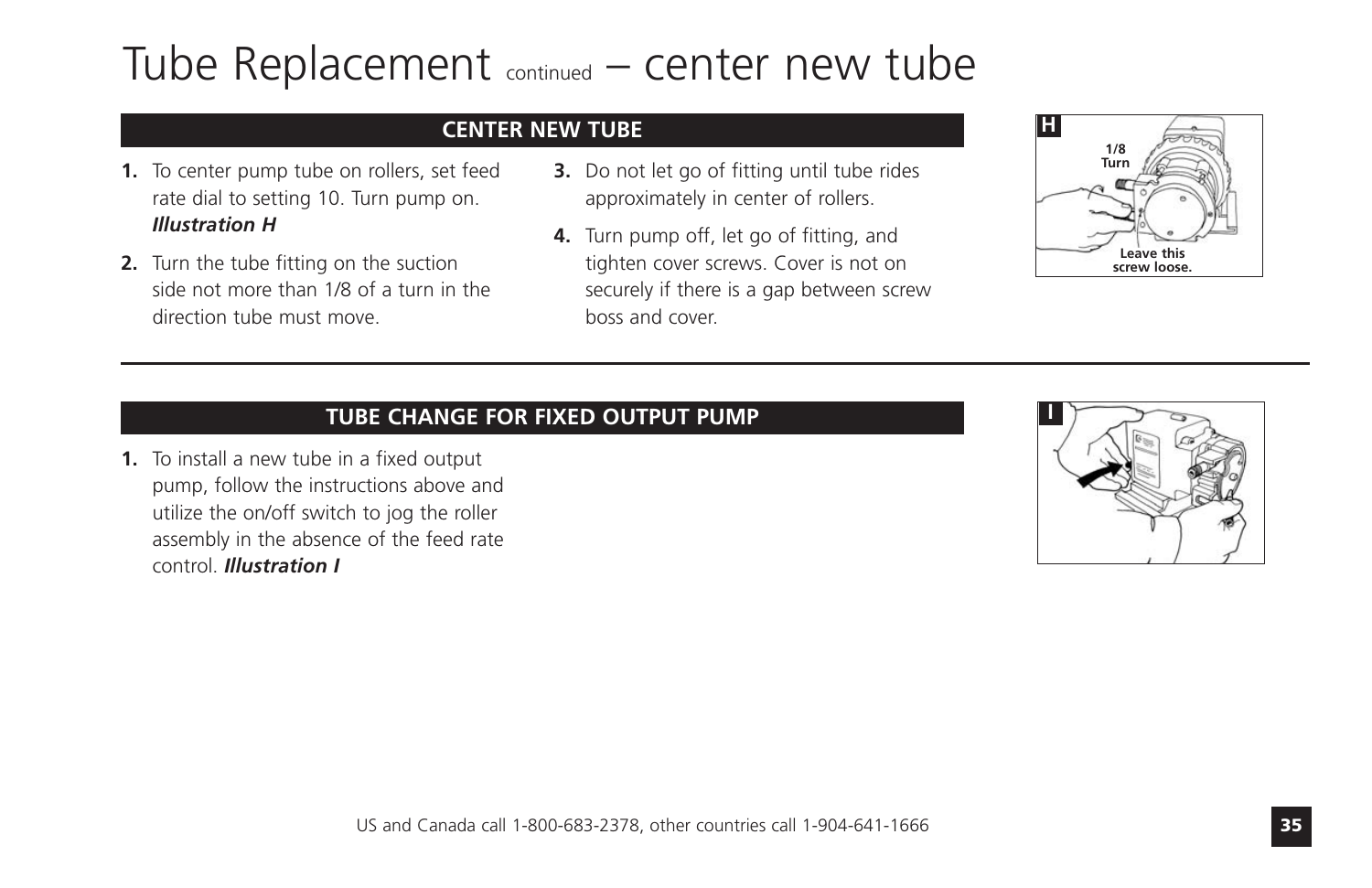# Tube Replacement  $_{\text{continued}}$  – center new tube

#### **CENTER NEW TUBE HH**

- **1.** To center pump tube on rollers, set feed rate dial to setting 10. Turn pump on. *Illustration H*
- **2.** Turn the tube fitting on the suction side not more than 1/8 of a turn in the direction tube must move.
- **3.** Do not let go of fitting until tube rides approximately in center of rollers.
- **4.** Turn pump off, let go of fitting, and tighten cover screws. Cover is not on securely if there is a gap between screw boss and cover.



#### **TUBE CHANGE FOR FIXED OUTPUT PUMP I**

**1.** To install a new tube in a fixed output pump, follow the instructions above and utilize the on/off switch to jog the roller assembly in the absence of the feed rate control. *Illustration I*

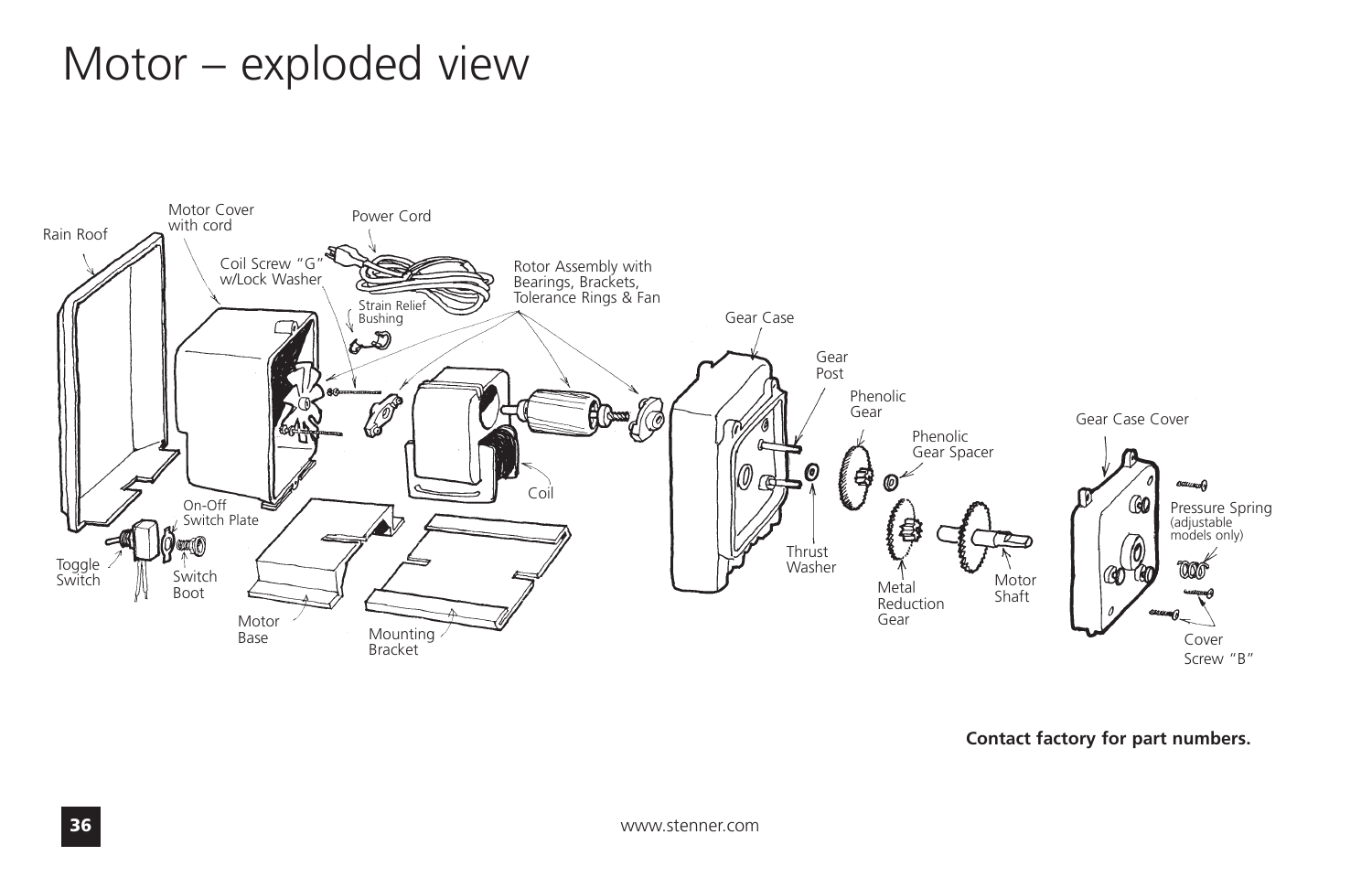# Motor – exploded view



**Contact factory for part numbers.**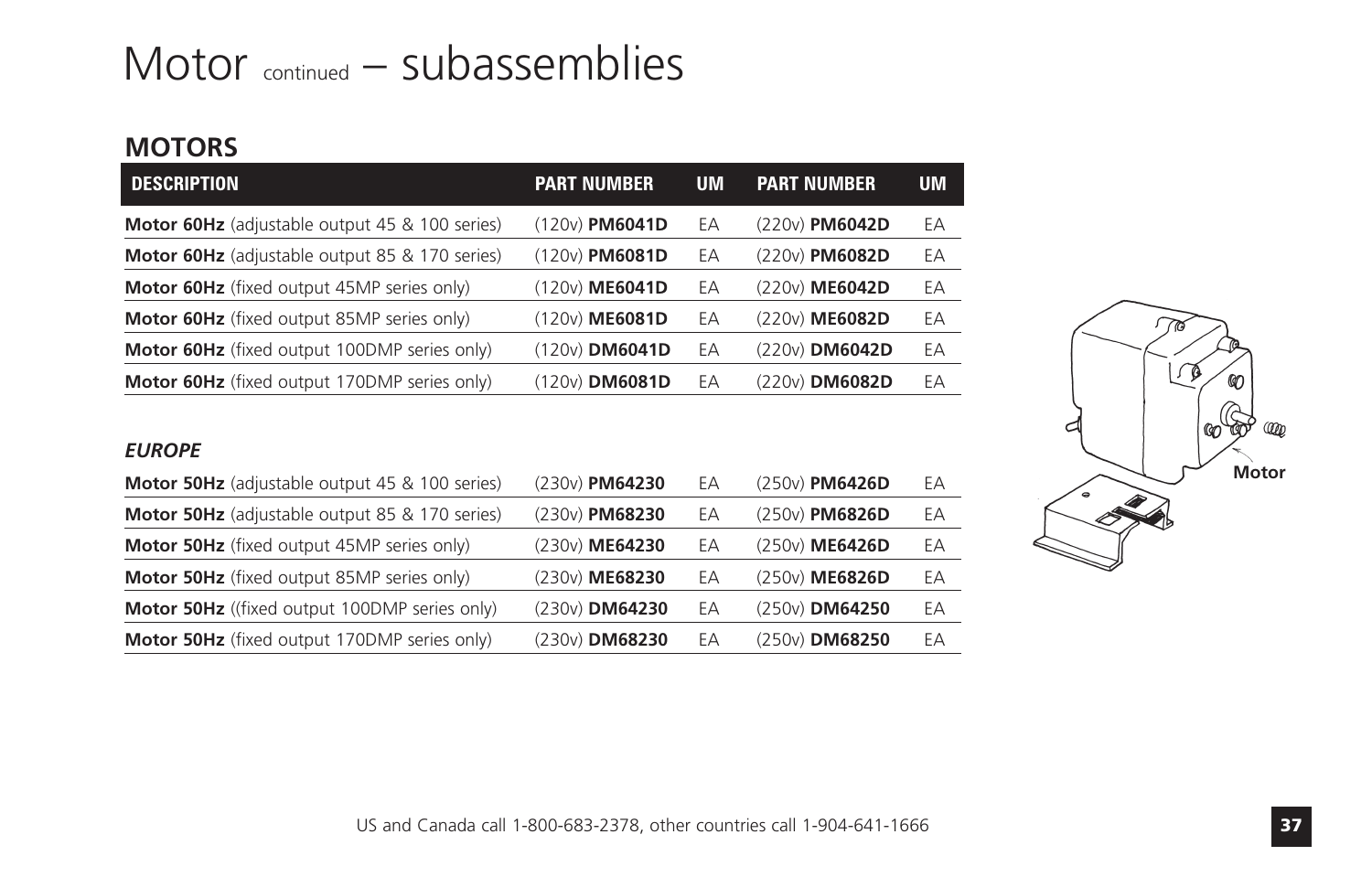# Motor continued – subassemblies

#### **MOTORS**

| <b>DESCRIPTION</b>                                    | <b>PART NUMBER</b> | <b>UM</b> | <b>PART NUMBER</b> | <b>UM</b> |
|-------------------------------------------------------|--------------------|-----------|--------------------|-----------|
| <b>Motor 60Hz</b> (adjustable output 45 & 100 series) | (120v) PM6041D     | EA        | (220v) PM6042D     | EΑ        |
| Motor 60Hz (adjustable output 85 & 170 series)        | (120v) PM6081D     | EΑ        | (220v) PM6082D     | EΑ        |
| Motor 60Hz (fixed output 45MP series only)            | (120v) ME6041D     | EΑ        | (220v) ME6042D     | EΑ        |
| Motor 60Hz (fixed output 85MP series only)            | (120v) ME6081D     | EΑ        | (220v) ME6082D     | EА        |
| <b>Motor 60Hz</b> (fixed output 100DMP series only)   | $(120v)$ DM6041D   | EΑ        | (220y) DM6042D     | EΑ        |
| <b>Motor 60Hz</b> (fixed output 170DMP series only)   | $(120v)$ DM6081D   | EΑ        | (220v) DM6082D     | EΑ        |

| Motor 50Hz (adjustable output 45 & 100 series)        | (230v) PM64230 | EA | (250v) PM6426D | EΑ |
|-------------------------------------------------------|----------------|----|----------------|----|
| <b>Motor 50Hz</b> (adjustable output 85 & 170 series) | (230v) PM68230 | EΑ | (250v) PM6826D | EΑ |
| <b>Motor 50Hz</b> (fixed output 45MP series only)     | (230v) ME64230 | EΑ | (250v) ME6426D | EΑ |
| <b>Motor 50Hz</b> (fixed output 85MP series only)     | (230v) ME68230 | EΑ | (250v) ME6826D | EΑ |
| <b>Motor 50Hz</b> ((fixed output 100DMP series only)  | (230y) DM64230 | EΑ | (250y) DM64250 | EΑ |
| <b>Motor 50Hz</b> (fixed output 170DMP series only)   | (230v) DM68230 | EΑ | (250v) DM68250 | EΑ |

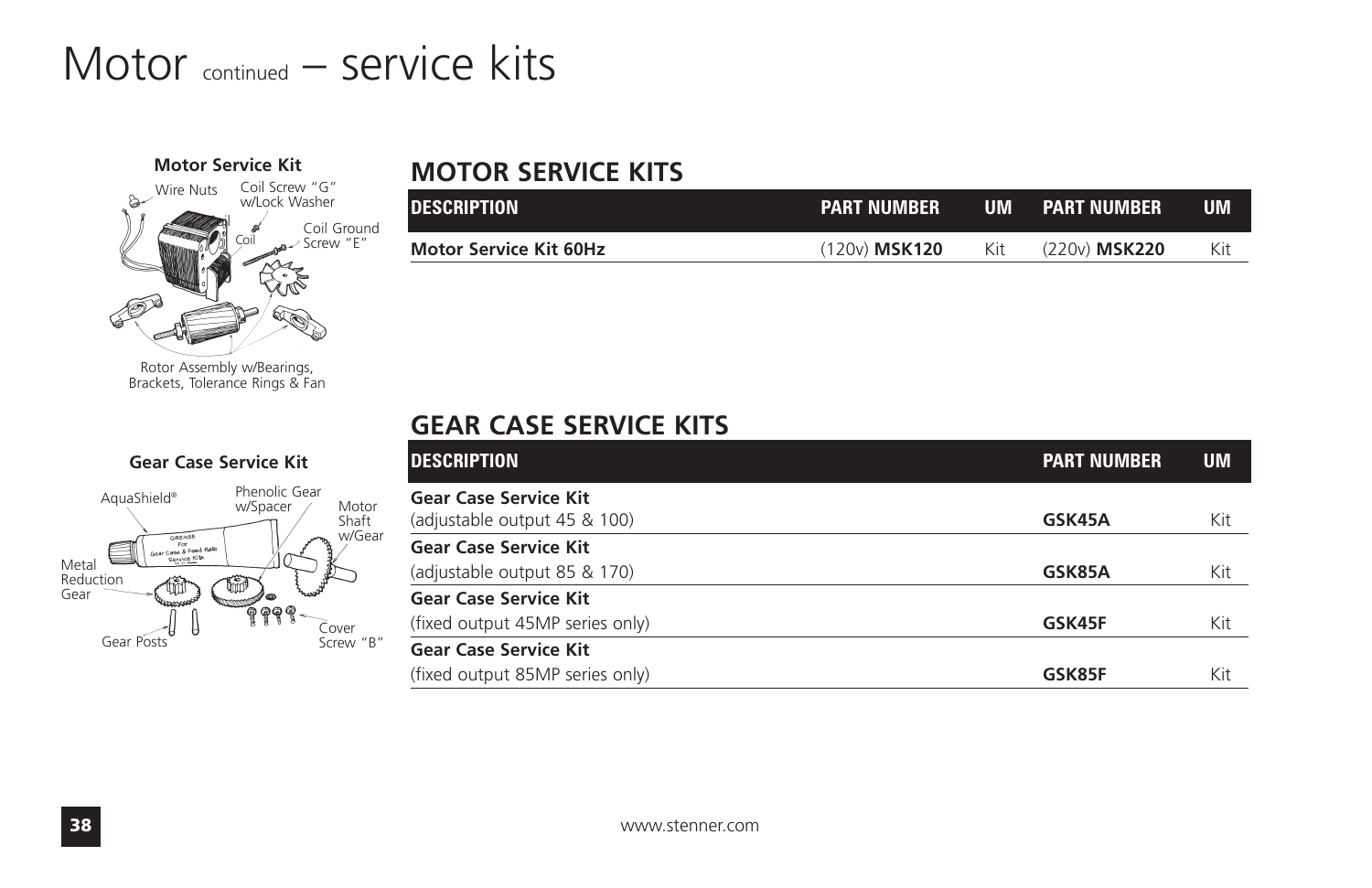# Motor continued – service kits



## Motor Service Kit<br>Wire Nuts Coil Screw "G"<br>**MOTOR SERVICE KITS**

| <b>DESCRIPTION</b>            | <b>PART NUMBER</b> | <b>UM</b> | <b>PART NUMBER</b>         | UМ  |
|-------------------------------|--------------------|-----------|----------------------------|-----|
| <b>Motor Service Kit 60Hz</b> | (120v) MSK120      | Kit       | (220 <sub>v</sub> ) MSK220 | Kit |

#### Rotor Assembly w/Bearings, Brackets, Tolerance Rings & Fan

#### **GEAR CASE SERVICE KITS**

| <b>DESCRIPTION</b>                                           | <b>PART NUMBER</b> | <b>UM</b> |
|--------------------------------------------------------------|--------------------|-----------|
| <b>Gear Case Service Kit</b><br>(adjustable output 45 & 100) | GSK45A             | Kit       |
| <b>Gear Case Service Kit</b>                                 |                    |           |
| (adjustable output 85 & 170)                                 | GSK85A             | Kit       |
| <b>Gear Case Service Kit</b>                                 |                    |           |
| (fixed output 45MP series only)                              | GSK45F             | Kit       |
| <b>Gear Case Service Kit</b>                                 |                    |           |
| (fixed output 85MP series only)                              | GSK85F             | Kit       |

#### **Gear Case Service Kit**

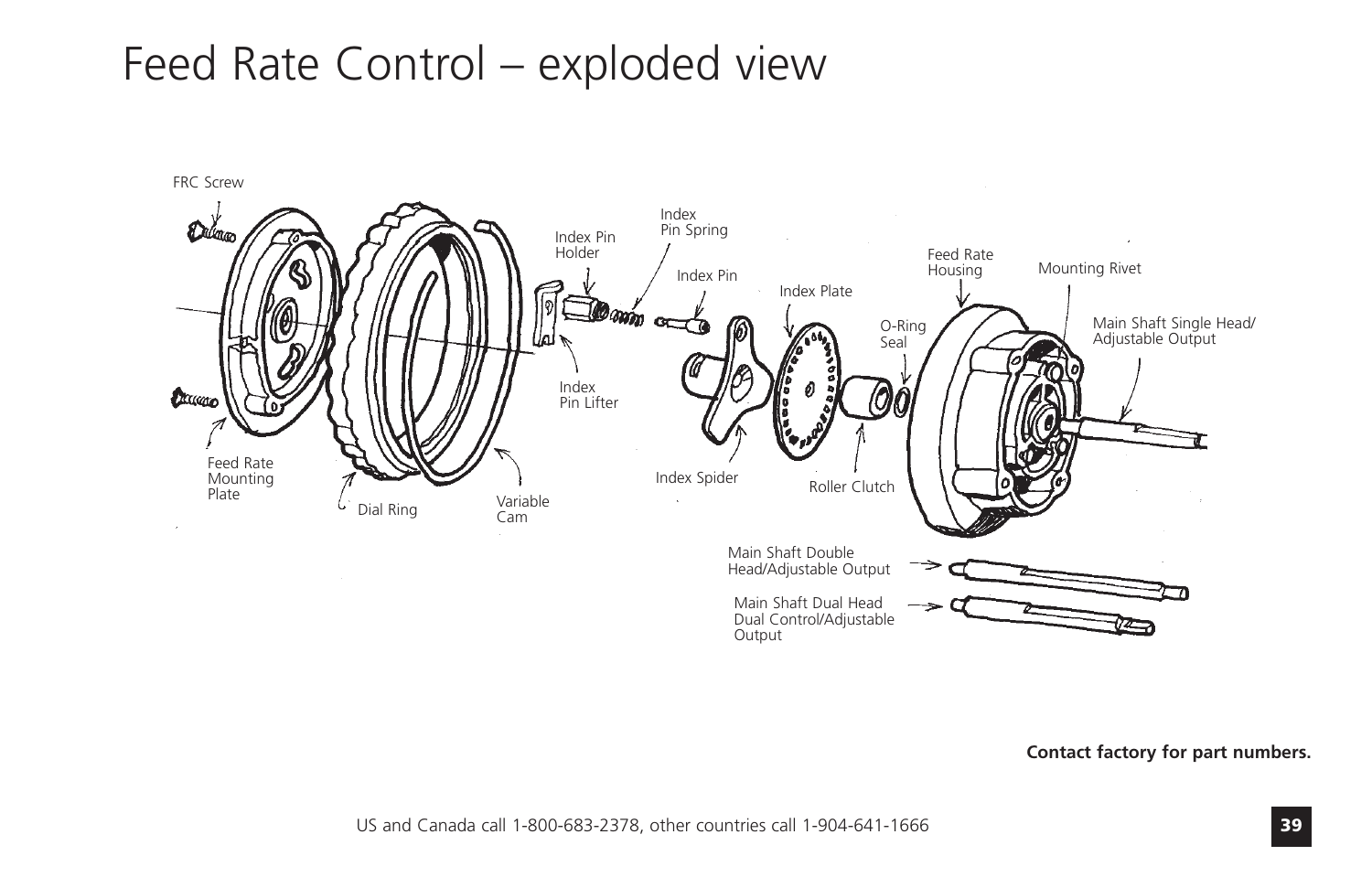# Feed Rate Control – exploded view



**Contact factory for part numbers.**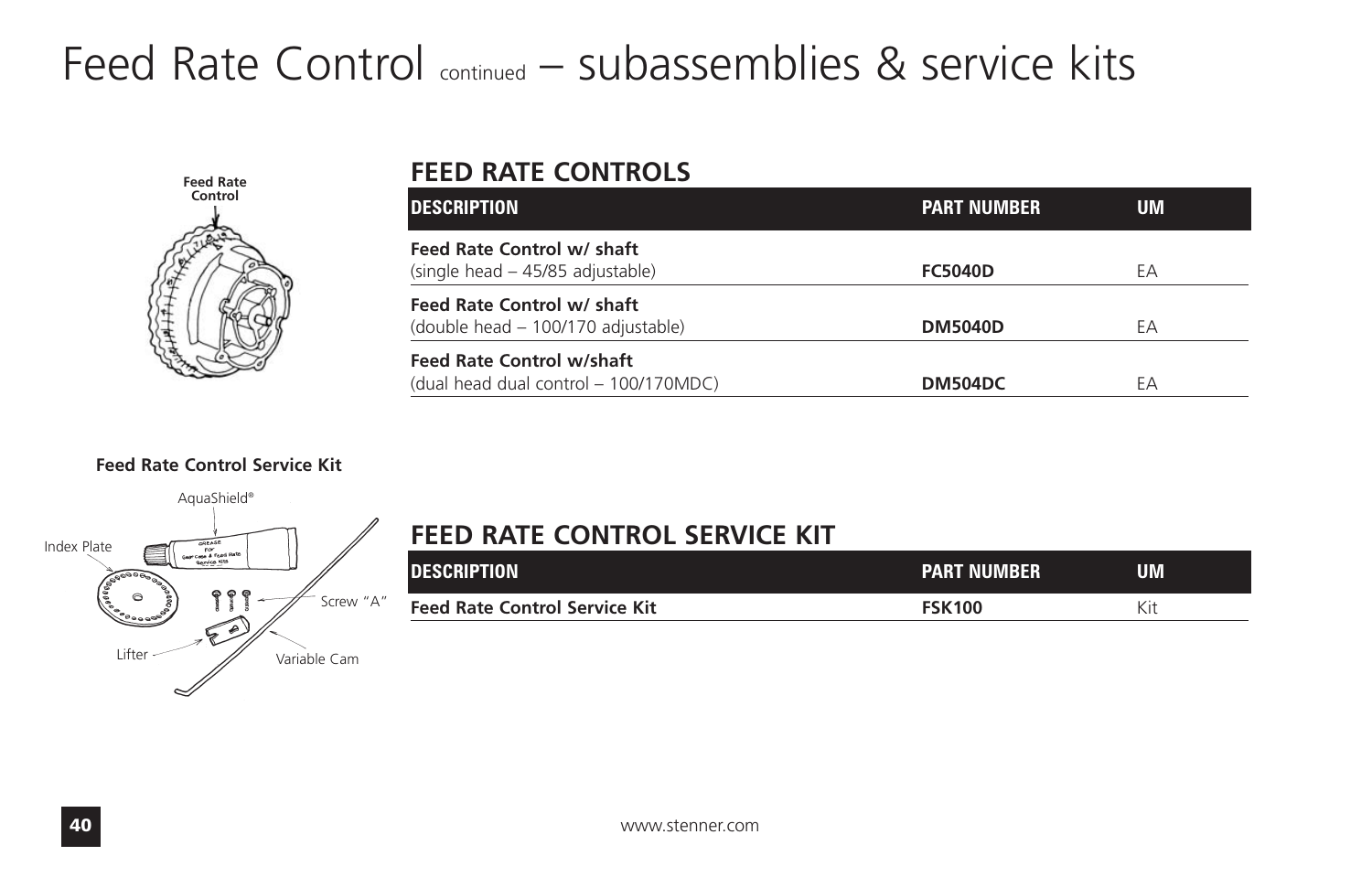# Feed Rate Control continued – subassemblies & service kits



#### **FEED RATE CONTROLS**

| <b>DESCRIPTION</b>                    | <b>PART NUMBER</b> | UM |
|---------------------------------------|--------------------|----|
| Feed Rate Control w/ shaft            |                    |    |
| (single head - 45/85 adjustable)      | <b>FC5040D</b>     | EА |
| Feed Rate Control w/ shaft            |                    |    |
| (double head - 100/170 adjustable)    | <b>DM5040D</b>     | EА |
| <b>Feed Rate Control w/shaft</b>      |                    |    |
| (dual head dual control - 100/170MDC) | DM504DC            | FА |

#### **Feed Rate Control Service Kit**





#### **FEED RATE CONTROL SERVICE KIT**

| <b>DESCRIPTION</b>                   | <b>PART NUMBER</b> | UM  |
|--------------------------------------|--------------------|-----|
| <b>Feed Rate Control Service Kit</b> | <b>FSK100</b>      | Kit |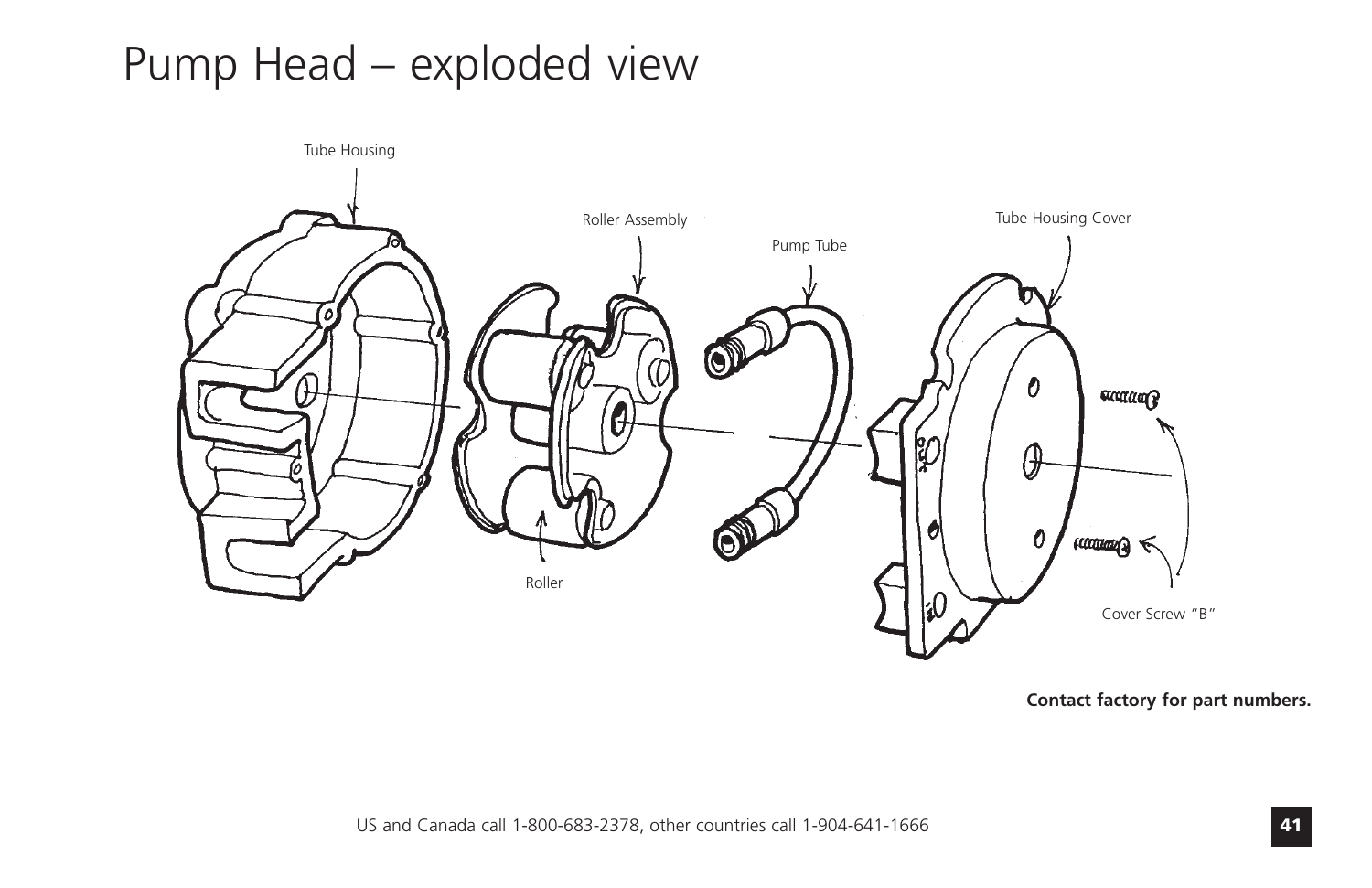# Pump Head – exploded view



**Contact factory for part numbers.**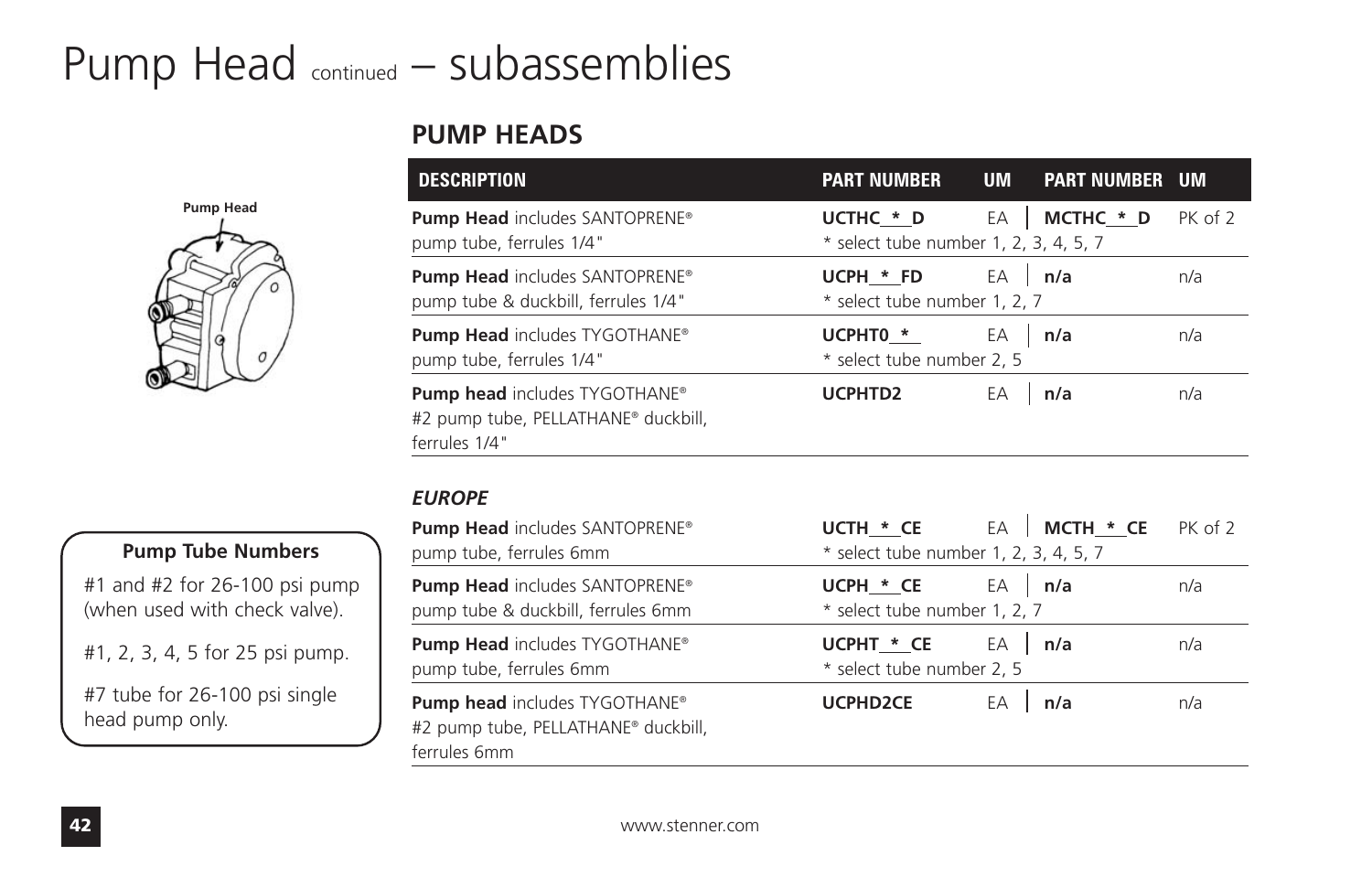# Pump Head continued – subassemblies

#### **PUMP HEADS**

| <b>Pump Head</b> |  |  |
|------------------|--|--|
|                  |  |  |
|                  |  |  |
|                  |  |  |
|                  |  |  |
|                  |  |  |
|                  |  |  |
|                  |  |  |
|                  |  |  |
|                  |  |  |

| <b>DESCRIPTION</b>                                                                          | <b>PART NUMBER</b>                                 | <b>UM</b> | <b>PART NUMBER UM</b> |         |
|---------------------------------------------------------------------------------------------|----------------------------------------------------|-----------|-----------------------|---------|
| Pump Head includes SANTOPRENE®<br>pump tube, ferrules 1/4"                                  | UCTHC * D<br>* select tube number 1, 2, 3, 4, 5, 7 | EA        | MCTHC * D             | PK of 2 |
| <b>Pump Head includes SANTOPRENE®</b><br>pump tube & duckbill, ferrules 1/4"                | UCPH * FD<br>* select tube number 1, 2, 7          | EA        | n/a                   | n/a     |
| <b>Pump Head includes TYGOTHANE®</b><br>pump tube, ferrules 1/4"                            | UCPHT0 *<br>* select tube number 2, 5              | EA        | n/a                   | n/a     |
| Pump head includes TYGOTHANE®<br>#2 pump tube, PELLATHANE® duckbill,<br>ferrules 1/4"       | UCPHTD2                                            | EA        | n/a                   | n/a     |
| <b>EUROPE</b>                                                                               |                                                    |           |                       |         |
| <b>Pump Head includes SANTOPRENE®</b><br>pump tube, ferrules 6mm                            | UCTH * CE<br>* select tube number 1, 2, 3, 4, 5, 7 | EA        | MCTH * CE             | PK of 2 |
| <b>Pump Head includes SANTOPRENE®</b><br>pump tube & duckbill, ferrules 6mm                 | UCPH * CE<br>* select tube number 1, 2, 7          | EA        | n/a                   | n/a     |
| Pump Head includes TYGOTHANE®<br>pump tube, ferrules 6mm                                    | UCPHT * CE<br>* select tube number 2, 5            | EA        | n/a                   | n/a     |
| <b>Pump head includes TYGOTHANE®</b><br>#2 pump tube, PELLATHANE® duckbill,<br>ferrules 6mm | <b>UCPHD2CE</b>                                    | EA        | n/a                   | n/a     |

#### **Pump Tube Numbers**

#1 and #2 for 26-100 psi pump (when used with check valve).

#1, 2, 3, 4, 5 for 25 psi pump.

#7 tube for 26-100 psi single head pump only.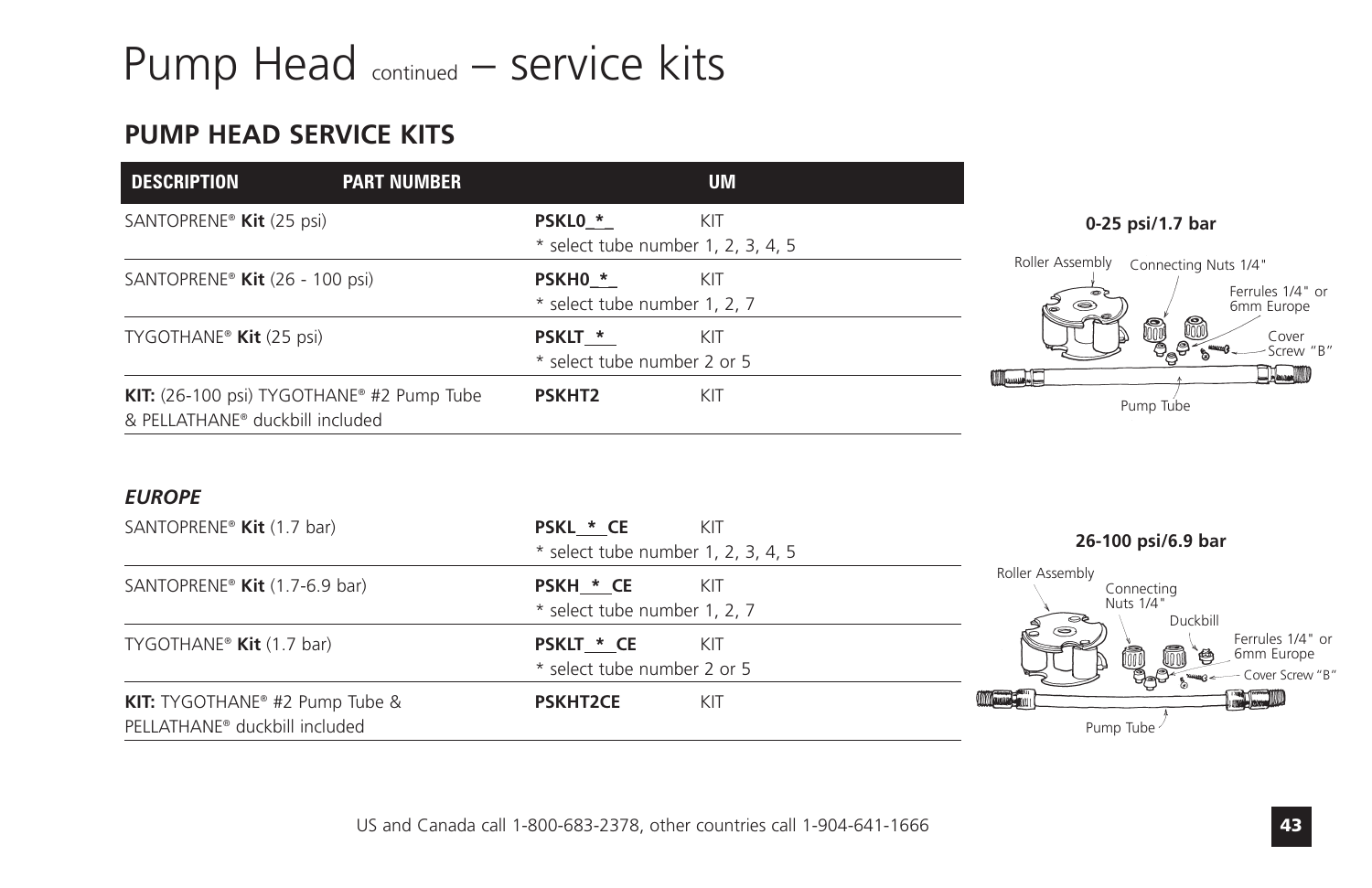# Pump Head continued – service kits

### **PUMP HEAD SERVICE KITS**



| SANTOPRENE® Kit (1.7 bar)                                                          | <b>PSKL * CE</b><br>KIT<br>$*$ select tube number 1, 2, 3, 4, 5 | 26-100 psi/6.9 bar                                               |
|------------------------------------------------------------------------------------|-----------------------------------------------------------------|------------------------------------------------------------------|
| SANTOPRENE <sup>®</sup> Kit $(1.7-6.9 \text{ bar})$                                | PSKH * CE<br>KIT<br>* select tube number 1, 2, 7                | Roller Assembly<br>Connecting<br>Nuts 1/4"<br>Duckbill           |
| TYGOTHANE <sup>®</sup> <b>Kit</b> $(1.7 \text{ bar})$                              | <b>PSKLT * CE</b><br>KIT<br>* select tube number 2 or 5         | 6<br>Ferrules 1/4" or<br>氚<br>6mm Europe<br>è<br>Gover Screw "B" |
| <b>KIT:</b> TYGOTHANE <sup>®</sup> #2 Pump Tube &<br>PELLATHANE® duckbill included | <b>PSKHT2CE</b><br>KIT                                          | <b>EXPERIENCE</b><br>Pump Tube                                   |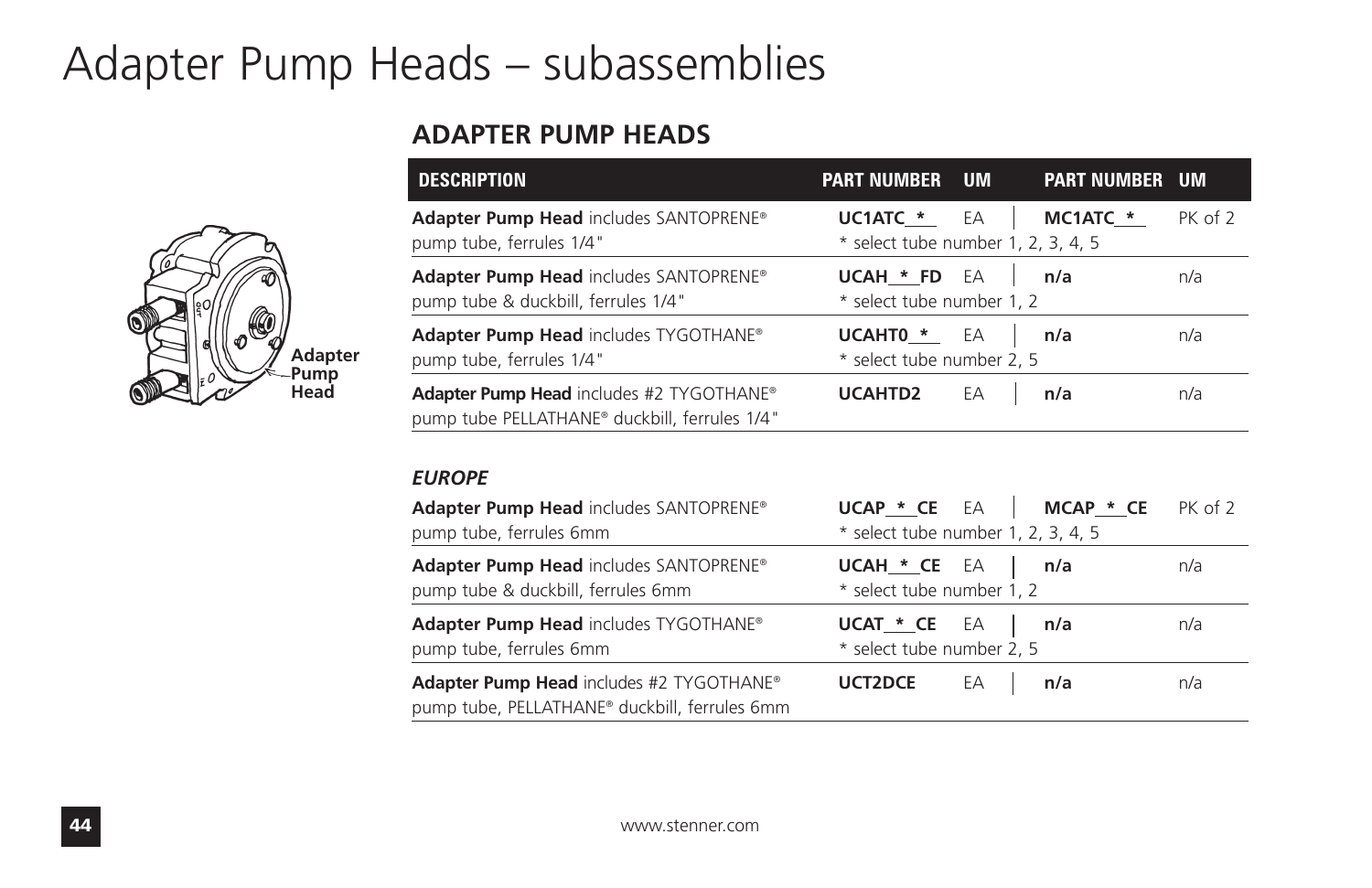# Adapter Pump Heads – subassemblies



#### **ADAPTER PUMP HEADS**

| <b>DESCRIPTION</b>                                                                                    | <b>PART NUMBER UM</b><br><b>PART NUMBER</b><br><b>UM</b>                  |
|-------------------------------------------------------------------------------------------------------|---------------------------------------------------------------------------|
| Adapter Pump Head includes SANTOPRENE®<br>pump tube, ferrules 1/4"                                    | UC1ATC * EA   MC1ATC *<br>PK of 2<br>$*$ select tube number 1, 2, 3, 4, 5 |
| Adapter Pump Head includes SANTOPRENE®<br>pump tube & duckbill, ferrules 1/4"                         | UCAH * FD EA<br>n/a<br>n/a<br>* select tube number 1, 2                   |
| Adapter Pump Head includes TYGOTHANE®<br>pump tube, ferrules 1/4"                                     | UCAHTO * EA  <br>n/a<br>n/a<br>* select tube number 2, 5                  |
| Adapter Pump Head includes #2 TYGOTHANE <sup>®</sup><br>pump tube PELLATHANE® duckbill, ferrules 1/4" | UCAHTD2<br>EA<br>n/a<br>n/a                                               |

| Adapter Pump Head includes SANTOPRENE®<br>pump tube, ferrules 6mm                         | UCAP * CE EA   MCAP * CE<br>$*$ select tube number 1, 2, 3, 4, 5 | PK of 2 |
|-------------------------------------------------------------------------------------------|------------------------------------------------------------------|---------|
| Adapter Pump Head includes SANTOPRENE®<br>pump tube & duckbill, ferrules 6mm              | UCAH $*$ CE EA   n/a<br>* select tube number 1, 2                | n/a     |
| Adapter Pump Head includes TYGOTHANE®<br>pump tube, ferrules 6mm                          | UCAT $*$ <sub>CE</sub> EA   n/a<br>* select tube number 2, 5     | n/a     |
| Adapter Pump Head includes #2 TYGOTHANE®<br>pump tube, PELLATHANE® duckbill, ferrules 6mm | UCT2DCE EA   n/a                                                 | n/a     |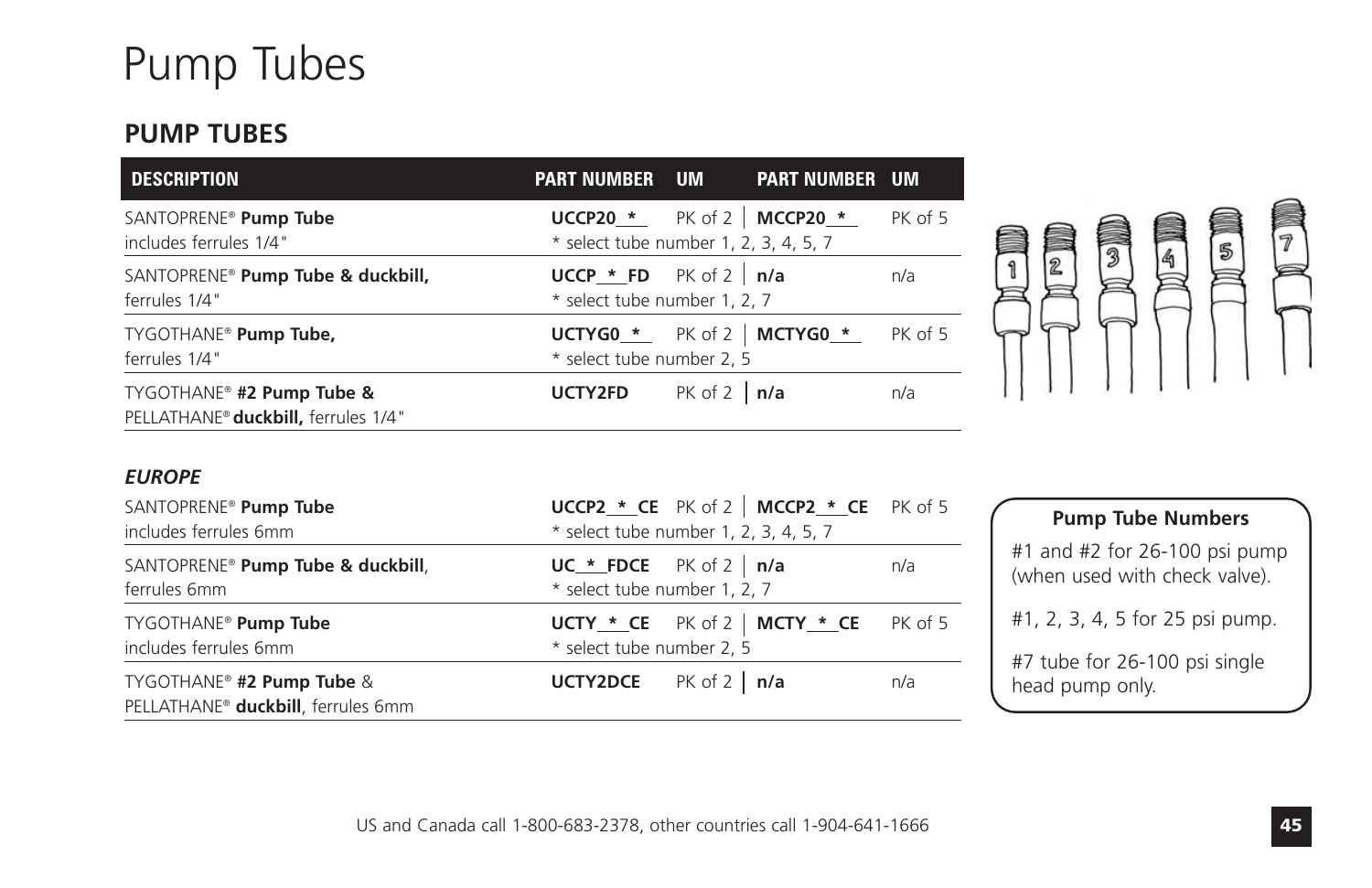# Pump Tubes

#### **PUMP TUBES**

| <b>DESCRIPTION</b>                                                           | <b>PART NUMBER UM</b>                                                            |                    | <b>PART NUMBER UM</b>           |         |
|------------------------------------------------------------------------------|----------------------------------------------------------------------------------|--------------------|---------------------------------|---------|
| SANTOPRENE® Pump Tube<br>includes ferrules 1/4"                              | UCCP20 $\cdot$ PK of 2   MCCP20 $\cdot$<br>* select tube number 1, 2, 3, 4, 5, 7 |                    |                                 | PK of 5 |
| SANTOPRENE <sup>®</sup> Pump Tube & duckbill,<br>ferrules 1/4"               | <b>UCCP</b> * FD $PK$ of 2   $n/a$<br>* select tube number 1, 2, 7               |                    |                                 | n/a     |
| TYGOTHANE <sup>®</sup> Pump Tube,<br>ferrules 1/4"                           | * select tube number 2, 5                                                        |                    | UCTYG0 $*$ PK of 2   MCTYG0 $*$ | PK of 5 |
| TYGOTHANE <sup>®</sup> #2 Pump Tube &<br>PELLATHANE® duckbill, ferrules 1/4" | UCTY2FD                                                                          | PK of $2 \mid n/a$ |                                 | n/a     |



| SANTOPRENE® Pump Tube<br>includes ferrules 6mm                              | UCCP2 $*$ CE PK of 2   MCCP2 $*$ CE PK of 5<br>* select tube number 1, 2, 3, 4, 5, 7 |         | <b>Pump Tube Numbers</b>        |
|-----------------------------------------------------------------------------|--------------------------------------------------------------------------------------|---------|---------------------------------|
| SANTOPRENE® Pump Tube & duckbill,                                           | $UC_*FDCE$ PK of 2   n/a                                                             | n/a     | #1 and #2 for 26-100 psi pump   |
| ferrules 6mm                                                                | * select tube number 1, 2, 7                                                         |         | (when used with check valve).   |
| TYGOTHANE® Pump Tube                                                        | UCTY $*$ CE PK of 2   MCTY $*$ CE                                                    | PK of 5 | #1, 2, 3, 4, 5 for 25 psi pump. |
| includes ferrules 6mm                                                       | * select tube number 2, 5                                                            |         | #7 tube for 26-100 psi single   |
| TYGOTHANE <sup>®</sup> #2 Pump Tube &<br>PELLATHANE® duckbill, ferrules 6mm | PK of $2 \mid n/a$<br><b>UCTY2DCE</b>                                                | n/a     | head pump only.                 |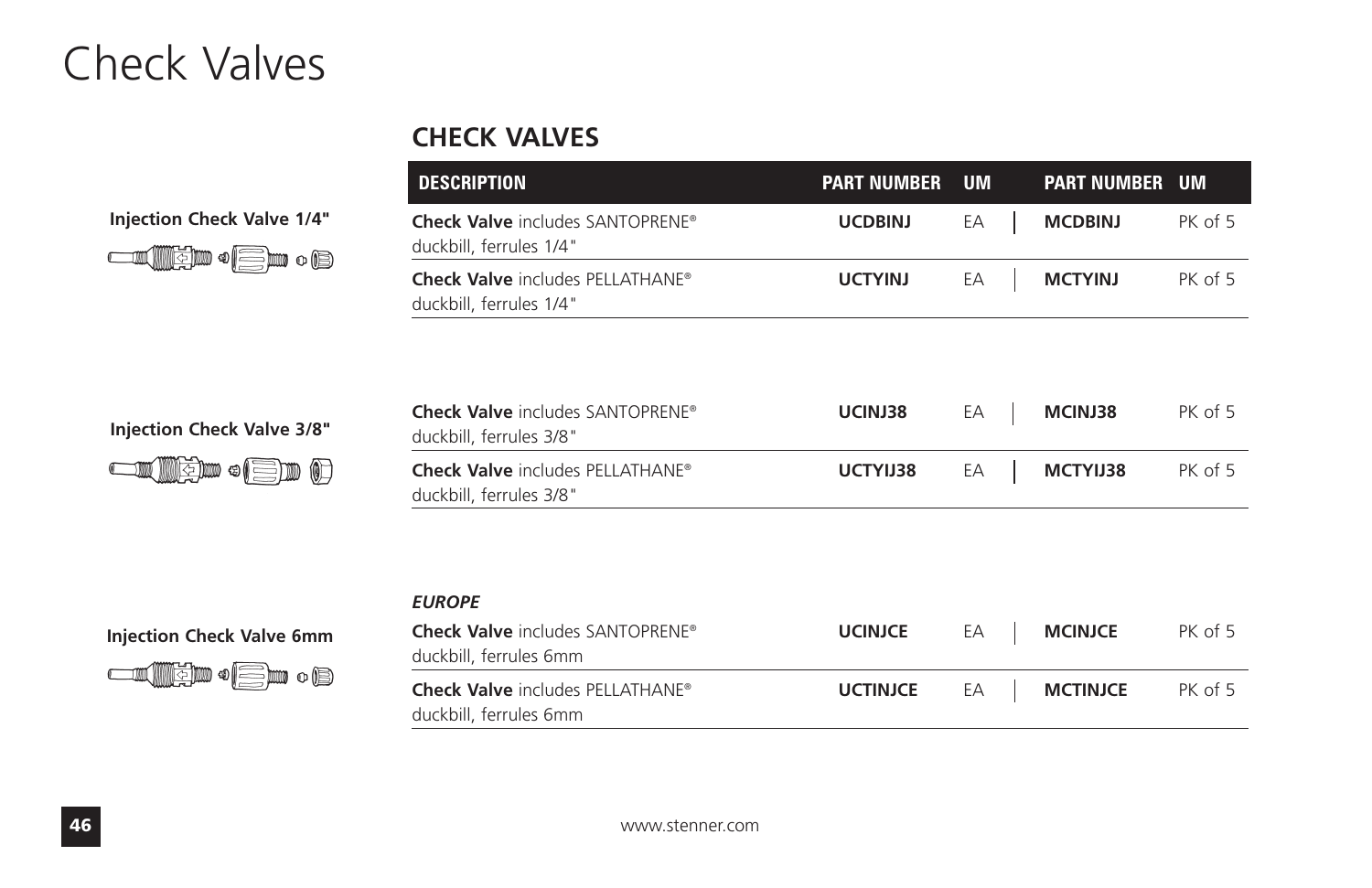# Check Valves

#### **CHECK VALVES**

#### **Injection Check Valve 1/4"**



| <b>DESCRIPTION</b>                                                     | <b>PART NUMBER</b> | <b>UM</b> | <b>PART NUMBER</b> | <b>UM</b> |
|------------------------------------------------------------------------|--------------------|-----------|--------------------|-----------|
| <b>Check Valve includes SANTOPRENE®</b><br>duckbill, ferrules 1/4"     | <b>UCDBINJ</b>     | EA        | <b>MCDBINJ</b>     | PK of 5   |
| Check Valve includes PELLATHANE®<br>duckbill, ferrules 1/4"            | <b>UCTYINJ</b>     | EA        | <b>MCTYINJ</b>     | PK of 5   |
|                                                                        |                    |           |                    |           |
|                                                                        |                    |           |                    |           |
| Check Valve includes SANTOPRENE®<br>duckbill, ferrules 3/8"            | UCINJ38            | EA        | MCINJ38            | PK of 5   |
| Check Valve includes PELLATHANE®<br>duckbill, ferrules 3/8"            | UCTYIJ38           | EA        | MCTYIJ38           | PK of 5   |
|                                                                        |                    |           |                    |           |
|                                                                        |                    |           |                    |           |
| <b>EUROPE</b>                                                          |                    |           |                    |           |
| Check Valve includes SANTOPRENE®<br>duckbill, ferrules 6mm             | <b>UCINJCE</b>     | EA        | <b>MCINJCE</b>     | PK of 5   |
| Check Valve includes PELLATHANE <sup>®</sup><br>duckbill, ferrules 6mm | <b>UCTINJCE</b>    | EA        | <b>MCTINJCE</b>    | PK of 5   |
|                                                                        |                    |           |                    |           |

## **Injection Check Valve 3/8"**

| <b>win</b> do (Ed) () |
|-----------------------|
|                       |

|                                                                                                                                                           | <b>EUROPE</b>                                                     |                 |    |                 |         |
|-----------------------------------------------------------------------------------------------------------------------------------------------------------|-------------------------------------------------------------------|-----------------|----|-----------------|---------|
| <b>Injection Check Valve 6mm</b><br><b>do the start of the start of the start of the start of the start of the start of the start of the start of the</b> | <b>Check Valve includes SANTOPRENE®</b><br>duckbill, ferrules 6mm | <b>UCINJCE</b>  | EA | <b>MCINJCE</b>  | PK of 5 |
|                                                                                                                                                           | <b>Check Valve includes PELLATHANE®</b><br>duckbill, ferrules 6mm | <b>UCTINJCE</b> | EA | <b>MCTINJCE</b> | PK of 5 |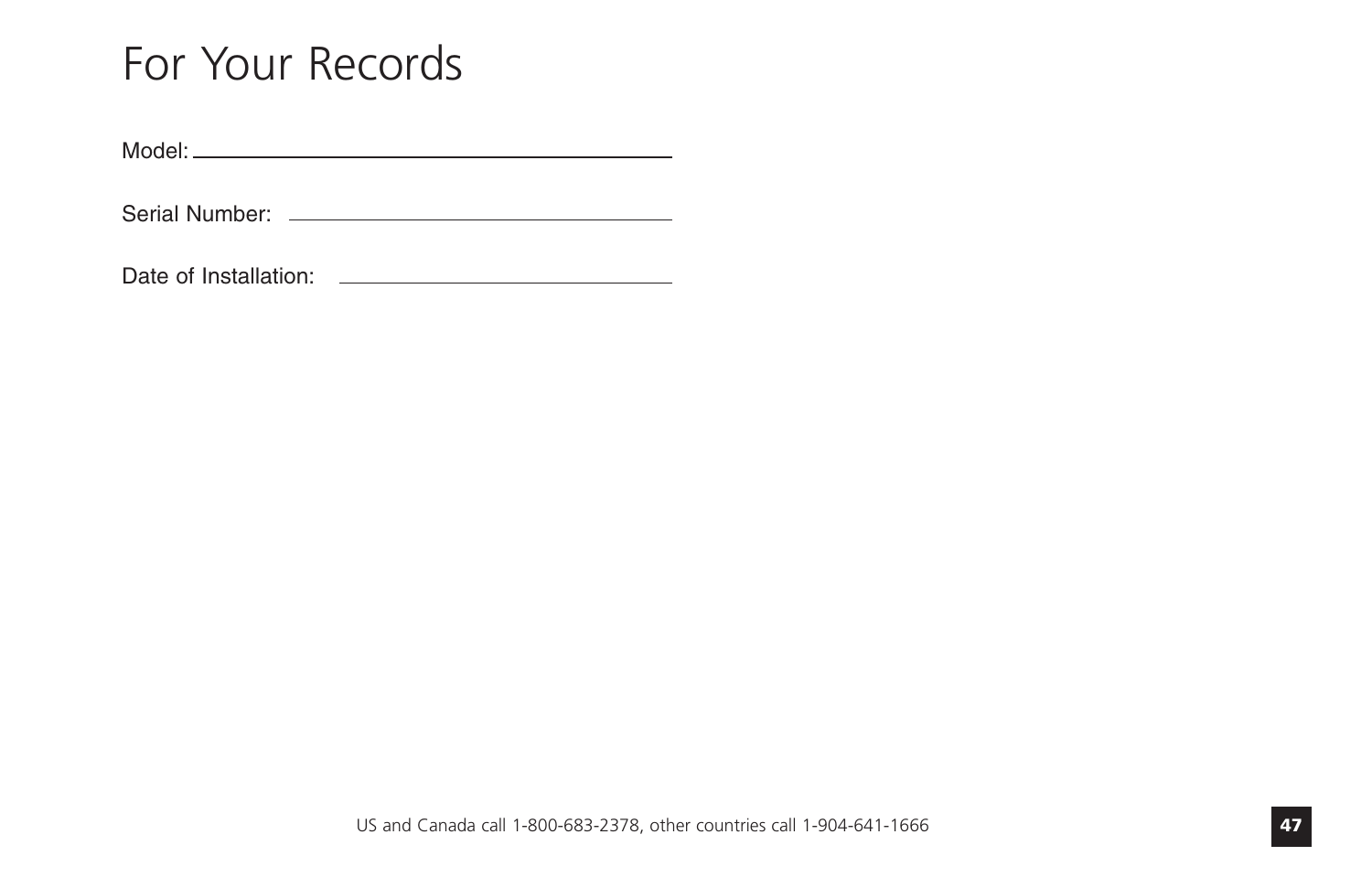# For Your Records

Model:

Serial Number:

Date of Installation: